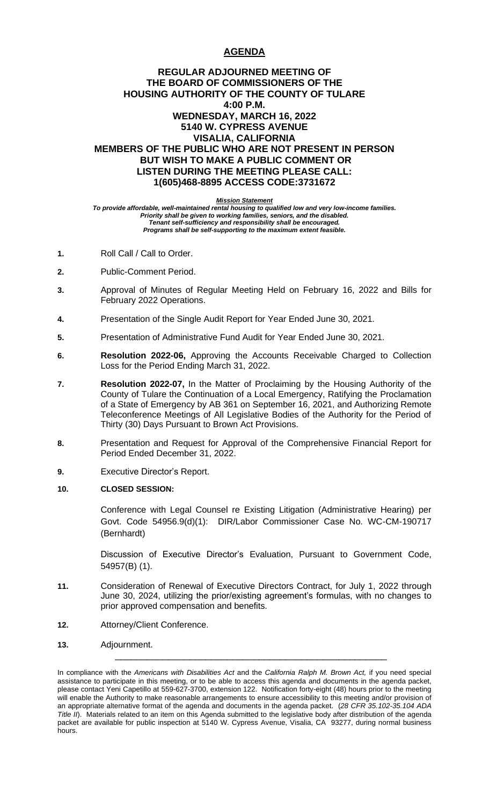## **AGENDA**

## **REGULAR ADJOURNED MEETING OF THE BOARD OF COMMISSIONERS OF THE HOUSING AUTHORITY OF THE COUNTY OF TULARE 4:00 P.M. WEDNESDAY, MARCH 16, 2022 5140 W. CYPRESS AVENUE VISALIA, CALIFORNIA MEMBERS OF THE PUBLIC WHO ARE NOT PRESENT IN PERSON BUT WISH TO MAKE A PUBLIC COMMENT OR LISTEN DURING THE MEETING PLEASE CALL: 1(605)468-8895 ACCESS CODE:3731672**

*Mission Statement*

*To provide affordable, well-maintained rental housing to qualified low and very low-income families. Priority shall be given to working families, seniors, and the disabled. Tenant self-sufficiency and responsibility shall be encouraged. Programs shall be self-supporting to the maximum extent feasible.*

- **1.** Roll Call / Call to Order.
- **2.** Public-Comment Period.
- **3.** Approval of Minutes of Regular Meeting Held on February 16, 2022 and Bills for February 2022 Operations.
- **4.** Presentation of the Single Audit Report for Year Ended June 30, 2021.
- **5.** Presentation of Administrative Fund Audit for Year Ended June 30, 2021.
- **6. Resolution 2022-06,** Approving the Accounts Receivable Charged to Collection Loss for the Period Ending March 31, 2022.
- **7. Resolution 2022-07,** In the Matter of Proclaiming by the Housing Authority of the County of Tulare the Continuation of a Local Emergency, Ratifying the Proclamation of a State of Emergency by AB 361 on September 16, 2021, and Authorizing Remote Teleconference Meetings of All Legislative Bodies of the Authority for the Period of Thirty (30) Days Pursuant to Brown Act Provisions.
- **8.** Presentation and Request for Approval of the Comprehensive Financial Report for Period Ended December 31, 2022.
- **9.** Executive Director's Report.

### **10. CLOSED SESSION:**

Conference with Legal Counsel re Existing Litigation (Administrative Hearing) per Govt. Code 54956.9(d)(1): DIR/Labor Commissioner Case No. WC-CM-190717 (Bernhardt)

Discussion of Executive Director's Evaluation, Pursuant to Government Code, 54957(B) (1).

- **11.** Consideration of Renewal of Executive Directors Contract, for July 1, 2022 through June 30, 2024, utilizing the prior/existing agreement's formulas, with no changes to prior approved compensation and benefits.
- **12.** Attorney/Client Conference.
- **13.** Adjournment.

\_\_\_\_\_\_\_\_\_\_\_\_\_\_\_\_\_\_\_\_\_\_\_\_\_\_\_\_\_\_\_\_\_\_\_\_\_\_\_\_\_\_\_\_\_\_\_\_\_\_\_

In compliance with the *Americans with Disabilities Act* and the *California Ralph M. Brown Act,* if you need special assistance to participate in this meeting, or to be able to access this agenda and documents in the agenda packet, please contact Yeni Capetillo at 559-627-3700, extension 122. Notification forty-eight (48) hours prior to the meeting will enable the Authority to make reasonable arrangements to ensure accessibility to this meeting and/or provision of an appropriate alternative format of the agenda and documents in the agenda packet. (*28 CFR 35.102-35.104 ADA Title II*). Materials related to an item on this Agenda submitted to the legislative body after distribution of the agenda packet are available for public inspection at 5140 W. Cypress Avenue, Visalia, CA 93277, during normal business hours.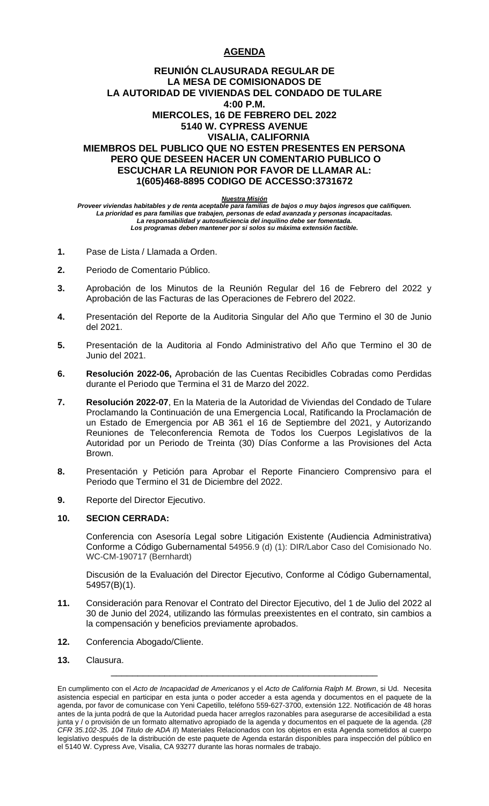## **AGENDA**

## **REUNIÓN CLAUSURADA REGULAR DE LA MESA DE COMISIONADOS DE LA AUTORIDAD DE VIVIENDAS DEL CONDADO DE TULARE 4:00 P.M. MIERCOLES, 16 DE FEBRERO DEL 2022 5140 W. CYPRESS AVENUE VISALIA, CALIFORNIA MIEMBROS DEL PUBLICO QUE NO ESTEN PRESENTES EN PERSONA PERO QUE DESEEN HACER UN COMENTARIO PUBLICO O ESCUCHAR LA REUNION POR FAVOR DE LLAMAR AL: 1(605)468-8895 CODIGO DE ACCESSO:3731672**

*Nuestra Misión*

*Proveer viviendas habitables y de renta aceptable para familias de bajos o muy bajos ingresos que califiquen. La prioridad es para familias que trabajen, personas de edad avanzada y personas incapacitadas. La responsabilidad y autosuficiencia del inquilino debe ser fomentada. Los programas deben mantener por si solos su máxima extensión factible.*

- **1.** Pase de Lista / Llamada a Orden.
- **2.** Periodo de Comentario Público.
- **3.** Aprobación de los Minutos de la Reunión Regular del 16 de Febrero del 2022 y Aprobación de las Facturas de las Operaciones de Febrero del 2022.
- **4.** Presentación del Reporte de la Auditoria Singular del Año que Termino el 30 de Junio del 2021.
- **5.** Presentación de la Auditoria al Fondo Administrativo del Año que Termino el 30 de Junio del 2021.
- **6. Resolución 2022-06,** Aprobación de las Cuentas Recibidles Cobradas como Perdidas durante el Periodo que Termina el 31 de Marzo del 2022.
- **7. Resolución 2022-07**, En la Materia de la Autoridad de Viviendas del Condado de Tulare Proclamando la Continuación de una Emergencia Local, Ratificando la Proclamación de un Estado de Emergencia por AB 361 el 16 de Septiembre del 2021, y Autorizando Reuniones de Teleconferencia Remota de Todos los Cuerpos Legislativos de la Autoridad por un Periodo de Treinta (30) Días Conforme a las Provisiones del Acta Brown.
- **8.** Presentación y Petición para Aprobar el Reporte Financiero Comprensivo para el Periodo que Termino el 31 de Diciembre del 2022.
- **9.** Reporte del Director Ejecutivo.

### **10. SECION CERRADA:**

Conferencia con Asesoría Legal sobre Litigación Existente (Audiencia Administrativa) Conforme a Código Gubernamental 54956.9 (d) (1): DIR/Labor Caso del Comisionado No. WC-CM-190717 (Bernhardt)

Discusión de la Evaluación del Director Ejecutivo, Conforme al Código Gubernamental, 54957(B)(1).

- **11.** Consideración para Renovar el Contrato del Director Ejecutivo, del 1 de Julio del 2022 al 30 de Junio del 2024, utilizando las fórmulas preexistentes en el contrato, sin cambios a la compensación y beneficios previamente aprobados.
- **12.** Conferencia Abogado/Cliente.
- **13.** Clausura.

\_\_\_\_\_\_\_\_\_\_\_\_\_\_\_\_\_\_\_\_\_\_\_\_\_\_\_\_\_\_\_\_\_\_\_\_\_\_\_\_\_\_\_\_\_\_\_\_\_\_

En cumplimento con el *Acto de Incapacidad de Americanos* y el *Acto de California Ralph M. Brown*, si Ud. Necesita asistencia especial en participar en esta junta o poder acceder a esta agenda y documentos en el paquete de la agenda, por favor de comunicase con Yeni Capetillo, teléfono 559-627-3700, extensión 122. Notificación de 48 horas antes de la junta podrá de que la Autoridad pueda hacer arreglos razonables para asegurarse de accesibilidad a esta junta y / o provisión de un formato alternativo apropiado de la agenda y documentos en el paquete de la agenda. (*28 CFR 35.102-35. 104 Titulo de ADA II*) Materiales Relacionados con los objetos en esta Agenda sometidos al cuerpo legislativo después de la distribución de este paquete de Agenda estarán disponibles para inspección del público en el 5140 W. Cypress Ave, Visalia, CA 93277 durante las horas normales de trabajo.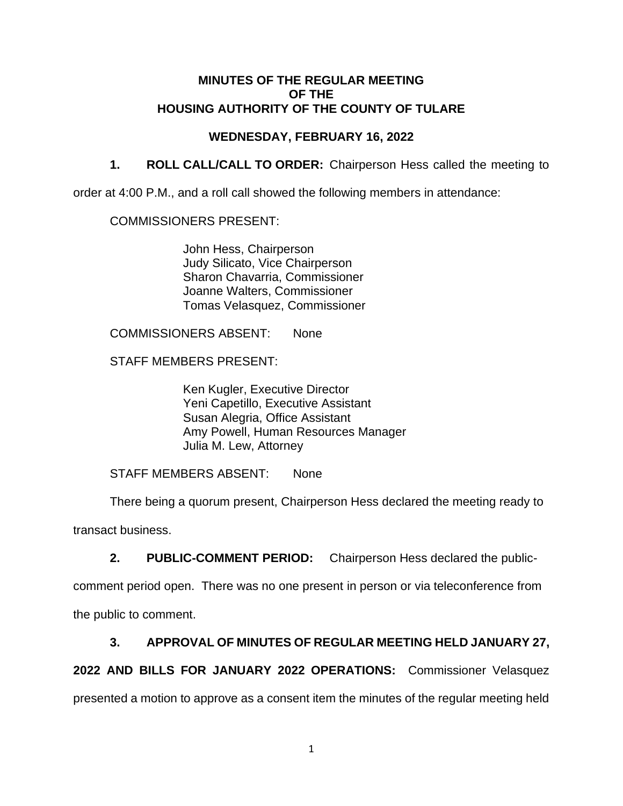## **MINUTES OF THE REGULAR MEETING OF THE HOUSING AUTHORITY OF THE COUNTY OF TULARE**

## **WEDNESDAY, FEBRUARY 16, 2022**

**1. ROLL CALL/CALL TO ORDER:** Chairperson Hess called the meeting to

order at 4:00 P.M., and a roll call showed the following members in attendance:

## COMMISSIONERS PRESENT:

John Hess, Chairperson Judy Silicato, Vice Chairperson Sharon Chavarria, Commissioner Joanne Walters, Commissioner Tomas Velasquez, Commissioner

COMMISSIONERS ABSENT: None

STAFF MEMBERS PRESENT:

Ken Kugler, Executive Director Yeni Capetillo, Executive Assistant Susan Alegria, Office Assistant Amy Powell, Human Resources Manager Julia M. Lew, Attorney

STAFF MEMBERS ABSENT: None

There being a quorum present, Chairperson Hess declared the meeting ready to

transact business.

**2. PUBLIC-COMMENT PERIOD:** Chairperson Hess declared the public-

comment period open. There was no one present in person or via teleconference from the public to comment.

## **3. APPROVAL OF MINUTES OF REGULAR MEETING HELD JANUARY 27,**

**2022 AND BILLS FOR JANUARY 2022 OPERATIONS:** Commissioner Velasquez presented a motion to approve as a consent item the minutes of the regular meeting held

1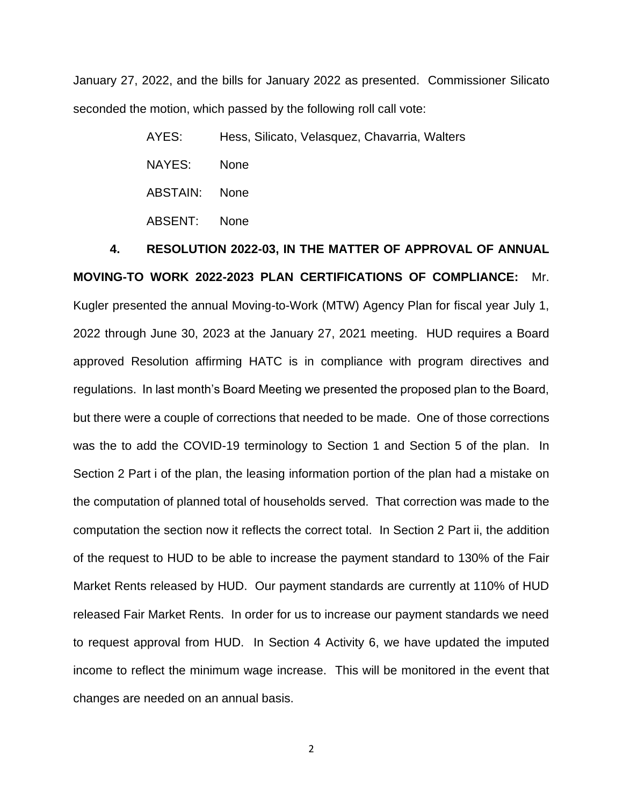January 27, 2022, and the bills for January 2022 as presented. Commissioner Silicato seconded the motion, which passed by the following roll call vote:

> AYES: Hess, Silicato, Velasquez, Chavarria, Walters NAYES: None ABSTAIN: None ABSENT: None

# **4. RESOLUTION 2022-03, IN THE MATTER OF APPROVAL OF ANNUAL MOVING-TO WORK 2022-2023 PLAN CERTIFICATIONS OF COMPLIANCE:** Mr. Kugler presented the annual Moving-to-Work (MTW) Agency Plan for fiscal year July 1, 2022 through June 30, 2023 at the January 27, 2021 meeting. HUD requires a Board approved Resolution affirming HATC is in compliance with program directives and

regulations. In last month's Board Meeting we presented the proposed plan to the Board, but there were a couple of corrections that needed to be made. One of those corrections was the to add the COVID-19 terminology to Section 1 and Section 5 of the plan. In Section 2 Part i of the plan, the leasing information portion of the plan had a mistake on the computation of planned total of households served. That correction was made to the computation the section now it reflects the correct total. In Section 2 Part ii, the addition of the request to HUD to be able to increase the payment standard to 130% of the Fair Market Rents released by HUD. Our payment standards are currently at 110% of HUD released Fair Market Rents. In order for us to increase our payment standards we need to request approval from HUD. In Section 4 Activity 6, we have updated the imputed income to reflect the minimum wage increase. This will be monitored in the event that changes are needed on an annual basis.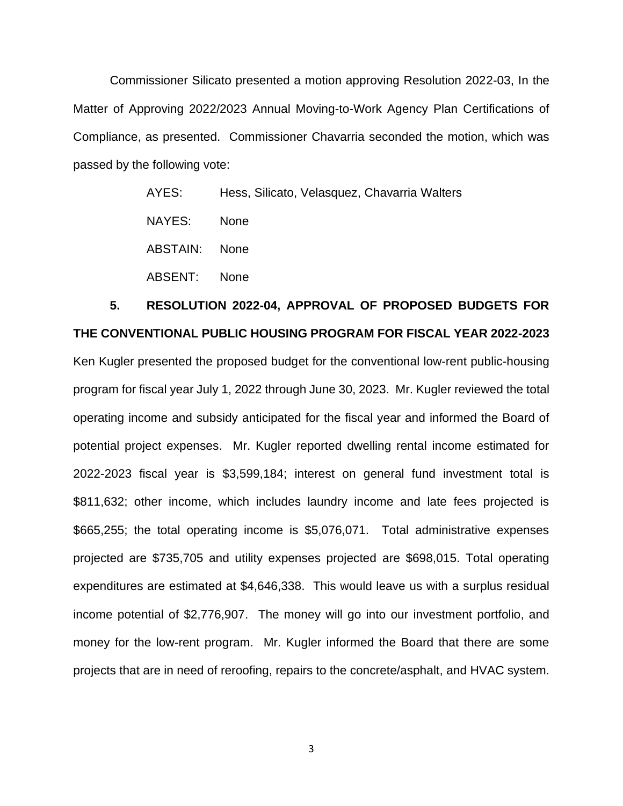Commissioner Silicato presented a motion approving Resolution 2022-03, In the Matter of Approving 2022/2023 Annual Moving-to-Work Agency Plan Certifications of Compliance, as presented. Commissioner Chavarria seconded the motion, which was passed by the following vote:

> AYES: Hess, Silicato, Velasquez, Chavarria Walters NAYES: None ABSTAIN: None ABSENT: None

# **5. RESOLUTION 2022-04, APPROVAL OF PROPOSED BUDGETS FOR THE CONVENTIONAL PUBLIC HOUSING PROGRAM FOR FISCAL YEAR 2022-2023** Ken Kugler presented the proposed budget for the conventional low-rent public-housing program for fiscal year July 1, 2022 through June 30, 2023. Mr. Kugler reviewed the total operating income and subsidy anticipated for the fiscal year and informed the Board of potential project expenses. Mr. Kugler reported dwelling rental income estimated for 2022-2023 fiscal year is \$3,599,184; interest on general fund investment total is \$811,632; other income, which includes laundry income and late fees projected is \$665,255; the total operating income is \$5,076,071. Total administrative expenses projected are \$735,705 and utility expenses projected are \$698,015. Total operating expenditures are estimated at \$4,646,338. This would leave us with a surplus residual income potential of \$2,776,907. The money will go into our investment portfolio, and money for the low-rent program. Mr. Kugler informed the Board that there are some projects that are in need of reroofing, repairs to the concrete/asphalt, and HVAC system.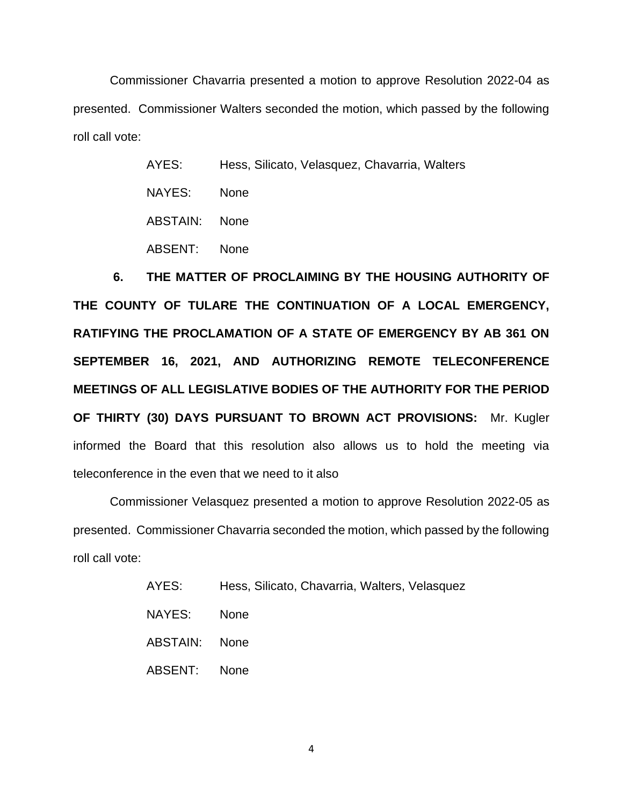Commissioner Chavarria presented a motion to approve Resolution 2022-04 as presented. Commissioner Walters seconded the motion, which passed by the following roll call vote:

| AYES:         | Hess, Silicato, Velasquez, Chavarria, Walters |
|---------------|-----------------------------------------------|
| NAYES:        | <b>None</b>                                   |
| ABSTAIN: None |                                               |
| ABSENT: None  |                                               |

**6. THE MATTER OF PROCLAIMING BY THE HOUSING AUTHORITY OF THE COUNTY OF TULARE THE CONTINUATION OF A LOCAL EMERGENCY, RATIFYING THE PROCLAMATION OF A STATE OF EMERGENCY BY AB 361 ON SEPTEMBER 16, 2021, AND AUTHORIZING REMOTE TELECONFERENCE MEETINGS OF ALL LEGISLATIVE BODIES OF THE AUTHORITY FOR THE PERIOD OF THIRTY (30) DAYS PURSUANT TO BROWN ACT PROVISIONS:** Mr. Kugler informed the Board that this resolution also allows us to hold the meeting via teleconference in the even that we need to it also

Commissioner Velasquez presented a motion to approve Resolution 2022-05 as presented. Commissioner Chavarria seconded the motion, which passed by the following roll call vote:

| AYES:         | Hess, Silicato, Chavarria, Walters, Velasquez |
|---------------|-----------------------------------------------|
| NAYES:        | <b>None</b>                                   |
| ABSTAIN: None |                                               |
| ABSENT: None  |                                               |

4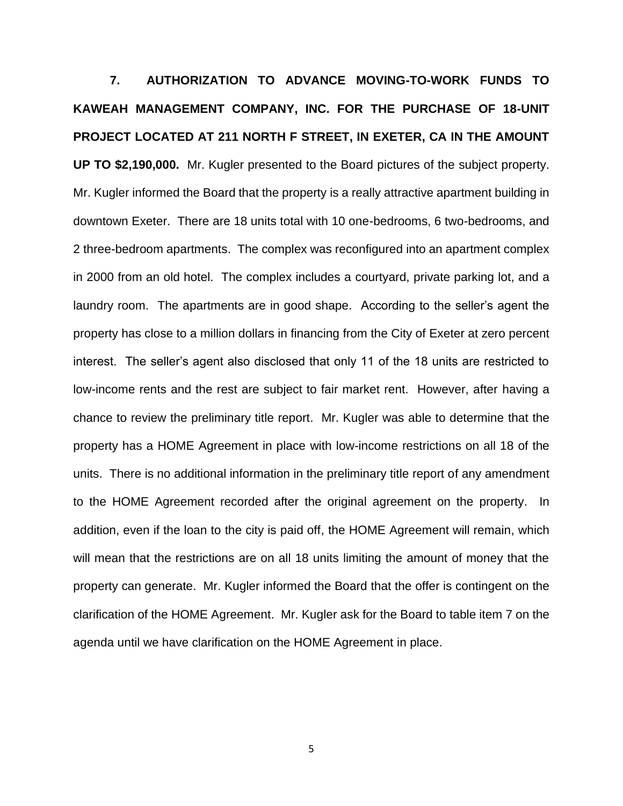**7. AUTHORIZATION TO ADVANCE MOVING-TO-WORK FUNDS TO KAWEAH MANAGEMENT COMPANY, INC. FOR THE PURCHASE OF 18-UNIT PROJECT LOCATED AT 211 NORTH F STREET, IN EXETER, CA IN THE AMOUNT UP TO \$2,190,000.** Mr. Kugler presented to the Board pictures of the subject property. Mr. Kugler informed the Board that the property is a really attractive apartment building in downtown Exeter. There are 18 units total with 10 one-bedrooms, 6 two-bedrooms, and 2 three-bedroom apartments. The complex was reconfigured into an apartment complex in 2000 from an old hotel. The complex includes a courtyard, private parking lot, and a laundry room. The apartments are in good shape. According to the seller's agent the property has close to a million dollars in financing from the City of Exeter at zero percent interest. The seller's agent also disclosed that only 11 of the 18 units are restricted to low-income rents and the rest are subject to fair market rent. However, after having a chance to review the preliminary title report. Mr. Kugler was able to determine that the property has a HOME Agreement in place with low-income restrictions on all 18 of the units. There is no additional information in the preliminary title report of any amendment to the HOME Agreement recorded after the original agreement on the property. In addition, even if the loan to the city is paid off, the HOME Agreement will remain, which will mean that the restrictions are on all 18 units limiting the amount of money that the property can generate. Mr. Kugler informed the Board that the offer is contingent on the clarification of the HOME Agreement. Mr. Kugler ask for the Board to table item 7 on the agenda until we have clarification on the HOME Agreement in place.

5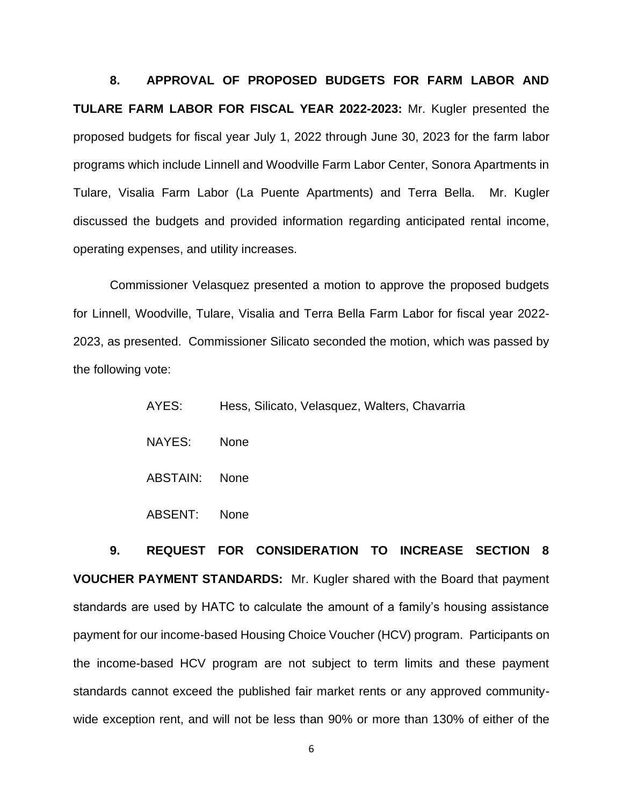**8. APPROVAL OF PROPOSED BUDGETS FOR FARM LABOR AND TULARE FARM LABOR FOR FISCAL YEAR 2022-2023:** Mr. Kugler presented the proposed budgets for fiscal year July 1, 2022 through June 30, 2023 for the farm labor programs which include Linnell and Woodville Farm Labor Center, Sonora Apartments in Tulare, Visalia Farm Labor (La Puente Apartments) and Terra Bella. Mr. Kugler discussed the budgets and provided information regarding anticipated rental income, operating expenses, and utility increases.

Commissioner Velasquez presented a motion to approve the proposed budgets for Linnell, Woodville, Tulare, Visalia and Terra Bella Farm Labor for fiscal year 2022- 2023, as presented. Commissioner Silicato seconded the motion, which was passed by the following vote:

| AYES:    | Hess, Silicato, Velasquez, Walters, Chavarria |
|----------|-----------------------------------------------|
| NAYES:   | <b>None</b>                                   |
| ABSTAIN: | <b>None</b>                                   |
| ABSENT:  | <b>None</b>                                   |

**9. REQUEST FOR CONSIDERATION TO INCREASE SECTION 8 VOUCHER PAYMENT STANDARDS:** Mr. Kugler shared with the Board that payment standards are used by HATC to calculate the amount of a family's housing assistance payment for our income-based Housing Choice Voucher (HCV) program. Participants on the income-based HCV program are not subject to term limits and these payment standards cannot exceed the published fair market rents or any approved communitywide exception rent, and will not be less than 90% or more than 130% of either of the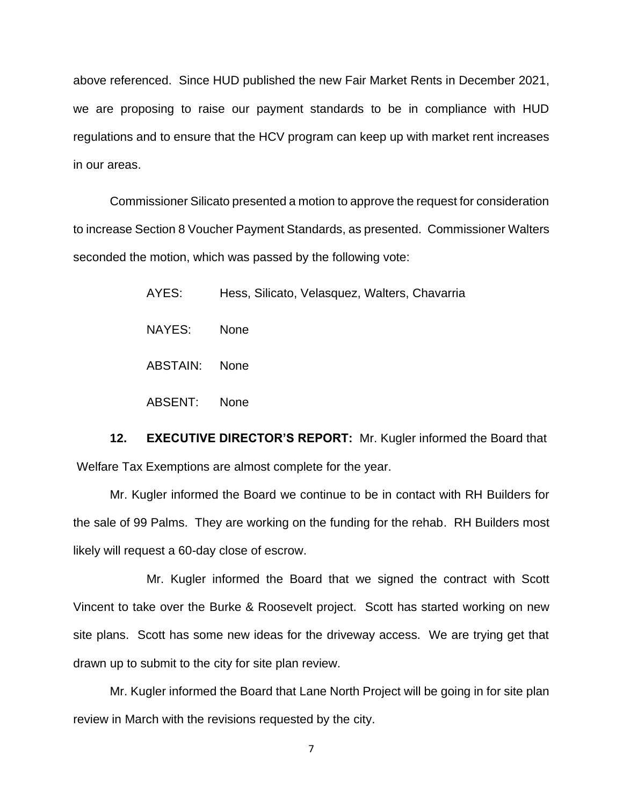above referenced. Since HUD published the new Fair Market Rents in December 2021, we are proposing to raise our payment standards to be in compliance with HUD regulations and to ensure that the HCV program can keep up with market rent increases in our areas.

Commissioner Silicato presented a motion to approve the request for consideration to increase Section 8 Voucher Payment Standards, as presented. Commissioner Walters seconded the motion, which was passed by the following vote:

> AYES: Hess, Silicato, Velasquez, Walters, Chavarria NAYES: None ABSTAIN: None ABSENT: None

**12. EXECUTIVE DIRECTOR'S REPORT:** Mr. Kugler informed the Board that Welfare Tax Exemptions are almost complete for the year.

Mr. Kugler informed the Board we continue to be in contact with RH Builders for the sale of 99 Palms. They are working on the funding for the rehab. RH Builders most likely will request a 60-day close of escrow.

Mr. Kugler informed the Board that we signed the contract with Scott Vincent to take over the Burke & Roosevelt project. Scott has started working on new site plans. Scott has some new ideas for the driveway access. We are trying get that drawn up to submit to the city for site plan review.

Mr. Kugler informed the Board that Lane North Project will be going in for site plan review in March with the revisions requested by the city.

7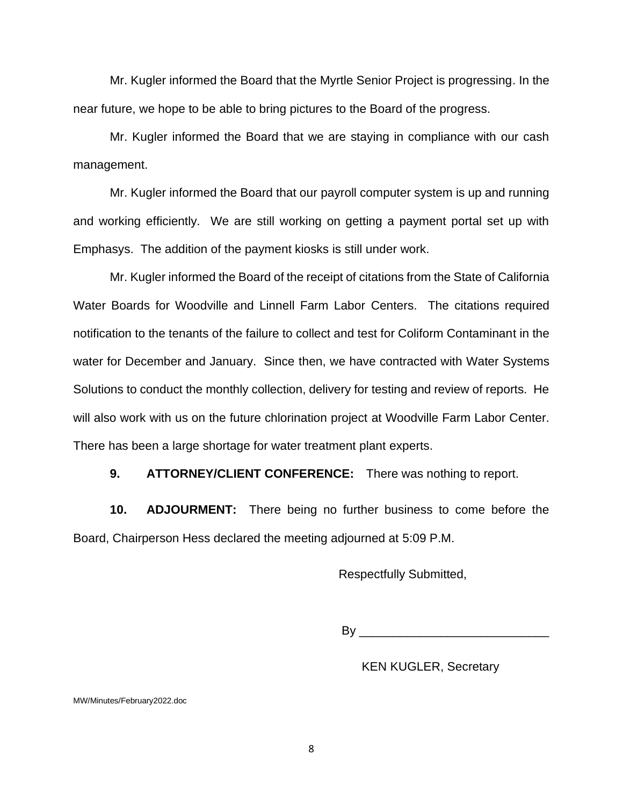Mr. Kugler informed the Board that the Myrtle Senior Project is progressing. In the near future, we hope to be able to bring pictures to the Board of the progress.

Mr. Kugler informed the Board that we are staying in compliance with our cash management.

Mr. Kugler informed the Board that our payroll computer system is up and running and working efficiently. We are still working on getting a payment portal set up with Emphasys. The addition of the payment kiosks is still under work.

Mr. Kugler informed the Board of the receipt of citations from the State of California Water Boards for Woodville and Linnell Farm Labor Centers. The citations required notification to the tenants of the failure to collect and test for Coliform Contaminant in the water for December and January. Since then, we have contracted with Water Systems Solutions to conduct the monthly collection, delivery for testing and review of reports. He will also work with us on the future chlorination project at Woodville Farm Labor Center. There has been a large shortage for water treatment plant experts.

**9. ATTORNEY/CLIENT CONFERENCE:** There was nothing to report.

**10. ADJOURMENT:** There being no further business to come before the Board, Chairperson Hess declared the meeting adjourned at 5:09 P.M.

Respectfully Submitted,

By \_\_\_\_\_\_\_\_\_\_\_\_\_\_\_\_\_\_\_\_\_\_\_\_\_\_\_\_

KEN KUGLER, Secretary

MW/Minutes/February2022.doc

8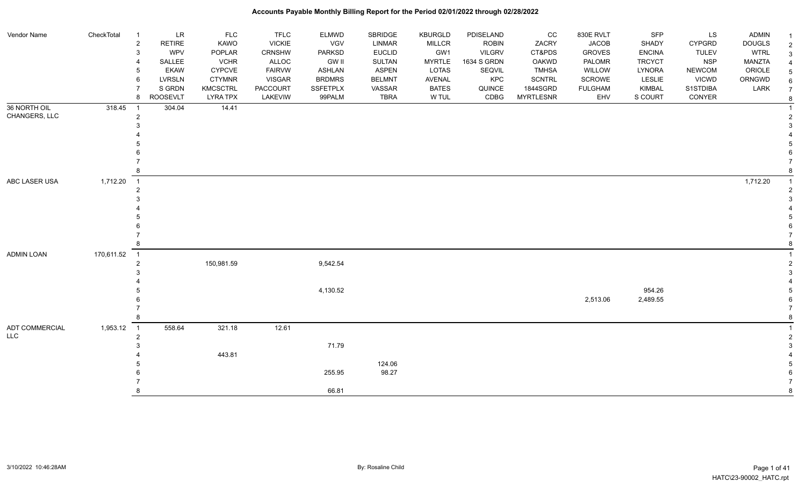| Vendor Name                  | CheckTotal | $\overline{1}$                   | LR              | <b>FLC</b>      | <b>TFLC</b>     | <b>ELMWD</b>    | SBRIDGE       | <b>KBURGLD</b> | PDISELAND     | CC               | 830E RVLT      | <b>SFP</b>    | LS            | ADMIN         |
|------------------------------|------------|----------------------------------|-----------------|-----------------|-----------------|-----------------|---------------|----------------|---------------|------------------|----------------|---------------|---------------|---------------|
|                              |            | $\overline{c}$                   | <b>RETIRE</b>   | <b>KAWO</b>     | <b>VICKIE</b>   | VGV             | LINMAR        | <b>MILLCR</b>  | <b>ROBIN</b>  | ZACRY            | <b>JACOB</b>   | <b>SHADY</b>  | <b>CYPGRD</b> | <b>DOUGLS</b> |
|                              |            | 3                                | <b>WPV</b>      | POPLAR          | <b>CRNSHW</b>   | <b>PARKSD</b>   | <b>EUCLID</b> | GW1            | <b>VILGRV</b> | CT&PDS           | <b>GROVES</b>  | <b>ENCINA</b> | <b>TULEV</b>  | <b>WTRL</b>   |
|                              |            | 4                                | SALLEE          | <b>VCHR</b>     | <b>ALLOC</b>    | <b>GW II</b>    | SULTAN        | <b>MYRTLE</b>  | 1634 S GRDN   | <b>OAKWD</b>     | PALOMR         | <b>TRCYCT</b> | <b>NSP</b>    | MANZTA        |
|                              |            | 5                                | <b>EKAW</b>     | <b>CYPCVE</b>   | <b>FAIRVW</b>   | <b>ASHLAN</b>   | <b>ASPEN</b>  | LOTAS          | SEQVIL        | <b>TMHSA</b>     | WILLOW         | LYNORA        | <b>NEWCOM</b> | ORIOLE        |
|                              |            | 6                                | <b>LVRSLN</b>   | <b>CTYMNR</b>   | <b>VISGAR</b>   | <b>BRDMRS</b>   | <b>BELMNT</b> | <b>AVENAL</b>  | KPC           | <b>SCNTRL</b>    | SCROWE         | <b>LESLIE</b> | <b>VICWD</b>  | ORNGWD        |
|                              |            |                                  | S GRDN          | <b>KMCSCTRL</b> | <b>PACCOURT</b> | <b>SSFETPLX</b> | VASSAR        | <b>BATES</b>   | QUINCE        | 1844SGRD         | <b>FULGHAM</b> | <b>KIMBAL</b> | S1STDIBA      | LARK          |
|                              |            | 8                                | <b>ROOSEVLT</b> | <b>LYRA TPX</b> | LAKEVIW         | 99PALM          | <b>TBRA</b>   | W TUL          | CDBG          | <b>MYRTLESNR</b> | EHV            | S COURT       | CONYER        |               |
| 36 NORTH OIL                 | 318.45     |                                  | 304.04          | 14.41           |                 |                 |               |                |               |                  |                |               |               |               |
| CHANGERS, LLC                |            | $\overline{2}$                   |                 |                 |                 |                 |               |                |               |                  |                |               |               |               |
|                              |            |                                  |                 |                 |                 |                 |               |                |               |                  |                |               |               |               |
|                              |            |                                  |                 |                 |                 |                 |               |                |               |                  |                |               |               |               |
|                              |            |                                  |                 |                 |                 |                 |               |                |               |                  |                |               |               |               |
|                              |            |                                  |                 |                 |                 |                 |               |                |               |                  |                |               |               |               |
|                              |            |                                  |                 |                 |                 |                 |               |                |               |                  |                |               |               |               |
|                              |            |                                  |                 |                 |                 |                 |               |                |               |                  |                |               |               |               |
| ABC LASER USA                | 1,712.20   | $\overline{1}$                   |                 |                 |                 |                 |               |                |               |                  |                |               |               | 1,712.20      |
|                              |            | $\overline{2}$                   |                 |                 |                 |                 |               |                |               |                  |                |               |               |               |
|                              |            |                                  |                 |                 |                 |                 |               |                |               |                  |                |               |               |               |
|                              |            |                                  |                 |                 |                 |                 |               |                |               |                  |                |               |               |               |
|                              |            |                                  |                 |                 |                 |                 |               |                |               |                  |                |               |               |               |
|                              |            |                                  |                 |                 |                 |                 |               |                |               |                  |                |               |               |               |
|                              |            |                                  |                 |                 |                 |                 |               |                |               |                  |                |               |               |               |
|                              |            |                                  |                 |                 |                 |                 |               |                |               |                  |                |               |               |               |
| <b>ADMIN LOAN</b>            | 170,611.52 | $\overline{1}$                   |                 |                 |                 |                 |               |                |               |                  |                |               |               |               |
|                              |            | 2                                |                 | 150,981.59      |                 | 9,542.54        |               |                |               |                  |                |               |               |               |
|                              |            |                                  |                 |                 |                 |                 |               |                |               |                  |                |               |               |               |
|                              |            |                                  |                 |                 |                 |                 |               |                |               |                  |                |               |               |               |
|                              |            |                                  |                 |                 |                 | 4,130.52        |               |                |               |                  |                | 954.26        |               |               |
|                              |            |                                  |                 |                 |                 |                 |               |                |               |                  | 2,513.06       | 2,489.55      |               |               |
|                              |            |                                  |                 |                 |                 |                 |               |                |               |                  |                |               |               |               |
|                              |            | 8                                |                 |                 |                 |                 |               |                |               |                  |                |               |               |               |
| ADT COMMERCIAL<br><b>LLC</b> | 1,953.12   | $\overline{1}$<br>$\overline{2}$ | 558.64          | 321.18          | 12.61           |                 |               |                |               |                  |                |               |               |               |
|                              |            |                                  |                 |                 |                 | 71.79           |               |                |               |                  |                |               |               |               |
|                              |            |                                  |                 | 443.81          |                 |                 |               |                |               |                  |                |               |               |               |
|                              |            |                                  |                 |                 |                 |                 | 124.06        |                |               |                  |                |               |               |               |
|                              |            |                                  |                 |                 |                 | 255.95          | 98.27         |                |               |                  |                |               |               |               |
|                              |            |                                  |                 |                 |                 |                 |               |                |               |                  |                |               |               |               |
|                              |            |                                  |                 |                 |                 | 66.81           |               |                |               |                  |                |               |               |               |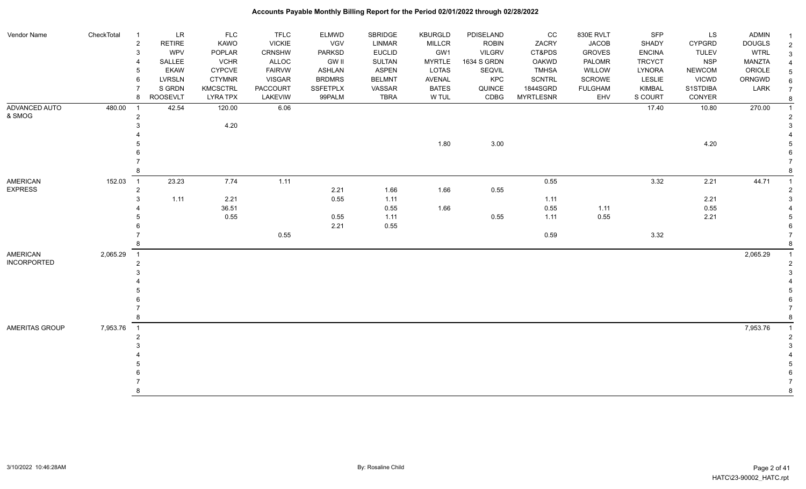| Vendor Name        | CheckTotal | $\overline{1}$             | LR              | <b>FLC</b>      | <b>TFLC</b>     | ELMWD           | <b>SBRIDGE</b> | <b>KBURGLD</b> | PDISELAND     | cc               | 830E RVLT      | <b>SFP</b>    | <b>LS</b>     | <b>ADMIN</b>  | $\overline{1}$ |
|--------------------|------------|----------------------------|-----------------|-----------------|-----------------|-----------------|----------------|----------------|---------------|------------------|----------------|---------------|---------------|---------------|----------------|
|                    |            | $\sqrt{2}$                 | <b>RETIRE</b>   | KAWO            | <b>VICKIE</b>   | VGV             | <b>LINMAR</b>  | <b>MILLCR</b>  | <b>ROBIN</b>  | ZACRY            | <b>JACOB</b>   | SHADY         | <b>CYPGRD</b> | <b>DOUGLS</b> | $\overline{2}$ |
|                    |            | 3                          | <b>WPV</b>      | POPLAR          | CRNSHW          | <b>PARKSD</b>   | <b>EUCLID</b>  | GW1            | <b>VILGRV</b> | CT&PDS           | <b>GROVES</b>  | <b>ENCINA</b> | <b>TULEV</b>  | <b>WTRL</b>   | 3              |
|                    |            |                            | SALLEE          | <b>VCHR</b>     | ALLOC           | <b>GW II</b>    | SULTAN         | <b>MYRTLE</b>  | 1634 S GRDN   | <b>OAKWD</b>     | PALOMR         | <b>TRCYCT</b> | <b>NSP</b>    | MANZTA        |                |
|                    |            | 5                          | <b>EKAW</b>     | <b>CYPCVE</b>   | <b>FAIRVW</b>   | <b>ASHLAN</b>   | <b>ASPEN</b>   | <b>LOTAS</b>   | SEQVIL        | <b>TMHSA</b>     | WILLOW         | <b>LYNORA</b> | <b>NEWCOM</b> | ORIOLE        |                |
|                    |            | 6                          | <b>LVRSLN</b>   | <b>CTYMNR</b>   | <b>VISGAR</b>   | <b>BRDMRS</b>   | <b>BELMNT</b>  | <b>AVENAL</b>  | KPC           | <b>SCNTRL</b>    | SCROWE         | LESLIE        | <b>VICWD</b>  | ORNGWD        |                |
|                    |            |                            | S GRDN          | <b>KMCSCTRL</b> | <b>PACCOURT</b> | <b>SSFETPLX</b> | VASSAR         | <b>BATES</b>   | QUINCE        | 1844SGRD         | <b>FULGHAM</b> | <b>KIMBAL</b> | S1STDIBA      | LARK          |                |
|                    |            | 8                          | <b>ROOSEVLT</b> | <b>LYRA TPX</b> | LAKEVIW         | 99PALM          | <b>TBRA</b>    | W TUL          | CDBG          | <b>MYRTLESNR</b> | EHV            | S COURT       | CONYER        |               |                |
| ADVANCED AUTO      | 480.00     | $\overline{1}$             | 42.54           | 120.00          | 6.06            |                 |                |                |               |                  |                | 17.40         | 10.80         | 270.00        |                |
| & SMOG             |            | $\overline{2}$             |                 |                 |                 |                 |                |                |               |                  |                |               |               |               |                |
|                    |            |                            |                 | 4.20            |                 |                 |                |                |               |                  |                |               |               |               |                |
|                    |            |                            |                 |                 |                 |                 |                |                |               |                  |                |               |               |               |                |
|                    |            |                            |                 |                 |                 |                 |                | 1.80           | 3.00          |                  |                |               | 4.20          |               |                |
|                    |            |                            |                 |                 |                 |                 |                |                |               |                  |                |               |               |               |                |
|                    |            |                            |                 |                 |                 |                 |                |                |               |                  |                |               |               |               |                |
|                    |            |                            |                 |                 |                 |                 |                |                |               |                  |                |               |               |               |                |
| AMERICAN           | 152.03     | $\overline{1}$             | 23.23           | 7.74            | 1.11            |                 |                |                |               | 0.55             |                | 3.32          | 2.21          | 44.71         |                |
| <b>EXPRESS</b>     |            | $\overline{2}$             |                 |                 |                 | 2.21            | 1.66           | 1.66           | 0.55          |                  |                |               |               |               |                |
|                    |            | 3                          | 1.11            | 2.21            |                 | 0.55            | 1.11           |                |               | 1.11             |                |               | 2.21          |               |                |
|                    |            |                            |                 | 36.51           |                 |                 | 0.55           | 1.66           |               | 0.55             | 1.11           |               | 0.55          |               |                |
|                    |            |                            |                 | 0.55            |                 | 0.55            | 1.11           |                | 0.55          | 1.11             | 0.55           |               | 2.21          |               |                |
|                    |            |                            |                 |                 |                 | 2.21            | $0.55\,$       |                |               |                  |                |               |               |               |                |
|                    |            |                            |                 |                 | 0.55            |                 |                |                |               | 0.59             |                | 3.32          |               |               |                |
|                    |            | 8                          |                 |                 |                 |                 |                |                |               |                  |                |               |               |               |                |
| AMERICAN           | 2,065.29   | $\overline{1}$             |                 |                 |                 |                 |                |                |               |                  |                |               |               | 2,065.29      |                |
| <b>INCORPORTED</b> |            | $\overline{2}$             |                 |                 |                 |                 |                |                |               |                  |                |               |               |               |                |
|                    |            |                            |                 |                 |                 |                 |                |                |               |                  |                |               |               |               |                |
|                    |            |                            |                 |                 |                 |                 |                |                |               |                  |                |               |               |               |                |
|                    |            |                            |                 |                 |                 |                 |                |                |               |                  |                |               |               |               |                |
|                    |            |                            |                 |                 |                 |                 |                |                |               |                  |                |               |               |               |                |
|                    |            |                            |                 |                 |                 |                 |                |                |               |                  |                |               |               |               |                |
|                    |            |                            |                 |                 |                 |                 |                |                |               |                  |                |               |               |               |                |
| AMERITAS GROUP     | 7,953.76   | $\overline{\phantom{0}}$ 1 |                 |                 |                 |                 |                |                |               |                  |                |               |               | 7,953.76      |                |
|                    |            | $\overline{2}$             |                 |                 |                 |                 |                |                |               |                  |                |               |               |               |                |
|                    |            |                            |                 |                 |                 |                 |                |                |               |                  |                |               |               |               |                |
|                    |            |                            |                 |                 |                 |                 |                |                |               |                  |                |               |               |               |                |
|                    |            |                            |                 |                 |                 |                 |                |                |               |                  |                |               |               |               |                |
|                    |            |                            |                 |                 |                 |                 |                |                |               |                  |                |               |               |               |                |
|                    |            |                            |                 |                 |                 |                 |                |                |               |                  |                |               |               |               |                |
|                    |            |                            |                 |                 |                 |                 |                |                |               |                  |                |               |               |               |                |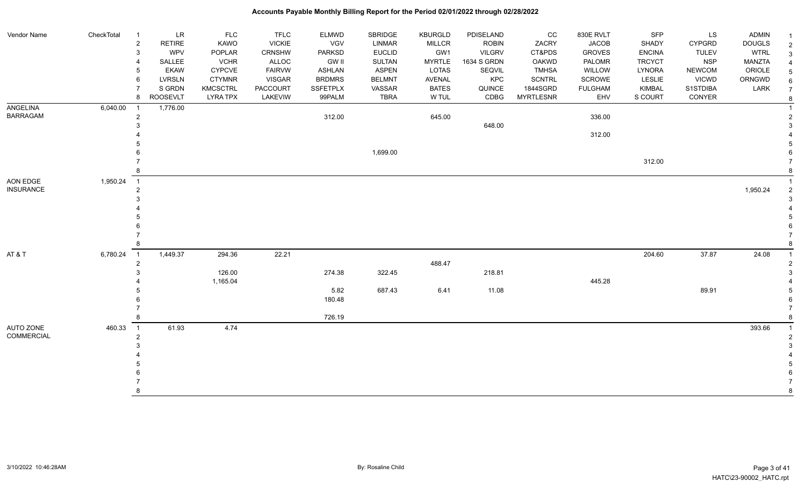| Vendor Name      | CheckTotal | $\overline{1}$ | $\ensuremath{\mathsf{LR}}\xspace$ | <b>FLC</b>      | <b>TFLC</b>   | <b>ELMWD</b>    | SBRIDGE       | <b>KBURGLD</b> | PDISELAND     | cc               | 830E RVLT      | SFP           | <b>LS</b>     | <b>ADMIN</b>  |                |
|------------------|------------|----------------|-----------------------------------|-----------------|---------------|-----------------|---------------|----------------|---------------|------------------|----------------|---------------|---------------|---------------|----------------|
|                  |            | $\overline{2}$ | <b>RETIRE</b>                     | <b>KAWO</b>     | <b>VICKIE</b> | VGV             | LINMAR        | <b>MILLCR</b>  | <b>ROBIN</b>  | ZACRY            | <b>JACOB</b>   | SHADY         | <b>CYPGRD</b> | <b>DOUGLS</b> | $\overline{2}$ |
|                  |            | 3              | <b>WPV</b>                        | POPLAR          | CRNSHW        | <b>PARKSD</b>   | <b>EUCLID</b> | GW1            | <b>VILGRV</b> | CT&PDS           | <b>GROVES</b>  | <b>ENCINA</b> | <b>TULEV</b>  | <b>WTRL</b>   | 3              |
|                  |            | $\overline{4}$ | SALLEE                            | <b>VCHR</b>     | ALLOC         | <b>GW II</b>    | <b>SULTAN</b> | <b>MYRTLE</b>  | 1634 S GRDN   | <b>OAKWD</b>     | <b>PALOMR</b>  | <b>TRCYCT</b> | <b>NSP</b>    | MANZTA        |                |
|                  |            | 5              | <b>EKAW</b>                       | <b>CYPCVE</b>   | <b>FAIRVW</b> | <b>ASHLAN</b>   | ASPEN         | LOTAS          | SEQVIL        | TMHSA            | WILLOW         | LYNORA        | <b>NEWCOM</b> | ORIOLE        |                |
|                  |            | 6              | <b>LVRSLN</b>                     | <b>CTYMNR</b>   | <b>VISGAR</b> | <b>BRDMRS</b>   | <b>BELMNT</b> | AVENAL         | KPC           | <b>SCNTRL</b>    | SCROWE         | LESLIE        | <b>VICWD</b>  | ORNGWD        |                |
|                  |            | $\overline{7}$ | S GRDN                            | <b>KMCSCTRL</b> | PACCOURT      | <b>SSFETPLX</b> | VASSAR        | <b>BATES</b>   | QUINCE        | 1844SGRD         | <b>FULGHAM</b> | <b>KIMBAL</b> | S1STDIBA      | LARK          |                |
|                  |            | 8              | <b>ROOSEVLT</b>                   | <b>LYRA TPX</b> | LAKEVIW       | 99PALM          | <b>TBRA</b>   | W TUL          | CDBG          | <b>MYRTLESNR</b> | EHV            | S COURT       | CONYER        |               | 8              |
| <b>ANGELINA</b>  | 6,040.00   | $\overline{1}$ | 1,776.00                          |                 |               |                 |               |                |               |                  |                |               |               |               |                |
| <b>BARRAGAM</b>  |            | $\overline{2}$ |                                   |                 |               | 312.00          |               | 645.00         |               |                  | 336.00         |               |               |               |                |
|                  |            | 3              |                                   |                 |               |                 |               |                | 648.00        |                  |                |               |               |               |                |
|                  |            |                |                                   |                 |               |                 |               |                |               |                  | 312.00         |               |               |               |                |
|                  |            |                |                                   |                 |               |                 |               |                |               |                  |                |               |               |               |                |
|                  |            |                |                                   |                 |               |                 | 1,699.00      |                |               |                  |                |               |               |               |                |
|                  |            |                |                                   |                 |               |                 |               |                |               |                  |                | 312.00        |               |               |                |
|                  |            | 8              |                                   |                 |               |                 |               |                |               |                  |                |               |               |               |                |
| AON EDGE         | 1,950.24   | $\overline{1}$ |                                   |                 |               |                 |               |                |               |                  |                |               |               |               |                |
| <b>INSURANCE</b> |            | $\overline{2}$ |                                   |                 |               |                 |               |                |               |                  |                |               |               | 1,950.24      |                |
|                  |            | 3              |                                   |                 |               |                 |               |                |               |                  |                |               |               |               |                |
|                  |            |                |                                   |                 |               |                 |               |                |               |                  |                |               |               |               |                |
|                  |            |                |                                   |                 |               |                 |               |                |               |                  |                |               |               |               |                |
|                  |            | 6              |                                   |                 |               |                 |               |                |               |                  |                |               |               |               |                |
|                  |            |                |                                   |                 |               |                 |               |                |               |                  |                |               |               |               |                |
|                  |            | 8              |                                   |                 |               |                 |               |                |               |                  |                |               |               |               |                |
| AT&T             | 6,780.24   | $\overline{1}$ | 1,449.37                          | 294.36          | 22.21         |                 |               |                |               |                  |                | 204.60        | 37.87         | 24.08         |                |
|                  |            | $\overline{2}$ |                                   |                 |               |                 |               | 488.47         |               |                  |                |               |               |               |                |
|                  |            | 3              |                                   | 126.00          |               | 274.38          | 322.45        |                | 218.81        |                  |                |               |               |               |                |
|                  |            |                |                                   | 1,165.04        |               |                 |               |                |               |                  | 445.28         |               |               |               |                |
|                  |            |                |                                   |                 |               | 5.82            | 687.43        | 6.41           | 11.08         |                  |                |               | 89.91         |               |                |
|                  |            |                |                                   |                 |               | 180.48          |               |                |               |                  |                |               |               |               |                |
|                  |            | $\overline{7}$ |                                   |                 |               |                 |               |                |               |                  |                |               |               |               |                |
|                  |            | 8              |                                   |                 |               | 726.19          |               |                |               |                  |                |               |               |               |                |
| AUTO ZONE        | 460.33     | $\overline{1}$ | 61.93                             | 4.74            |               |                 |               |                |               |                  |                |               |               | 393.66        |                |
| COMMERCIAL       |            | $\overline{2}$ |                                   |                 |               |                 |               |                |               |                  |                |               |               |               |                |
|                  |            | 3              |                                   |                 |               |                 |               |                |               |                  |                |               |               |               |                |
|                  |            |                |                                   |                 |               |                 |               |                |               |                  |                |               |               |               |                |
|                  |            |                |                                   |                 |               |                 |               |                |               |                  |                |               |               |               |                |
|                  |            |                |                                   |                 |               |                 |               |                |               |                  |                |               |               |               |                |
|                  |            |                |                                   |                 |               |                 |               |                |               |                  |                |               |               |               |                |
|                  |            | $\mathsf{R}$   |                                   |                 |               |                 |               |                |               |                  |                |               |               |               |                |
|                  |            |                |                                   |                 |               |                 |               |                |               |                  |                |               |               |               |                |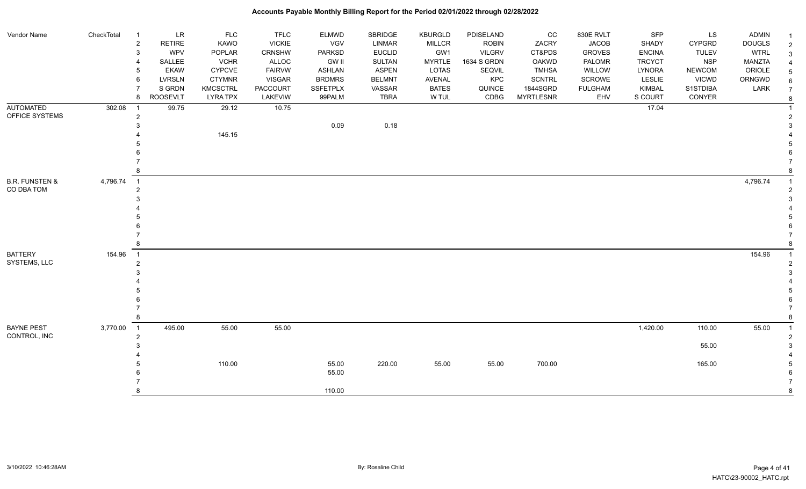| Vendor Name                       | CheckTotal | $\overline{1}$                               | <b>LR</b>     | <b>FLC</b>      | <b>TFLC</b>     | <b>ELMWD</b>    | SBRIDGE       | <b>KBURGLD</b> | PDISELAND     | cc               | 830E RVLT      | <b>SFP</b>    | LS            | <b>ADMIN</b>  | - 1                              |
|-----------------------------------|------------|----------------------------------------------|---------------|-----------------|-----------------|-----------------|---------------|----------------|---------------|------------------|----------------|---------------|---------------|---------------|----------------------------------|
|                                   |            | $\overline{2}$                               | <b>RETIRE</b> | <b>KAWO</b>     | <b>VICKIE</b>   | VGV             | LINMAR        | <b>MILLCR</b>  | <b>ROBIN</b>  | ZACRY            | <b>JACOB</b>   | SHADY         | <b>CYPGRD</b> | <b>DOUGLS</b> | $\overline{2}$                   |
|                                   |            | 3                                            | <b>WPV</b>    | POPLAR          | <b>CRNSHW</b>   | <b>PARKSD</b>   | <b>EUCLID</b> | GW1            | <b>VILGRV</b> | CT&PDS           | <b>GROVES</b>  | <b>ENCINA</b> | <b>TULEV</b>  | <b>WTRL</b>   | 3                                |
|                                   |            | 4                                            | SALLEE        | <b>VCHR</b>     | ALLOC           | <b>GW II</b>    | SULTAN        | <b>MYRTLE</b>  | 1634 S GRDN   | <b>OAKWD</b>     | PALOMR         | <b>TRCYCT</b> | <b>NSP</b>    | <b>MANZTA</b> |                                  |
|                                   |            | 5                                            | <b>EKAW</b>   | <b>CYPCVE</b>   | <b>FAIRVW</b>   | <b>ASHLAN</b>   | <b>ASPEN</b>  | LOTAS          | SEQVIL        | <b>TMHSA</b>     | WILLOW         | <b>LYNORA</b> | <b>NEWCOM</b> | ORIOLE        |                                  |
|                                   |            | 6                                            | <b>LVRSLN</b> | <b>CTYMNR</b>   | <b>VISGAR</b>   | <b>BRDMRS</b>   | <b>BELMNT</b> | <b>AVENAL</b>  | KPC           | <b>SCNTRL</b>    | SCROWE         | <b>LESLIE</b> | <b>VICWD</b>  | ORNGWD        | 6                                |
|                                   |            | $\overline{7}$                               | S GRDN        | <b>KMCSCTRL</b> | <b>PACCOURT</b> | <b>SSFETPLX</b> | VASSAR        | <b>BATES</b>   | QUINCE        | 1844SGRD         | <b>FULGHAM</b> | <b>KIMBAL</b> | S1STDIBA      | LARK          | $\overline{7}$                   |
|                                   |            | 8                                            | ROOSEVLT      | <b>LYRA TPX</b> | LAKEVIW         | 99PALM          | <b>TBRA</b>   | W TUL          | CDBG          | <b>MYRTLESNR</b> | EHV            | S COURT       | CONYER        |               | 8                                |
| <b>AUTOMATED</b>                  | 302.08     | $\overline{\phantom{0}}$                     | 99.75         | 29.12           | 10.75           |                 |               |                |               |                  |                | 17.04         |               |               | $\overline{\mathbf{1}}$          |
| OFFICE SYSTEMS                    |            | $\overline{2}$                               |               |                 |                 |                 |               |                |               |                  |                |               |               |               | $\overline{2}$                   |
|                                   |            | 3                                            |               |                 |                 | 0.09            | 0.18          |                |               |                  |                |               |               |               |                                  |
|                                   |            |                                              |               | 145.15          |                 |                 |               |                |               |                  |                |               |               |               |                                  |
|                                   |            |                                              |               |                 |                 |                 |               |                |               |                  |                |               |               |               |                                  |
|                                   |            |                                              |               |                 |                 |                 |               |                |               |                  |                |               |               |               |                                  |
|                                   |            |                                              |               |                 |                 |                 |               |                |               |                  |                |               |               |               |                                  |
|                                   |            | 8                                            |               |                 |                 |                 |               |                |               |                  |                |               |               |               |                                  |
| <b>B.R. FUNSTEN &amp;</b>         | 4,796.74   | $\overline{\phantom{0}}$ 1                   |               |                 |                 |                 |               |                |               |                  |                |               |               | 4,796.74      |                                  |
| CO DBA TOM                        |            | $\overline{2}$                               |               |                 |                 |                 |               |                |               |                  |                |               |               |               |                                  |
|                                   |            | 3                                            |               |                 |                 |                 |               |                |               |                  |                |               |               |               |                                  |
|                                   |            |                                              |               |                 |                 |                 |               |                |               |                  |                |               |               |               |                                  |
|                                   |            |                                              |               |                 |                 |                 |               |                |               |                  |                |               |               |               |                                  |
|                                   |            |                                              |               |                 |                 |                 |               |                |               |                  |                |               |               |               |                                  |
|                                   |            |                                              |               |                 |                 |                 |               |                |               |                  |                |               |               |               |                                  |
|                                   |            | 8                                            |               |                 |                 |                 |               |                |               |                  |                |               |               |               |                                  |
| <b>BATTERY</b>                    | 154.96     | $\overline{\phantom{0}}$ 1                   |               |                 |                 |                 |               |                |               |                  |                |               |               | 154.96        |                                  |
| SYSTEMS, LLC                      |            | $\overline{2}$                               |               |                 |                 |                 |               |                |               |                  |                |               |               |               |                                  |
|                                   |            |                                              |               |                 |                 |                 |               |                |               |                  |                |               |               |               |                                  |
|                                   |            |                                              |               |                 |                 |                 |               |                |               |                  |                |               |               |               |                                  |
|                                   |            |                                              |               |                 |                 |                 |               |                |               |                  |                |               |               |               |                                  |
|                                   |            |                                              |               |                 |                 |                 |               |                |               |                  |                |               |               |               |                                  |
|                                   |            |                                              |               |                 |                 |                 |               |                |               |                  |                |               |               |               |                                  |
|                                   |            | 8                                            |               |                 |                 |                 |               |                |               |                  |                |               |               |               | 8                                |
| <b>BAYNE PEST</b><br>CONTROL, INC | 3,770.00   | $\overline{\phantom{0}}$ 1<br>$\overline{2}$ | 495.00        | 55.00           | 55.00           |                 |               |                |               |                  |                | 1,420.00      | 110.00        | 55.00         | $\overline{1}$<br>$\overline{2}$ |
|                                   |            |                                              |               |                 |                 |                 |               |                |               |                  |                |               | 55.00         |               |                                  |
|                                   |            |                                              |               |                 |                 |                 |               |                |               |                  |                |               |               |               |                                  |
|                                   |            |                                              |               | 110.00          |                 | 55.00           | 220.00        | 55.00          | 55.00         | 700.00           |                |               | 165.00        |               |                                  |
|                                   |            |                                              |               |                 |                 | 55.00           |               |                |               |                  |                |               |               |               |                                  |
|                                   |            |                                              |               |                 |                 |                 |               |                |               |                  |                |               |               |               |                                  |
|                                   |            | 8                                            |               |                 |                 | 110.00          |               |                |               |                  |                |               |               |               | 8                                |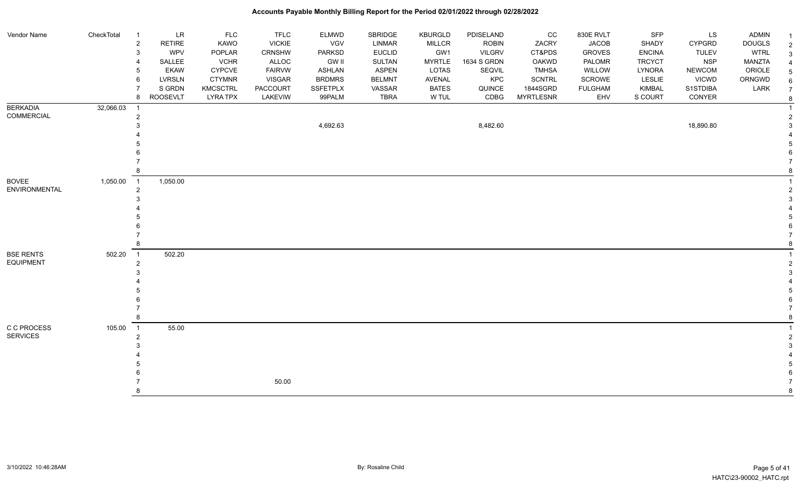| Vendor Name          | CheckTotal | LR<br>$\overline{1}$            | <b>FLC</b>      | <b>TFLC</b>     | <b>ELMWD</b>    | SBRIDGE       | <b>KBURGLD</b> | PDISELAND     | CC               | 830E RVLT      | SFP           | LS            | <b>ADMIN</b>  |                |
|----------------------|------------|---------------------------------|-----------------|-----------------|-----------------|---------------|----------------|---------------|------------------|----------------|---------------|---------------|---------------|----------------|
|                      |            | <b>RETIRE</b><br>$\overline{c}$ | KAWO            | <b>VICKIE</b>   | VGV             | LINMAR        | MILLCR         | <b>ROBIN</b>  | ZACRY            | <b>JACOB</b>   | SHADY         | <b>CYPGRD</b> | <b>DOUGLS</b> | $\sqrt{2}$     |
|                      |            | <b>WPV</b><br>3                 | POPLAR          | <b>CRNSHW</b>   | PARKSD          | <b>EUCLID</b> | GW1            | <b>VILGRV</b> | CT&PDS           | <b>GROVES</b>  | <b>ENCINA</b> | <b>TULEV</b>  | <b>WTRL</b>   | 3              |
|                      |            | SALLEE                          | <b>VCHR</b>     | ALLOC           | <b>GW II</b>    | SULTAN        | <b>MYRTLE</b>  | 1634 S GRDN   | OAKWD            | PALOMR         | <b>TRCYCT</b> | <b>NSP</b>    | MANZTA        | $\overline{4}$ |
|                      |            | <b>EKAW</b>                     | CYPCVE          | <b>FAIRVW</b>   | ASHLAN          | <b>ASPEN</b>  | LOTAS          | SEQVIL        | <b>TMHSA</b>     | WILLOW         | <b>LYNORA</b> | <b>NEWCOM</b> | ORIOLE        | 5              |
|                      |            | <b>LVRSLN</b><br>6              | <b>CTYMNR</b>   | <b>VISGAR</b>   | <b>BRDMRS</b>   | <b>BELMNT</b> | <b>AVENAL</b>  | KPC           | <b>SCNTRL</b>    | SCROWE         | <b>LESLIE</b> | <b>VICWD</b>  | ORNGWD        | 6              |
|                      |            | S GRDN                          | <b>KMCSCTRL</b> | <b>PACCOURT</b> | <b>SSFETPLX</b> | VASSAR        | <b>BATES</b>   | QUINCE        | 1844SGRD         | <b>FULGHAM</b> | <b>KIMBAL</b> | S1STDIBA      | LARK          | $\overline{7}$ |
|                      |            | <b>ROOSEVLT</b><br>8            | <b>LYRA TPX</b> | LAKEVIW         | 99PALM          | <b>TBRA</b>   | W TUL          | CDBG          | <b>MYRTLESNR</b> | EHV            | S COURT       | CONYER        |               | 8              |
| <b>BERKADIA</b>      | 32,066.03  |                                 |                 |                 |                 |               |                |               |                  |                |               |               |               |                |
| COMMERCIAL           |            | $\overline{2}$                  |                 |                 |                 |               |                |               |                  |                |               |               |               |                |
|                      |            |                                 |                 |                 | 4,692.63        |               |                | 8,482.60      |                  |                |               | 18,890.80     |               | 3              |
|                      |            |                                 |                 |                 |                 |               |                |               |                  |                |               |               |               |                |
|                      |            |                                 |                 |                 |                 |               |                |               |                  |                |               |               |               |                |
|                      |            |                                 |                 |                 |                 |               |                |               |                  |                |               |               |               |                |
|                      |            |                                 |                 |                 |                 |               |                |               |                  |                |               |               |               |                |
|                      |            |                                 |                 |                 |                 |               |                |               |                  |                |               |               |               |                |
| <b>BOVEE</b>         | 1,050.00   | 1,050.00<br>$\overline{1}$      |                 |                 |                 |               |                |               |                  |                |               |               |               |                |
| <b>ENVIRONMENTAL</b> |            | $\mathfrak{p}$                  |                 |                 |                 |               |                |               |                  |                |               |               |               | $\overline{2}$ |
|                      |            |                                 |                 |                 |                 |               |                |               |                  |                |               |               |               |                |
|                      |            |                                 |                 |                 |                 |               |                |               |                  |                |               |               |               |                |
|                      |            |                                 |                 |                 |                 |               |                |               |                  |                |               |               |               |                |
|                      |            |                                 |                 |                 |                 |               |                |               |                  |                |               |               |               |                |
|                      |            |                                 |                 |                 |                 |               |                |               |                  |                |               |               |               |                |
|                      |            |                                 |                 |                 |                 |               |                |               |                  |                |               |               |               |                |
| <b>BSE RENTS</b>     | 502.20     | 502.20<br>$\overline{1}$        |                 |                 |                 |               |                |               |                  |                |               |               |               |                |
| <b>EQUIPMENT</b>     |            | $\overline{2}$                  |                 |                 |                 |               |                |               |                  |                |               |               |               |                |
|                      |            |                                 |                 |                 |                 |               |                |               |                  |                |               |               |               |                |
|                      |            |                                 |                 |                 |                 |               |                |               |                  |                |               |               |               |                |
|                      |            |                                 |                 |                 |                 |               |                |               |                  |                |               |               |               |                |
|                      |            |                                 |                 |                 |                 |               |                |               |                  |                |               |               |               |                |
|                      |            |                                 |                 |                 |                 |               |                |               |                  |                |               |               |               |                |
|                      |            |                                 |                 |                 |                 |               |                |               |                  |                |               |               |               |                |
| C C PROCESS          | 105.00     | 55.00<br>$\overline{1}$         |                 |                 |                 |               |                |               |                  |                |               |               |               |                |
| <b>SERVICES</b>      |            | 2                               |                 |                 |                 |               |                |               |                  |                |               |               |               | $\overline{2}$ |
|                      |            |                                 |                 |                 |                 |               |                |               |                  |                |               |               |               |                |
|                      |            |                                 |                 |                 |                 |               |                |               |                  |                |               |               |               |                |
|                      |            |                                 |                 |                 |                 |               |                |               |                  |                |               |               |               |                |
|                      |            |                                 |                 |                 |                 |               |                |               |                  |                |               |               |               |                |
|                      |            |                                 |                 | 50.00           |                 |               |                |               |                  |                |               |               |               |                |
|                      |            |                                 |                 |                 |                 |               |                |               |                  |                |               |               |               | 8              |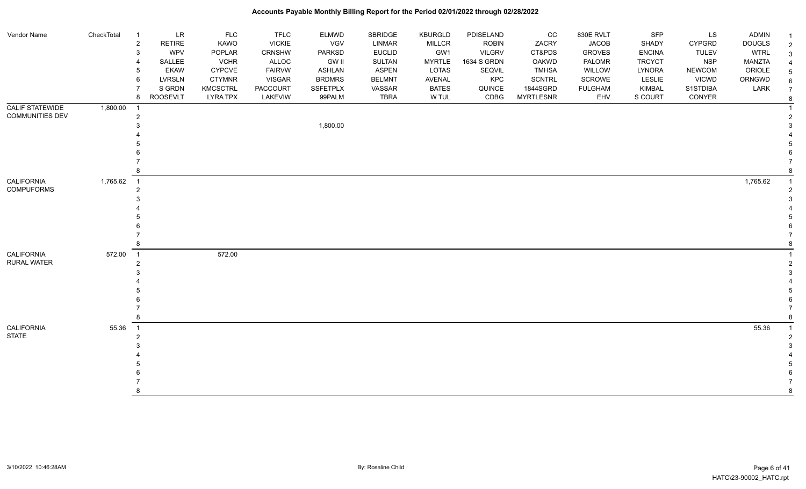| Vendor Name            | CheckTotal | $\overline{1}$ | <b>LR</b>     | <b>FLC</b>      | <b>TFLC</b>   | <b>ELMWD</b>    | SBRIDGE       | <b>KBURGLD</b> | PDISELAND     | CC               | 830E RVLT      | SFP           | LS            | <b>ADMIN</b>  |  |
|------------------------|------------|----------------|---------------|-----------------|---------------|-----------------|---------------|----------------|---------------|------------------|----------------|---------------|---------------|---------------|--|
|                        |            | $\sqrt{2}$     | <b>RETIRE</b> | KAWO            | <b>VICKIE</b> | VGV             | LINMAR        | <b>MILLCR</b>  | <b>ROBIN</b>  | ZACRY            | <b>JACOB</b>   | SHADY         | <b>CYPGRD</b> | <b>DOUGLS</b> |  |
|                        |            | 3              | WPV           | POPLAR          | <b>CRNSHW</b> | <b>PARKSD</b>   | <b>EUCLID</b> | GW1            | <b>VILGRV</b> | CT&PDS           | <b>GROVES</b>  | <b>ENCINA</b> | <b>TULEV</b>  | <b>WTRL</b>   |  |
|                        |            | $\overline{4}$ | SALLEE        | <b>VCHR</b>     | ALLOC         | <b>GW II</b>    | SULTAN        | <b>MYRTLE</b>  | 1634 S GRDN   | <b>OAKWD</b>     | PALOMR         | <b>TRCYCT</b> | <b>NSP</b>    | MANZTA        |  |
|                        |            | 5              | <b>EKAW</b>   | <b>CYPCVE</b>   | <b>FAIRVW</b> | <b>ASHLAN</b>   | ASPEN         | LOTAS          | SEQVIL        | <b>TMHSA</b>     | WILLOW         | LYNORA        | <b>NEWCOM</b> | ORIOLE        |  |
|                        |            | 6              | LVRSLN        | <b>CTYMNR</b>   | <b>VISGAR</b> | <b>BRDMRS</b>   | <b>BELMNT</b> | <b>AVENAL</b>  | <b>KPC</b>    | <b>SCNTRL</b>    | <b>SCROWE</b>  | <b>LESLIE</b> | <b>VICWD</b>  | ORNGWD        |  |
|                        |            |                | S GRDN        | <b>KMCSCTRL</b> | PACCOURT      | <b>SSFETPLX</b> | VASSAR        | <b>BATES</b>   | QUINCE        | 1844SGRD         | <b>FULGHAM</b> | <b>KIMBAL</b> | S1STDIBA      | LARK          |  |
|                        |            | 8              | ROOSEVLT      | <b>LYRA TPX</b> | LAKEVIW       | 99PALM          | TBRA          | W TUL          | CDBG          | <b>MYRTLESNR</b> | EHV            | S COURT       | CONYER        |               |  |
| <b>CALIF STATEWIDE</b> | 1,800.00   | $\overline{1}$ |               |                 |               |                 |               |                |               |                  |                |               |               |               |  |
| <b>COMMUNITIES DEV</b> |            | $\overline{2}$ |               |                 |               |                 |               |                |               |                  |                |               |               |               |  |
|                        |            | 3              |               |                 |               | 1,800.00        |               |                |               |                  |                |               |               |               |  |
|                        |            |                |               |                 |               |                 |               |                |               |                  |                |               |               |               |  |
|                        |            |                |               |                 |               |                 |               |                |               |                  |                |               |               |               |  |
|                        |            |                |               |                 |               |                 |               |                |               |                  |                |               |               |               |  |
|                        |            |                |               |                 |               |                 |               |                |               |                  |                |               |               |               |  |
|                        |            | 8              |               |                 |               |                 |               |                |               |                  |                |               |               |               |  |
| CALIFORNIA             | 1,765.62   | $\overline{1}$ |               |                 |               |                 |               |                |               |                  |                |               |               | 1,765.62      |  |
| <b>COMPUFORMS</b>      |            | $\overline{2}$ |               |                 |               |                 |               |                |               |                  |                |               |               |               |  |
|                        |            | 3              |               |                 |               |                 |               |                |               |                  |                |               |               |               |  |
|                        |            |                |               |                 |               |                 |               |                |               |                  |                |               |               |               |  |
|                        |            |                |               |                 |               |                 |               |                |               |                  |                |               |               |               |  |
|                        |            |                |               |                 |               |                 |               |                |               |                  |                |               |               |               |  |
|                        |            |                |               |                 |               |                 |               |                |               |                  |                |               |               |               |  |
|                        |            | 8              |               |                 |               |                 |               |                |               |                  |                |               |               |               |  |
| CALIFORNIA             | 572.00     | $\overline{1}$ |               | 572.00          |               |                 |               |                |               |                  |                |               |               |               |  |
| RURAL WATER            |            | $\overline{c}$ |               |                 |               |                 |               |                |               |                  |                |               |               |               |  |
|                        |            | 3              |               |                 |               |                 |               |                |               |                  |                |               |               |               |  |
|                        |            |                |               |                 |               |                 |               |                |               |                  |                |               |               |               |  |
|                        |            |                |               |                 |               |                 |               |                |               |                  |                |               |               |               |  |
|                        |            |                |               |                 |               |                 |               |                |               |                  |                |               |               |               |  |
|                        |            |                |               |                 |               |                 |               |                |               |                  |                |               |               |               |  |
|                        |            | 8              |               |                 |               |                 |               |                |               |                  |                |               |               |               |  |
| <b>CALIFORNIA</b>      | 55.36      | $\overline{1}$ |               |                 |               |                 |               |                |               |                  |                |               |               | 55.36         |  |
| <b>STATE</b>           |            | $\overline{2}$ |               |                 |               |                 |               |                |               |                  |                |               |               |               |  |
|                        |            | 3              |               |                 |               |                 |               |                |               |                  |                |               |               |               |  |
|                        |            |                |               |                 |               |                 |               |                |               |                  |                |               |               |               |  |
|                        |            |                |               |                 |               |                 |               |                |               |                  |                |               |               |               |  |
|                        |            |                |               |                 |               |                 |               |                |               |                  |                |               |               |               |  |
|                        |            |                |               |                 |               |                 |               |                |               |                  |                |               |               |               |  |
|                        |            | 8              |               |                 |               |                 |               |                |               |                  |                |               |               |               |  |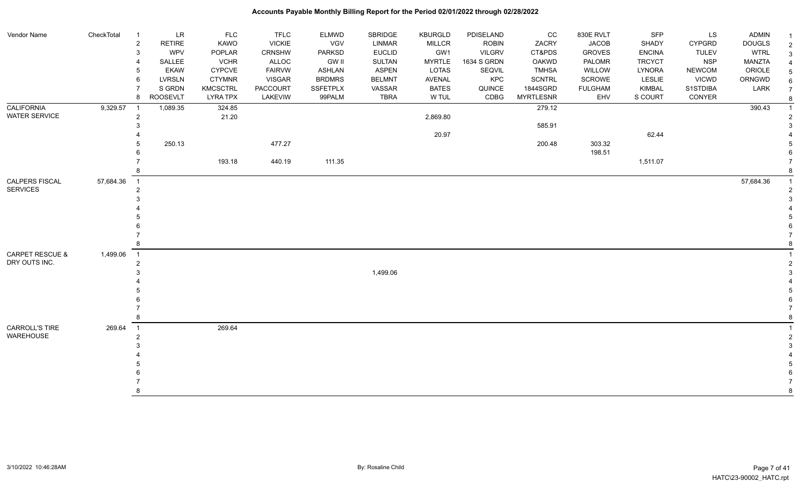| Vendor Name           | CheckTotal | $\overline{1}$           | LR              | <b>FLC</b>      | <b>TFLC</b>     | <b>ELMWD</b>    | SBRIDGE       | <b>KBURGLD</b> | PDISELAND     | CC               | 830E RVLT      | <b>SFP</b>    | LS            | <b>ADMIN</b>  |  |
|-----------------------|------------|--------------------------|-----------------|-----------------|-----------------|-----------------|---------------|----------------|---------------|------------------|----------------|---------------|---------------|---------------|--|
|                       |            | $\overline{c}$           | <b>RETIRE</b>   | KAWO            | <b>VICKIE</b>   | VGV             | <b>LINMAR</b> | MILLCR         | <b>ROBIN</b>  | ZACRY            | <b>JACOB</b>   | SHADY         | <b>CYPGRD</b> | <b>DOUGLS</b> |  |
|                       |            | 3                        | WPV             | POPLAR          | <b>CRNSHW</b>   | <b>PARKSD</b>   | <b>EUCLID</b> | GW1            | <b>VILGRV</b> | CT&PDS           | <b>GROVES</b>  | <b>ENCINA</b> | <b>TULEV</b>  | <b>WTRL</b>   |  |
|                       |            | $\overline{4}$           | SALLEE          | <b>VCHR</b>     | ALLOC           | <b>GW II</b>    | <b>SULTAN</b> | <b>MYRTLE</b>  | 1634 S GRDN   | <b>OAKWD</b>     | PALOMR         | <b>TRCYCT</b> | <b>NSP</b>    | MANZTA        |  |
|                       |            | 5                        | <b>EKAW</b>     | <b>CYPCVE</b>   | <b>FAIRVW</b>   | <b>ASHLAN</b>   | ASPEN         | LOTAS          | SEQVIL        | <b>TMHSA</b>     | WILLOW         | LYNORA        | <b>NEWCOM</b> | ORIOLE        |  |
|                       |            | 6                        | <b>LVRSLN</b>   | <b>CTYMNR</b>   | <b>VISGAR</b>   | <b>BRDMRS</b>   | <b>BELMNT</b> | <b>AVENAL</b>  | KPC           | <b>SCNTRL</b>    | <b>SCROWE</b>  | LESLIE        | <b>VICWD</b>  | ORNGWD        |  |
|                       |            | 7                        | S GRDN          | <b>KMCSCTRL</b> | <b>PACCOURT</b> | <b>SSFETPLX</b> | VASSAR        | <b>BATES</b>   | QUINCE        | 1844SGRD         | <b>FULGHAM</b> | <b>KIMBAL</b> | S1STDIBA      | LARK          |  |
|                       |            | 8                        | <b>ROOSEVLT</b> | <b>LYRA TPX</b> | LAKEVIW         | 99PALM          | <b>TBRA</b>   | W TUL          | CDBG          | <b>MYRTLESNR</b> | EHV            | S COURT       | CONYER        |               |  |
| <b>CALIFORNIA</b>     | 9,329.57   | $\overline{\phantom{0}}$ | 1,089.35        | 324.85          |                 |                 |               |                |               | 279.12           |                |               |               | 390.43        |  |
| <b>WATER SERVICE</b>  |            | $\overline{2}$           |                 | 21.20           |                 |                 |               | 2,869.80       |               |                  |                |               |               |               |  |
|                       |            | 3                        |                 |                 |                 |                 |               |                |               | 585.91           |                |               |               |               |  |
|                       |            |                          |                 |                 |                 |                 |               | 20.97          |               |                  |                | 62.44         |               |               |  |
|                       |            |                          | 250.13          |                 | 477.27          |                 |               |                |               | 200.48           | 303.32         |               |               |               |  |
|                       |            | 6                        |                 |                 |                 |                 |               |                |               |                  | 198.51         |               |               |               |  |
|                       |            |                          |                 | 193.18          | 440.19          | 111.35          |               |                |               |                  |                | 1,511.07      |               |               |  |
|                       |            | 8                        |                 |                 |                 |                 |               |                |               |                  |                |               |               |               |  |
| <b>CALPERS FISCAL</b> | 57,684.36  | $\overline{1}$           |                 |                 |                 |                 |               |                |               |                  |                |               |               | 57,684.36     |  |
| <b>SERVICES</b>       |            | $\overline{2}$           |                 |                 |                 |                 |               |                |               |                  |                |               |               |               |  |
|                       |            | 3                        |                 |                 |                 |                 |               |                |               |                  |                |               |               |               |  |
|                       |            |                          |                 |                 |                 |                 |               |                |               |                  |                |               |               |               |  |
|                       |            |                          |                 |                 |                 |                 |               |                |               |                  |                |               |               |               |  |
|                       |            |                          |                 |                 |                 |                 |               |                |               |                  |                |               |               |               |  |
|                       |            |                          |                 |                 |                 |                 |               |                |               |                  |                |               |               |               |  |
|                       |            | 8                        |                 |                 |                 |                 |               |                |               |                  |                |               |               |               |  |
| CARPET RESCUE &       | 1,499.06   | $\overline{1}$           |                 |                 |                 |                 |               |                |               |                  |                |               |               |               |  |
| DRY OUTS INC.         |            | $\overline{c}$           |                 |                 |                 |                 |               |                |               |                  |                |               |               |               |  |
|                       |            | 3                        |                 |                 |                 |                 | 1,499.06      |                |               |                  |                |               |               |               |  |
|                       |            |                          |                 |                 |                 |                 |               |                |               |                  |                |               |               |               |  |
|                       |            |                          |                 |                 |                 |                 |               |                |               |                  |                |               |               |               |  |
|                       |            |                          |                 |                 |                 |                 |               |                |               |                  |                |               |               |               |  |
|                       |            |                          |                 |                 |                 |                 |               |                |               |                  |                |               |               |               |  |
|                       |            | 8                        |                 |                 |                 |                 |               |                |               |                  |                |               |               |               |  |
| CARROLL'S TIRE        | 269.64     | $\overline{1}$           |                 | 269.64          |                 |                 |               |                |               |                  |                |               |               |               |  |
| <b>WAREHOUSE</b>      |            | $\overline{2}$           |                 |                 |                 |                 |               |                |               |                  |                |               |               |               |  |
|                       |            | 3                        |                 |                 |                 |                 |               |                |               |                  |                |               |               |               |  |
|                       |            |                          |                 |                 |                 |                 |               |                |               |                  |                |               |               |               |  |
|                       |            |                          |                 |                 |                 |                 |               |                |               |                  |                |               |               |               |  |
|                       |            |                          |                 |                 |                 |                 |               |                |               |                  |                |               |               |               |  |
|                       |            |                          |                 |                 |                 |                 |               |                |               |                  |                |               |               |               |  |
|                       |            | 8                        |                 |                 |                 |                 |               |                |               |                  |                |               |               |               |  |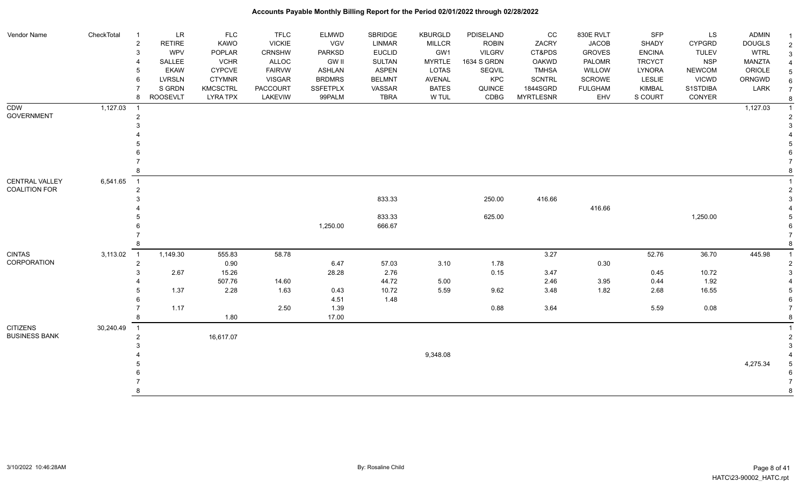| Vendor Name          | CheckTotal | <b>LR</b><br>$\overline{1}$<br><b>RETIRE</b><br>$\overline{2}$ | <b>FLC</b><br><b>KAWO</b> | <b>TFLC</b><br><b>VICKIE</b> | <b>ELMWD</b><br>VGV | SBRIDGE<br>LINMAR | <b>KBURGLD</b><br><b>MILLCR</b> | PDISELAND<br><b>ROBIN</b> | cc<br>ZACRY      | 830E RVLT<br><b>JACOB</b> | <b>SFP</b><br>SHADY | LS<br><b>CYPGRD</b> | <b>ADMIN</b><br><b>DOUGLS</b> | -1<br>$\overline{2}$ |
|----------------------|------------|----------------------------------------------------------------|---------------------------|------------------------------|---------------------|-------------------|---------------------------------|---------------------------|------------------|---------------------------|---------------------|---------------------|-------------------------------|----------------------|
|                      |            | WPV<br>3                                                       | POPLAR                    | <b>CRNSHW</b>                | <b>PARKSD</b>       | <b>EUCLID</b>     | GW1                             | <b>VILGRV</b>             | CT&PDS           | <b>GROVES</b>             | <b>ENCINA</b>       | <b>TULEV</b>        | <b>WTRL</b>                   | 3                    |
|                      |            | SALLEE                                                         | <b>VCHR</b>               | <b>ALLOC</b>                 | GW II               | <b>SULTAN</b>     | <b>MYRTLE</b>                   | 1634 S GRDN               | <b>OAKWD</b>     | <b>PALOMR</b>             | <b>TRCYCT</b>       | <b>NSP</b>          | MANZTA                        |                      |
|                      |            | <b>EKAW</b>                                                    | <b>CYPCVE</b>             | <b>FAIRVW</b>                | <b>ASHLAN</b>       | <b>ASPEN</b>      | LOTAS                           | SEQVIL                    | <b>TMHSA</b>     | WILLOW                    | LYNORA              | <b>NEWCOM</b>       | ORIOLE                        |                      |
|                      |            | <b>LVRSLN</b><br>6                                             | <b>CTYMNR</b>             | <b>VISGAR</b>                | <b>BRDMRS</b>       | <b>BELMNT</b>     | AVENAL                          | KPC                       | <b>SCNTRL</b>    | SCROWE                    | LESLIE              | <b>VICWD</b>        | ORNGWD                        | 6                    |
|                      |            | S GRDN                                                         | <b>KMCSCTRL</b>           | <b>PACCOURT</b>              | <b>SSFETPLX</b>     | VASSAR            | <b>BATES</b>                    | QUINCE                    | 1844SGRD         | <b>FULGHAM</b>            | <b>KIMBAL</b>       | S1STDIBA            | LARK                          | $\overline{7}$       |
|                      |            | <b>ROOSEVLT</b><br>8                                           | <b>LYRA TPX</b>           | <b>LAKEVIW</b>               | 99PALM              | <b>TBRA</b>       | W TUL                           | CDBG                      | <b>MYRTLESNR</b> | EHV                       | S COURT             | CONYER              |                               | 8                    |
| <b>CDW</b>           | 1,127.03   | $\overline{1}$                                                 |                           |                              |                     |                   |                                 |                           |                  |                           |                     |                     | 1,127.03                      |                      |
| <b>GOVERNMENT</b>    |            | 2                                                              |                           |                              |                     |                   |                                 |                           |                  |                           |                     |                     |                               |                      |
|                      |            |                                                                |                           |                              |                     |                   |                                 |                           |                  |                           |                     |                     |                               |                      |
|                      |            |                                                                |                           |                              |                     |                   |                                 |                           |                  |                           |                     |                     |                               |                      |
|                      |            |                                                                |                           |                              |                     |                   |                                 |                           |                  |                           |                     |                     |                               |                      |
|                      |            |                                                                |                           |                              |                     |                   |                                 |                           |                  |                           |                     |                     |                               |                      |
|                      |            |                                                                |                           |                              |                     |                   |                                 |                           |                  |                           |                     |                     |                               |                      |
|                      |            |                                                                |                           |                              |                     |                   |                                 |                           |                  |                           |                     |                     |                               |                      |
| CENTRAL VALLEY       | 6,541.65   | $\overline{1}$                                                 |                           |                              |                     |                   |                                 |                           |                  |                           |                     |                     |                               |                      |
| <b>COALITION FOR</b> |            |                                                                |                           |                              |                     |                   |                                 |                           |                  |                           |                     |                     |                               | $\overline{2}$       |
|                      |            |                                                                |                           |                              |                     | 833.33            |                                 | 250.00                    | 416.66           |                           |                     |                     |                               |                      |
|                      |            |                                                                |                           |                              |                     |                   |                                 |                           |                  | 416.66                    |                     |                     |                               |                      |
|                      |            |                                                                |                           |                              |                     | 833.33            |                                 | 625.00                    |                  |                           |                     | 1,250.00            |                               |                      |
|                      |            |                                                                |                           |                              | 1,250.00            | 666.67            |                                 |                           |                  |                           |                     |                     |                               |                      |
|                      |            |                                                                |                           |                              |                     |                   |                                 |                           |                  |                           |                     |                     |                               |                      |
|                      |            |                                                                |                           |                              |                     |                   |                                 |                           |                  |                           |                     |                     |                               |                      |
| <b>CINTAS</b>        | 3,113.02   | 1,149.30<br>$\overline{1}$                                     | 555.83                    | 58.78                        |                     |                   |                                 |                           | 3.27             |                           | 52.76               | 36.70               | 445.98                        | -1                   |
| CORPORATION          |            | $\overline{2}$                                                 | 0.90                      |                              | 6.47                | 57.03             | 3.10                            | 1.78                      |                  | 0.30                      |                     |                     |                               | 2                    |
|                      |            | 2.67                                                           | 15.26                     |                              | 28.28               | 2.76              |                                 | 0.15                      | 3.47             |                           | 0.45                | 10.72               |                               |                      |
|                      |            |                                                                | 507.76                    | 14.60                        |                     | 44.72             | 5.00                            |                           | 2.46             | 3.95                      | 0.44                | 1.92                |                               |                      |
|                      |            | 1.37                                                           | 2.28                      | 1.63                         | 0.43                | 10.72             | 5.59                            | 9.62                      | 3.48             | 1.82                      | 2.68                | 16.55               |                               |                      |
|                      |            |                                                                |                           |                              | 4.51                | 1.48              |                                 |                           |                  |                           |                     |                     |                               |                      |
|                      |            | 1.17                                                           |                           | 2.50                         | 1.39                |                   |                                 | 0.88                      | 3.64             |                           | 5.59                | 0.08                |                               |                      |
|                      |            |                                                                | 1.80                      |                              | 17.00               |                   |                                 |                           |                  |                           |                     |                     |                               |                      |
| <b>CITIZENS</b>      | 30,240.49  | $\overline{1}$                                                 |                           |                              |                     |                   |                                 |                           |                  |                           |                     |                     |                               |                      |
| <b>BUSINESS BANK</b> |            | $\overline{2}$                                                 | 16,617.07                 |                              |                     |                   |                                 |                           |                  |                           |                     |                     |                               |                      |
|                      |            |                                                                |                           |                              |                     |                   |                                 |                           |                  |                           |                     |                     |                               |                      |
|                      |            |                                                                |                           |                              |                     |                   | 9,348.08                        |                           |                  |                           |                     |                     |                               |                      |
|                      |            |                                                                |                           |                              |                     |                   |                                 |                           |                  |                           |                     |                     | 4,275.34                      |                      |
|                      |            |                                                                |                           |                              |                     |                   |                                 |                           |                  |                           |                     |                     |                               |                      |
|                      |            |                                                                |                           |                              |                     |                   |                                 |                           |                  |                           |                     |                     |                               |                      |
|                      |            |                                                                |                           |                              |                     |                   |                                 |                           |                  |                           |                     |                     |                               | 8                    |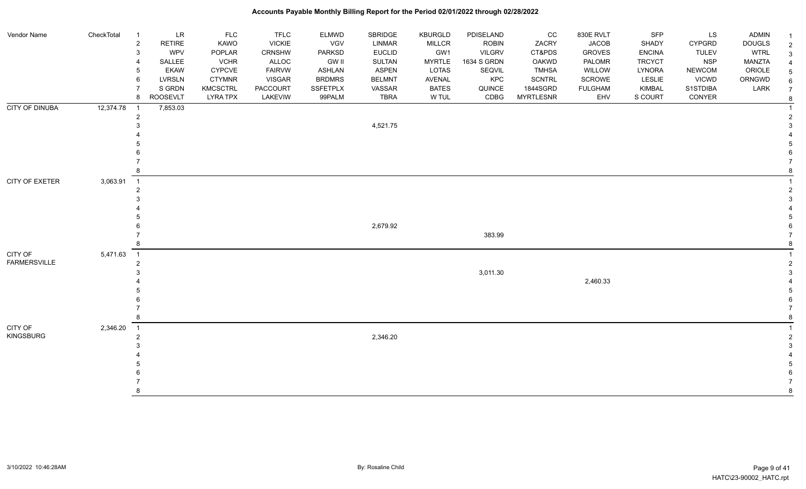#### Vendor Name CheckTotal 1 LR FLC FLC ELMWD SBRIDGE KBURGLD PDISELAND CC 830E RVLT SFP LS ADMIN <sub>1</sub> 2 RETIRE KAWO VICKIE VGV LINMAR MILLCR ROBIN ZACRY JACOB SHADY CYPGRD DOUGLS 2 3 WPV POPLAR CRNSHW PARKSD EUCLID GW1 VILGRV CT&PDS GROVES ENCINA TULEV WTRL 3 4 SALLEE VCHR ALLOC GW II SULTAN MYRTLE 1634 S GRDN OAKWD PALOMR TRCYCT NSP MANZTA 4 5 EKAW CYPCVE FAIRVW ASHLAN ASPEN LOTAS SEQVIL TMHSA WILLOW LYNORA NEWCOM ORIOLE 5 6 LVRSLN CTYMNR VISGAR BRDMRS BELMNT AVENAL KPC SCNTRL SCROWE LESLIE VICWD ORNGWD  $_{6}$ 7 SIGRDN KMCSCTRL PACCOURT SSFETPLX VASSAR BATES QUINCE 1844SGRD FULGHAM KIMBAL S1STDIBA LARK 7 8 ROOSEVLT LYRA TPX LAKEVIW 99PALM TBRA W TUL CDBG MYRTLESNR EHV S COURT CONYER <sub>8</sub> CITY OF DINUBA 12,374.78 1 7,853.03 1 2 2  $4,521.75$  3 4 4 5 5  $6$  7 7 8 8 CITY OF EXETER 3,063.91 1 1 2 2  $3<sup>3</sup>$  4 4 5 5 6 2,679.92 6 та и последни производите в 183.99 године в 183.99 године и производите в 183.99 године в 184.1 године при тех 8 8 CITY OF FARMERSVILLE 5,471.63 1 1 2 2  $3,011.30$   $3,011.30$   $3,011.30$  4 2,460.33 4 5 5  $6$  7 7 8 8 CITY OF KINGSBURG 2,346.20 1 1 2 and a set of the set of the set of the set of the set of the set of the set of the set of the set of the set of the set of the set of the set of the set of the set of the set of the set of the set of the set of the set  $3<sup>3</sup>$  4 4 5 5  $6$  7 7 8 8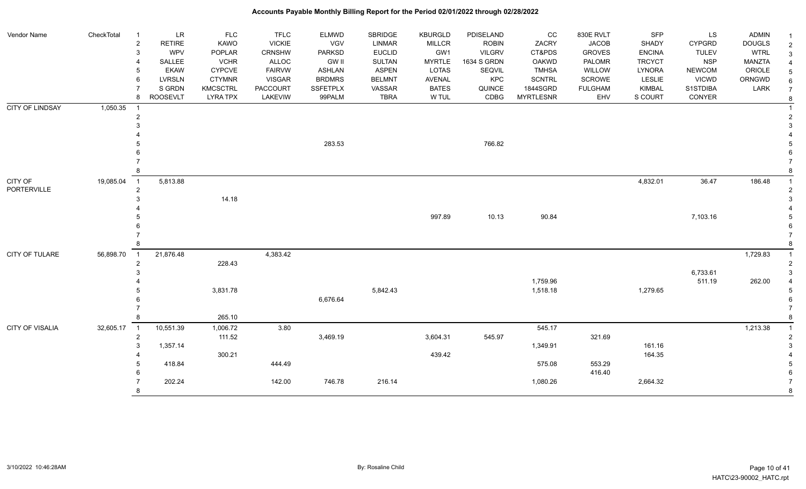#### Vendor Name CheckTotal 1 LR FLC FLC ELMWD SBRIDGE KBURGLD PDISELAND CC 830E RVLT SFP LS ADMIN <sub>1</sub> 2 RETIRE KAWO VICKIE VGV LINMAR MILLCR ROBIN ZACRY JACOB SHADY CYPGRD DOUGLS 2 3 WPV POPLAR CRNSHW PARKSD EUCLID GW1 VILGRV CT&PDS GROVES ENCINA TULEV WTRL 3 4 SALLEE VCHR ALLOC GW II SULTAN MYRTLE 1634 S GRDN OAKWD PALOMR TRCYCT NSP MANZTA 4 5 EKAW CYPCVE FAIRVW ASHLAN ASPEN LOTAS SEQVIL TMHSA WILLOW LYNORA NEWCOM ORIOLE 5 6 LVRSLN CTYMNR VISGAR BRDMRS BELMNT AVENAL KPC SCNTRL SCROWE LESLIE VICWD ORNGWD  $_{6}$ 7 SIGRDN KMCSCTRL PACCOURT SSFETPLX VASSAR BATES QUINCE 1844SGRD FULGHAM KIMBAL S1STDIBA LARK 7 8 ROOSEVLT LYRA TPX LAKEVIW 99PALM TBRA W TUL CDBG MYRTLESNR EHV S COURT CONYER <sub>8</sub> CITY OF LINDSAY 1,050.35 1 1 2 2  $3<sup>3</sup>$  4 4 5 283.53 766.82 5  $6$  7 7 8 8 CITY OF PORTERVILLE 19,085.04 1 5,813.88 4,832.01 36.47 186.48 1 2 2  $3 \hspace{5cm} 14.18$  4 4 5 997.89 10.13 90.84 7,103.16 5  $6$  7 7 8 8 CITY OF TULARE 56,898.70 1 21,876.48 4,383.42 1,729.83 1 2 228.43 228.43 228.43 228.43 228.43 228.43 228.43 228.43 228.43 228.43 228.43 228.43 228.43 228.43 228.43 228  $\,$  3  $\,$  6,733.61  $\,$  3  $\,$  6,733.61  $\,$  3  $\,$  4 1,759.96 511.19 262.00 4 5 3,831.78 5,842.43 1,518.18 1,279.65 5 6 6,676.64 6 7 7 8 265.10 265.10 265.10 CITY OF VISALIA 32,605.17 1 10,551.39 1,006.72 3.80 545.17 1,213.38 1 2 111.52 3,469.19 3,604.31 545.97 321.69 321.69 3 1,357.14 1,349.91 161.16 3 4 39.42 164.35 300.21 300.21 300.21 439.42 300.21 439.42 30.42 30.42 50.42 50.42 50.42 50.42 50.42 50.42 50.42 50.42 50.42 50.42 50.42 50.42 50.42 50.42 50.42 50.42 50.42 50.42 50.42 50.42 50.42 50.42 50.42 50.42 50.42 50. 5 418.84 444.49 575.08 553.29 5 6 416.40 6 7 202.24 142.00 746.78 216.14 1,080.26 2,664.32 7 8 8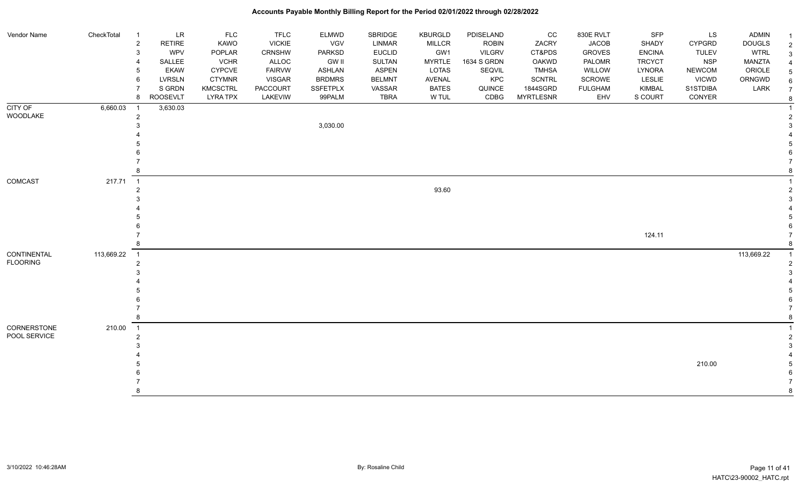| Vendor Name     | CheckTotal | $\mathbf{1}$               | <b>LR</b>       | <b>FLC</b>      | <b>TFLC</b>   | <b>ELMWD</b>    | SBRIDGE       | <b>KBURGLD</b> | PDISELAND     | cc               | 830E RVLT      | <b>SFP</b>    | LS            | <b>ADMIN</b>  | -1             |
|-----------------|------------|----------------------------|-----------------|-----------------|---------------|-----------------|---------------|----------------|---------------|------------------|----------------|---------------|---------------|---------------|----------------|
|                 |            | $\sqrt{2}$                 | RETIRE          | KAWO            | <b>VICKIE</b> | <b>VGV</b>      | LINMAR        | <b>MILLCR</b>  | <b>ROBIN</b>  | ZACRY            | <b>JACOB</b>   | SHADY         | <b>CYPGRD</b> | <b>DOUGLS</b> | $\overline{2}$ |
|                 |            | 3                          | <b>WPV</b>      | POPLAR          | <b>CRNSHW</b> | <b>PARKSD</b>   | <b>EUCLID</b> | GW1            | <b>VILGRV</b> | CT&PDS           | <b>GROVES</b>  | <b>ENCINA</b> | <b>TULEV</b>  | <b>WTRL</b>   | 3              |
|                 |            | $\overline{\mathcal{A}}$   | SALLEE          | <b>VCHR</b>     | ALLOC         | <b>GW II</b>    | <b>SULTAN</b> | <b>MYRTLE</b>  | 1634 S GRDN   | <b>OAKWD</b>     | PALOMR         | <b>TRCYCT</b> | <b>NSP</b>    | <b>MANZTA</b> |                |
|                 |            | 5                          | <b>EKAW</b>     | <b>CYPCVE</b>   | <b>FAIRVW</b> | <b>ASHLAN</b>   | ASPEN         | LOTAS          | SEQVIL        | <b>TMHSA</b>     | WILLOW         | LYNORA        | <b>NEWCOM</b> | ORIOLE        | 5              |
|                 |            | 6                          | LVRSLN          | <b>CTYMNR</b>   | <b>VISGAR</b> | <b>BRDMRS</b>   | <b>BELMNT</b> | AVENAL         | KPC           | <b>SCNTRL</b>    | SCROWE         | LESLIE        | <b>VICWD</b>  | ORNGWD        |                |
|                 |            | $\overline{7}$             | S GRDN          | <b>KMCSCTRL</b> | PACCOURT      | <b>SSFETPLX</b> | VASSAR        | <b>BATES</b>   | QUINCE        | 1844SGRD         | <b>FULGHAM</b> | <b>KIMBAL</b> | S1STDIBA      | LARK          |                |
|                 |            | 8                          | <b>ROOSEVLT</b> | <b>LYRA TPX</b> | LAKEVIW       | 99PALM          | <b>TBRA</b>   | W TUL          | CDBG          | <b>MYRTLESNR</b> | EHV            | S COURT       | CONYER        |               | 8              |
| CITY OF         | 6,660.03   | $\overline{1}$             | 3,630.03        |                 |               |                 |               |                |               |                  |                |               |               |               |                |
| WOODLAKE        |            | $\overline{2}$             |                 |                 |               |                 |               |                |               |                  |                |               |               |               |                |
|                 |            | 3                          |                 |                 |               | 3,030.00        |               |                |               |                  |                |               |               |               |                |
|                 |            |                            |                 |                 |               |                 |               |                |               |                  |                |               |               |               |                |
|                 |            |                            |                 |                 |               |                 |               |                |               |                  |                |               |               |               |                |
|                 |            |                            |                 |                 |               |                 |               |                |               |                  |                |               |               |               |                |
|                 |            |                            |                 |                 |               |                 |               |                |               |                  |                |               |               |               |                |
|                 |            | 8                          |                 |                 |               |                 |               |                |               |                  |                |               |               |               |                |
| COMCAST         | 217.71     | $\overline{\phantom{0}}$ 1 |                 |                 |               |                 |               |                |               |                  |                |               |               |               |                |
|                 |            | $\overline{2}$             |                 |                 |               |                 |               | 93.60          |               |                  |                |               |               |               |                |
|                 |            | 3                          |                 |                 |               |                 |               |                |               |                  |                |               |               |               |                |
|                 |            |                            |                 |                 |               |                 |               |                |               |                  |                |               |               |               |                |
|                 |            |                            |                 |                 |               |                 |               |                |               |                  |                |               |               |               |                |
|                 |            |                            |                 |                 |               |                 |               |                |               |                  |                |               |               |               |                |
|                 |            |                            |                 |                 |               |                 |               |                |               |                  |                | 124.11        |               |               |                |
|                 |            | 8                          |                 |                 |               |                 |               |                |               |                  |                |               |               |               |                |
| CONTINENTAL     | 113,669.22 | $\overline{1}$             |                 |                 |               |                 |               |                |               |                  |                |               |               | 113,669.22    |                |
| <b>FLOORING</b> |            | $\overline{2}$             |                 |                 |               |                 |               |                |               |                  |                |               |               |               |                |
|                 |            | 3                          |                 |                 |               |                 |               |                |               |                  |                |               |               |               |                |
|                 |            |                            |                 |                 |               |                 |               |                |               |                  |                |               |               |               |                |
|                 |            |                            |                 |                 |               |                 |               |                |               |                  |                |               |               |               |                |
|                 |            |                            |                 |                 |               |                 |               |                |               |                  |                |               |               |               |                |
|                 |            |                            |                 |                 |               |                 |               |                |               |                  |                |               |               |               |                |
|                 |            | 8                          |                 |                 |               |                 |               |                |               |                  |                |               |               |               |                |
| CORNERSTONE     | 210.00     | $\overline{\phantom{0}}$ 1 |                 |                 |               |                 |               |                |               |                  |                |               |               |               |                |
| POOL SERVICE    |            | $\overline{2}$             |                 |                 |               |                 |               |                |               |                  |                |               |               |               |                |
|                 |            | 3                          |                 |                 |               |                 |               |                |               |                  |                |               |               |               |                |
|                 |            |                            |                 |                 |               |                 |               |                |               |                  |                |               |               |               |                |
|                 |            |                            |                 |                 |               |                 |               |                |               |                  |                |               | 210.00        |               |                |
|                 |            |                            |                 |                 |               |                 |               |                |               |                  |                |               |               |               |                |
|                 |            |                            |                 |                 |               |                 |               |                |               |                  |                |               |               |               |                |
|                 |            | 8                          |                 |                 |               |                 |               |                |               |                  |                |               |               |               | 8              |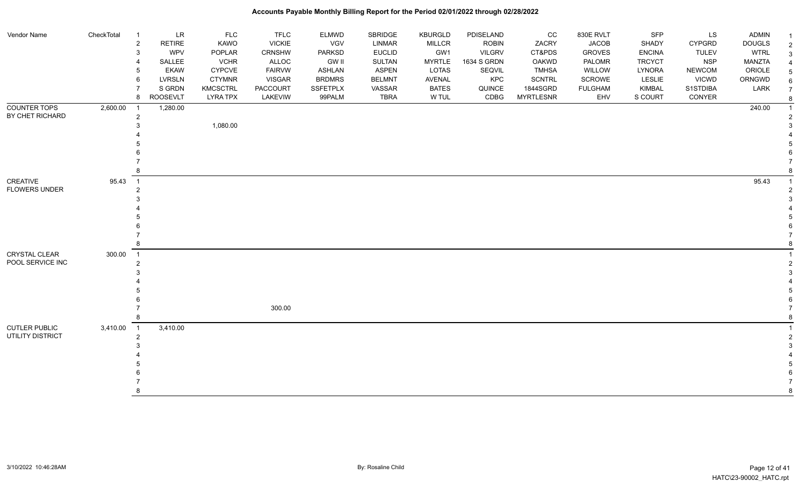| Vendor Name          | CheckTotal | $\mathbf{1}$               | <b>LR</b>       | <b>FLC</b>      | <b>TFLC</b>   | <b>ELMWD</b>    | SBRIDGE       | KBURGLD       | PDISELAND     | cc               | 830E RVLT      | SFP           | LS            | <b>ADMIN</b>  |                |
|----------------------|------------|----------------------------|-----------------|-----------------|---------------|-----------------|---------------|---------------|---------------|------------------|----------------|---------------|---------------|---------------|----------------|
|                      |            | $\overline{2}$             | <b>RETIRE</b>   | KAWO            | <b>VICKIE</b> | VGV             | LINMAR        | <b>MILLCR</b> | <b>ROBIN</b>  | ZACRY            | <b>JACOB</b>   | SHADY         | <b>CYPGRD</b> | <b>DOUGLS</b> | $\overline{2}$ |
|                      |            | 3                          | WPV             | POPLAR          | CRNSHW        | <b>PARKSD</b>   | <b>EUCLID</b> | GW1           | <b>VILGRV</b> | CT&PDS           | <b>GROVES</b>  | <b>ENCINA</b> | <b>TULEV</b>  | <b>WTRL</b>   | 3              |
|                      |            | $\overline{\mathbf{4}}$    | SALLEE          | <b>VCHR</b>     | ALLOC         | <b>GW II</b>    | <b>SULTAN</b> | <b>MYRTLE</b> | 1634 S GRDN   | <b>OAKWD</b>     | PALOMR         | <b>TRCYCT</b> | <b>NSP</b>    | <b>MANZTA</b> |                |
|                      |            | 5                          | <b>EKAW</b>     | <b>CYPCVE</b>   | <b>FAIRVW</b> | <b>ASHLAN</b>   | <b>ASPEN</b>  | LOTAS         | SEQVIL        | <b>TMHSA</b>     | WILLOW         | LYNORA        | <b>NEWCOM</b> | ORIOLE        |                |
|                      |            | 6                          | <b>LVRSLN</b>   | <b>CTYMNR</b>   | <b>VISGAR</b> | <b>BRDMRS</b>   | <b>BELMNT</b> | AVENAL        | KPC           | <b>SCNTRL</b>    | <b>SCROWE</b>  | LESLIE        | <b>VICWD</b>  | ORNGWD        |                |
|                      |            | $\overline{7}$             | S GRDN          | <b>KMCSCTRL</b> | PACCOURT      | <b>SSFETPLX</b> | VASSAR        | <b>BATES</b>  | QUINCE        | 1844SGRD         | <b>FULGHAM</b> | KIMBAL        | S1STDIBA      | LARK          |                |
|                      |            | 8                          | <b>ROOSEVLT</b> | <b>LYRA TPX</b> | LAKEVIW       | 99PALM          | <b>TBRA</b>   | W TUL         | CDBG          | <b>MYRTLESNR</b> | EHV            | S COURT       | CONYER        |               | 8              |
| <b>COUNTER TOPS</b>  | 2,600.00   | $\overline{1}$             | 1,280.00        |                 |               |                 |               |               |               |                  |                |               |               | 240.00        | -1             |
| BY CHET RICHARD      |            | $\overline{2}$             |                 |                 |               |                 |               |               |               |                  |                |               |               |               |                |
|                      |            | 3                          |                 | 1,080.00        |               |                 |               |               |               |                  |                |               |               |               |                |
|                      |            |                            |                 |                 |               |                 |               |               |               |                  |                |               |               |               |                |
|                      |            |                            |                 |                 |               |                 |               |               |               |                  |                |               |               |               |                |
|                      |            |                            |                 |                 |               |                 |               |               |               |                  |                |               |               |               |                |
|                      |            |                            |                 |                 |               |                 |               |               |               |                  |                |               |               |               |                |
|                      |            | 8                          |                 |                 |               |                 |               |               |               |                  |                |               |               |               |                |
| CREATIVE             | 95.43      | $\overline{1}$             |                 |                 |               |                 |               |               |               |                  |                |               |               | 95.43         |                |
| <b>FLOWERS UNDER</b> |            | $\overline{2}$             |                 |                 |               |                 |               |               |               |                  |                |               |               |               |                |
|                      |            | 3                          |                 |                 |               |                 |               |               |               |                  |                |               |               |               |                |
|                      |            |                            |                 |                 |               |                 |               |               |               |                  |                |               |               |               |                |
|                      |            |                            |                 |                 |               |                 |               |               |               |                  |                |               |               |               |                |
|                      |            |                            |                 |                 |               |                 |               |               |               |                  |                |               |               |               |                |
|                      |            |                            |                 |                 |               |                 |               |               |               |                  |                |               |               |               |                |
|                      |            | 8                          |                 |                 |               |                 |               |               |               |                  |                |               |               |               |                |
| <b>CRYSTAL CLEAR</b> | 300.00     | $\overline{1}$             |                 |                 |               |                 |               |               |               |                  |                |               |               |               |                |
| POOL SERVICE INC     |            | $\overline{2}$             |                 |                 |               |                 |               |               |               |                  |                |               |               |               |                |
|                      |            | 3                          |                 |                 |               |                 |               |               |               |                  |                |               |               |               |                |
|                      |            |                            |                 |                 |               |                 |               |               |               |                  |                |               |               |               |                |
|                      |            |                            |                 |                 |               |                 |               |               |               |                  |                |               |               |               |                |
|                      |            |                            |                 |                 |               |                 |               |               |               |                  |                |               |               |               |                |
|                      |            |                            |                 |                 | 300.00        |                 |               |               |               |                  |                |               |               |               |                |
|                      |            | 8                          |                 |                 |               |                 |               |               |               |                  |                |               |               |               |                |
| <b>CUTLER PUBLIC</b> | 3,410.00   | $\overline{\phantom{0}}$ 1 | 3,410.00        |                 |               |                 |               |               |               |                  |                |               |               |               |                |
| UTILITY DISTRICT     |            | $\overline{2}$             |                 |                 |               |                 |               |               |               |                  |                |               |               |               |                |
|                      |            | 3                          |                 |                 |               |                 |               |               |               |                  |                |               |               |               |                |
|                      |            |                            |                 |                 |               |                 |               |               |               |                  |                |               |               |               |                |
|                      |            |                            |                 |                 |               |                 |               |               |               |                  |                |               |               |               |                |
|                      |            |                            |                 |                 |               |                 |               |               |               |                  |                |               |               |               |                |
|                      |            |                            |                 |                 |               |                 |               |               |               |                  |                |               |               |               |                |
|                      |            | 8                          |                 |                 |               |                 |               |               |               |                  |                |               |               |               | 8              |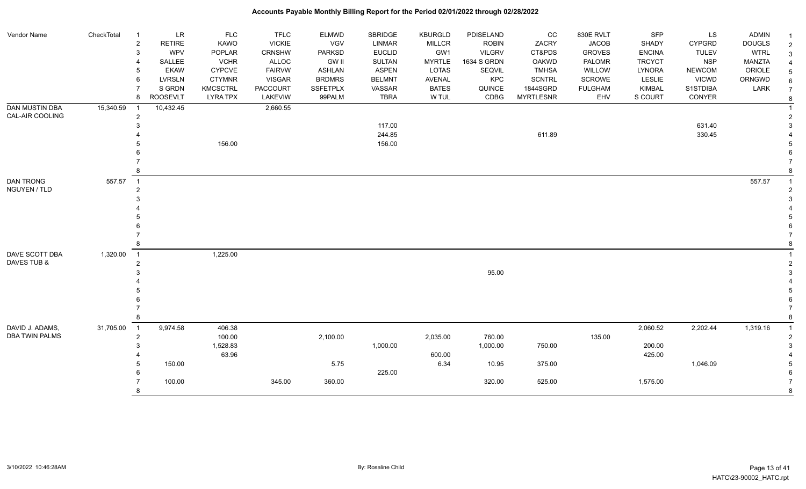| Vendor Name           | CheckTotal | $\overline{\mathbf{1}}$    | LR              | <b>FLC</b>      | <b>TFLC</b>     | <b>ELMWD</b>    | <b>SBRIDGE</b> | <b>KBURGLD</b> | PDISELAND     | CC               | 830E RVLT      | <b>SFP</b>    | LS            | <b>ADMIN</b>  |   |
|-----------------------|------------|----------------------------|-----------------|-----------------|-----------------|-----------------|----------------|----------------|---------------|------------------|----------------|---------------|---------------|---------------|---|
|                       |            | $\overline{2}$             | <b>RETIRE</b>   | KAWO            | <b>VICKIE</b>   | VGV             | <b>LINMAR</b>  | <b>MILLCR</b>  | <b>ROBIN</b>  | ZACRY            | <b>JACOB</b>   | SHADY         | <b>CYPGRD</b> | <b>DOUGLS</b> |   |
|                       |            | 3                          | WPV             | POPLAR          | CRNSHW          | <b>PARKSD</b>   | <b>EUCLID</b>  | GW1            | <b>VILGRV</b> | CT&PDS           | <b>GROVES</b>  | <b>ENCINA</b> | <b>TULEV</b>  | <b>WTRL</b>   |   |
|                       |            | 4                          | SALLEE          | <b>VCHR</b>     | ALLOC           | <b>GW II</b>    | <b>SULTAN</b>  | <b>MYRTLE</b>  | 1634 S GRDN   | <b>OAKWD</b>     | PALOMR         | <b>TRCYCT</b> | <b>NSP</b>    | <b>MANZTA</b> |   |
|                       |            | 5                          | <b>EKAW</b>     | <b>CYPCVE</b>   | <b>FAIRVW</b>   | <b>ASHLAN</b>   | <b>ASPEN</b>   | <b>LOTAS</b>   | SEQVIL        | <b>TMHSA</b>     | WILLOW         | <b>LYNORA</b> | <b>NEWCOM</b> | ORIOLE        |   |
|                       |            | 6                          | <b>LVRSLN</b>   | <b>CTYMNR</b>   | <b>VISGAR</b>   | <b>BRDMRS</b>   | <b>BELMNT</b>  | AVENAL         | KPC           | <b>SCNTRL</b>    | SCROWE         | LESLIE        | <b>VICWD</b>  | ORNGWD        |   |
|                       |            |                            | S GRDN          | <b>KMCSCTRL</b> | <b>PACCOURT</b> | <b>SSFETPLX</b> | VASSAR         | <b>BATES</b>   | QUINCE        | 1844SGRD         | <b>FULGHAM</b> | <b>KIMBAL</b> | S1STDIBA      | LARK          |   |
|                       |            | 8                          | <b>ROOSEVLT</b> | <b>LYRA TPX</b> | LAKEVIW         | 99PALM          | <b>TBRA</b>    | W TUL          | CDBG          | <b>MYRTLESNR</b> | EHV            | S COURT       | CONYER        |               | 8 |
| <b>DAN MUSTIN DBA</b> | 15,340.59  |                            | 10,432.45       |                 | 2,660.55        |                 |                |                |               |                  |                |               |               |               |   |
| CAL-AIR COOLING       |            | $\overline{2}$             |                 |                 |                 |                 |                |                |               |                  |                |               |               |               |   |
|                       |            | 3                          |                 |                 |                 |                 | 117.00         |                |               |                  |                |               | 631.40        |               |   |
|                       |            |                            |                 |                 |                 |                 | 244.85         |                |               | 611.89           |                |               | 330.45        |               |   |
|                       |            |                            |                 | 156.00          |                 |                 | 156.00         |                |               |                  |                |               |               |               |   |
|                       |            |                            |                 |                 |                 |                 |                |                |               |                  |                |               |               |               |   |
|                       |            |                            |                 |                 |                 |                 |                |                |               |                  |                |               |               |               |   |
|                       |            | 8                          |                 |                 |                 |                 |                |                |               |                  |                |               |               |               |   |
| <b>DAN TRONG</b>      | 557.57     | $\overline{1}$             |                 |                 |                 |                 |                |                |               |                  |                |               |               | 557.57        |   |
| NGUYEN / TLD          |            | $\overline{2}$             |                 |                 |                 |                 |                |                |               |                  |                |               |               |               |   |
|                       |            |                            |                 |                 |                 |                 |                |                |               |                  |                |               |               |               |   |
|                       |            |                            |                 |                 |                 |                 |                |                |               |                  |                |               |               |               |   |
|                       |            |                            |                 |                 |                 |                 |                |                |               |                  |                |               |               |               |   |
|                       |            |                            |                 |                 |                 |                 |                |                |               |                  |                |               |               |               |   |
|                       |            |                            |                 |                 |                 |                 |                |                |               |                  |                |               |               |               |   |
|                       |            | 8                          |                 |                 |                 |                 |                |                |               |                  |                |               |               |               |   |
| DAVE SCOTT DBA        | 1,320.00   | $\overline{\phantom{0}}$ 1 |                 | 1,225.00        |                 |                 |                |                |               |                  |                |               |               |               |   |
| DAVES TUB &           |            | $\overline{2}$             |                 |                 |                 |                 |                |                |               |                  |                |               |               |               |   |
|                       |            |                            |                 |                 |                 |                 |                |                | 95.00         |                  |                |               |               |               |   |
|                       |            |                            |                 |                 |                 |                 |                |                |               |                  |                |               |               |               |   |
|                       |            |                            |                 |                 |                 |                 |                |                |               |                  |                |               |               |               |   |
|                       |            |                            |                 |                 |                 |                 |                |                |               |                  |                |               |               |               |   |
|                       |            |                            |                 |                 |                 |                 |                |                |               |                  |                |               |               |               |   |
|                       |            | 8                          |                 |                 |                 |                 |                |                |               |                  |                |               |               |               |   |
| DAVID J. ADAMS,       | 31,705.00  | $\overline{1}$             | 9,974.58        | 406.38          |                 |                 |                |                |               |                  |                | 2,060.52      | 2,202.44      | 1,319.16      |   |
| <b>DBA TWIN PALMS</b> |            | $\overline{2}$             |                 | 100.00          |                 | 2,100.00        |                | 2,035.00       | 760.00        |                  | 135.00         |               |               |               |   |
|                       |            | 3                          |                 | 1,528.83        |                 |                 | 1,000.00       |                | 1,000.00      | 750.00           |                | 200.00        |               |               |   |
|                       |            |                            |                 | 63.96           |                 |                 |                | 600.00         |               |                  |                | 425.00        |               |               |   |
|                       |            |                            | 150.00          |                 |                 | 5.75            |                | 6.34           | 10.95         | 375.00           |                |               | 1,046.09      |               |   |
|                       |            |                            |                 |                 |                 |                 | 225.00         |                |               |                  |                |               |               |               |   |
|                       |            |                            | 100.00          |                 | 345.00          | 360.00          |                |                | 320.00        | 525.00           |                | 1,575.00      |               |               |   |
|                       |            | 8                          |                 |                 |                 |                 |                |                |               |                  |                |               |               |               | 8 |
|                       |            |                            |                 |                 |                 |                 |                |                |               |                  |                |               |               |               |   |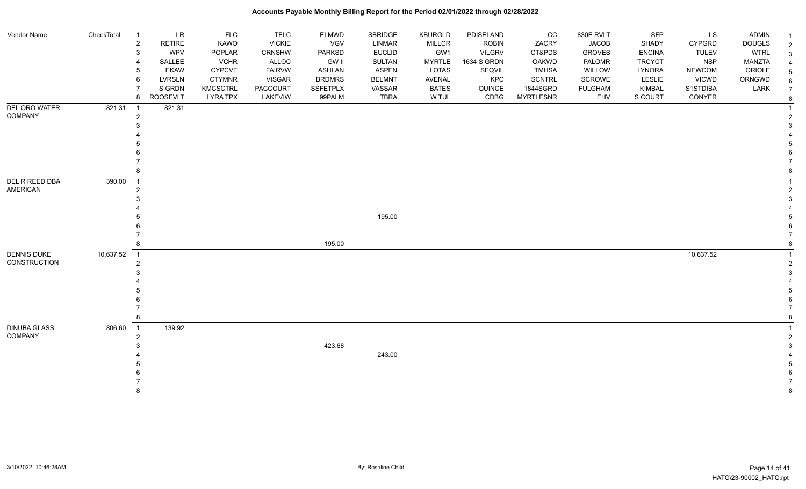| Vendor Name                       | CheckTotal | $\overline{1}$           | LR              | FLC             | <b>TFLC</b>   | <b>ELMWD</b>    | SBRIDGE       | KBURGLD       | PDISELAND     | cc               | 830E RVLT      | SFP           | <b>LS</b>     | <b>ADMIN</b>  |                |
|-----------------------------------|------------|--------------------------|-----------------|-----------------|---------------|-----------------|---------------|---------------|---------------|------------------|----------------|---------------|---------------|---------------|----------------|
|                                   |            | $\overline{2}$           | <b>RETIRE</b>   | KAWO            | <b>VICKIE</b> | <b>VGV</b>      | LINMAR        | <b>MILLCR</b> | <b>ROBIN</b>  | ZACRY            | <b>JACOB</b>   | SHADY         | CYPGRD        | <b>DOUGLS</b> | $\overline{2}$ |
|                                   |            | $\mathbf{3}$             | WPV             | POPLAR          | CRNSHW        | <b>PARKSD</b>   | <b>EUCLID</b> | GW1           | <b>VILGRV</b> | CT&PDS           | <b>GROVES</b>  | <b>ENCINA</b> | <b>TULEV</b>  | <b>WTRL</b>   | 3              |
|                                   |            | $\overline{4}$           | SALLEE          | <b>VCHR</b>     | ALLOC         | <b>GW II</b>    | <b>SULTAN</b> | <b>MYRTLE</b> | 1634 S GRDN   | OAKWD            | <b>PALOMR</b>  | <b>TRCYCT</b> | <b>NSP</b>    | MANZTA        |                |
|                                   |            | .5                       | <b>EKAW</b>     | <b>CYPCVE</b>   | <b>FAIRVW</b> | <b>ASHLAN</b>   | <b>ASPEN</b>  | LOTAS         | SEQVIL        | <b>TMHSA</b>     | WILLOW         | LYNORA        | <b>NEWCOM</b> | ORIOLE        |                |
|                                   |            | 6                        | LVRSLN          | <b>CTYMNR</b>   | <b>VISGAR</b> | <b>BRDMRS</b>   | <b>BELMNT</b> | AVENAL        | KPC           | <b>SCNTRL</b>    | SCROWE         | LESLIE        | <b>VICWD</b>  | ORNGWD        |                |
|                                   |            | $\overline{7}$           | S GRDN          | <b>KMCSCTRL</b> | PACCOURT      | <b>SSFETPLX</b> | VASSAR        | <b>BATES</b>  | QUINCE        | 1844SGRD         | <b>FULGHAM</b> | <b>KIMBAL</b> | S1STDIBA      | LARK          |                |
|                                   |            | 8                        | <b>ROOSEVLT</b> | <b>LYRA TPX</b> | LAKEVIW       | 99PALM          | <b>TBRA</b>   | W TUL         | CDBG          | <b>MYRTLESNR</b> | EHV            | S COURT       | CONYER        |               | 8              |
| <b>DEL ORO WATER</b>              | 821.31     | $\overline{\phantom{1}}$ | 821.31          |                 |               |                 |               |               |               |                  |                |               |               |               |                |
| COMPANY                           |            | $\overline{2}$           |                 |                 |               |                 |               |               |               |                  |                |               |               |               |                |
|                                   |            | 3                        |                 |                 |               |                 |               |               |               |                  |                |               |               |               |                |
|                                   |            |                          |                 |                 |               |                 |               |               |               |                  |                |               |               |               |                |
|                                   |            |                          |                 |                 |               |                 |               |               |               |                  |                |               |               |               |                |
| DEL R REED DBA<br><b>AMERICAN</b> |            |                          |                 |                 |               |                 |               |               |               |                  |                |               |               |               |                |
|                                   |            |                          |                 |                 |               |                 |               |               |               |                  |                |               |               |               |                |
|                                   |            | 8                        |                 |                 |               |                 |               |               |               |                  |                |               |               |               |                |
|                                   | 390.00     | $\overline{1}$           |                 |                 |               |                 |               |               |               |                  |                |               |               |               |                |
|                                   |            | $\overline{2}$           |                 |                 |               |                 |               |               |               |                  |                |               |               |               |                |
|                                   |            | 3                        |                 |                 |               |                 |               |               |               |                  |                |               |               |               |                |
|                                   |            |                          |                 |                 |               |                 |               |               |               |                  |                |               |               |               |                |
|                                   |            |                          |                 |                 |               |                 | 195.00        |               |               |                  |                |               |               |               |                |
|                                   |            |                          |                 |                 |               |                 |               |               |               |                  |                |               |               |               |                |
|                                   |            |                          |                 |                 |               |                 |               |               |               |                  |                |               |               |               |                |
|                                   |            | 8                        |                 |                 |               | 195.00          |               |               |               |                  |                |               |               |               |                |
| <b>DENNIS DUKE</b>                | 10,637.52  | $\overline{1}$           |                 |                 |               |                 |               |               |               |                  |                |               | 10,637.52     |               |                |
| CONSTRUCTION                      |            | $\overline{2}$           |                 |                 |               |                 |               |               |               |                  |                |               |               |               |                |
|                                   |            | 3                        |                 |                 |               |                 |               |               |               |                  |                |               |               |               |                |
|                                   |            |                          |                 |                 |               |                 |               |               |               |                  |                |               |               |               |                |
|                                   |            |                          |                 |                 |               |                 |               |               |               |                  |                |               |               |               |                |
|                                   |            |                          |                 |                 |               |                 |               |               |               |                  |                |               |               |               |                |
|                                   |            |                          |                 |                 |               |                 |               |               |               |                  |                |               |               |               |                |
|                                   |            | 8                        |                 |                 |               |                 |               |               |               |                  |                |               |               |               |                |
| <b>DINUBA GLASS</b>               | 806.60     | $\overline{1}$           | 139.92          |                 |               |                 |               |               |               |                  |                |               |               |               |                |
| COMPANY                           |            | $\overline{2}$           |                 |                 |               |                 |               |               |               |                  |                |               |               |               |                |
|                                   |            |                          |                 |                 |               | 423.68          |               |               |               |                  |                |               |               |               |                |
|                                   |            |                          |                 |                 |               |                 | 243.00        |               |               |                  |                |               |               |               |                |
|                                   |            |                          |                 |                 |               |                 |               |               |               |                  |                |               |               |               |                |
|                                   |            |                          |                 |                 |               |                 |               |               |               |                  |                |               |               |               |                |
|                                   |            |                          |                 |                 |               |                 |               |               |               |                  |                |               |               |               |                |
|                                   |            |                          |                 |                 |               |                 |               |               |               |                  |                |               |               |               |                |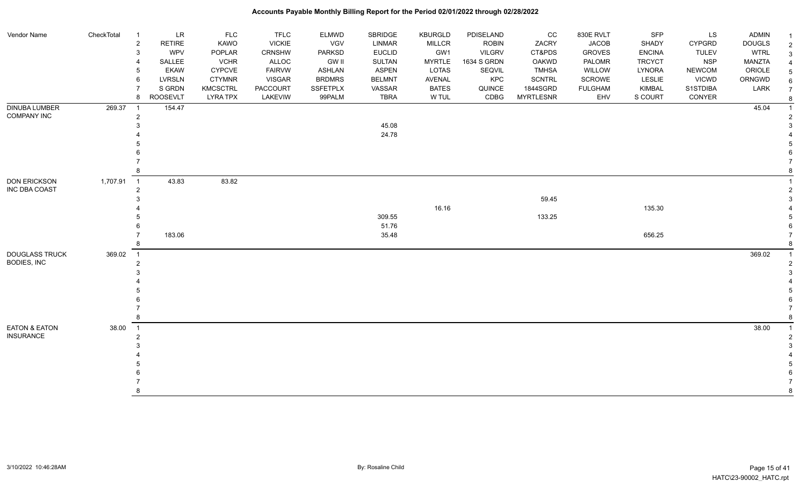| Vendor Name              | CheckTotal | $\overline{1}$ | LR              | <b>FLC</b>      | <b>TFLC</b>     | <b>ELMWD</b>    | SBRIDGE       | KBURGLD       | PDISELAND     | CC               | 830E RVLT      | SFP           | LS            | <b>ADMIN</b>  |  |
|--------------------------|------------|----------------|-----------------|-----------------|-----------------|-----------------|---------------|---------------|---------------|------------------|----------------|---------------|---------------|---------------|--|
|                          |            | $\overline{2}$ | <b>RETIRE</b>   | <b>KAWO</b>     | <b>VICKIE</b>   | <b>VGV</b>      | LINMAR        | <b>MILLCR</b> | <b>ROBIN</b>  | ZACRY            | <b>JACOB</b>   | SHADY         | <b>CYPGRD</b> | <b>DOUGLS</b> |  |
|                          |            | 3              | <b>WPV</b>      | POPLAR          | CRNSHW          | <b>PARKSD</b>   | <b>EUCLID</b> | GW1           | <b>VILGRV</b> | CT&PDS           | <b>GROVES</b>  | <b>ENCINA</b> | <b>TULEV</b>  | <b>WTRL</b>   |  |
|                          |            | 4              | SALLEE          | <b>VCHR</b>     | ALLOC           | <b>GW II</b>    | <b>SULTAN</b> | <b>MYRTLE</b> | 1634 S GRDN   | <b>OAKWD</b>     | PALOMR         | <b>TRCYCT</b> | <b>NSP</b>    | <b>MANZTA</b> |  |
|                          |            | 5              | <b>EKAW</b>     | <b>CYPCVE</b>   | <b>FAIRVW</b>   | <b>ASHLAN</b>   | <b>ASPEN</b>  | <b>LOTAS</b>  | SEQVIL        | <b>TMHSA</b>     | WILLOW         | LYNORA        | <b>NEWCOM</b> | ORIOLE        |  |
|                          |            | 6              | <b>LVRSLN</b>   | <b>CTYMNR</b>   | <b>VISGAR</b>   | <b>BRDMRS</b>   | <b>BELMNT</b> | AVENAL        | KPC           | <b>SCNTRL</b>    | SCROWE         | <b>LESLIE</b> | <b>VICWD</b>  | ORNGWD        |  |
|                          |            | $\overline{7}$ | S GRDN          | <b>KMCSCTRL</b> | <b>PACCOURT</b> | <b>SSFETPLX</b> | VASSAR        | <b>BATES</b>  | QUINCE        | 1844SGRD         | <b>FULGHAM</b> | KIMBAL        | S1STDIBA      | LARK          |  |
|                          |            | 8              | <b>ROOSEVLT</b> | <b>LYRA TPX</b> | LAKEVIW         | 99PALM          | <b>TBRA</b>   | W TUL         | CDBG          | <b>MYRTLESNR</b> | EHV            | S COURT       | CONYER        |               |  |
| <b>DINUBA LUMBER</b>     | 269.37     | $\overline{1}$ | 154.47          |                 |                 |                 |               |               |               |                  |                |               |               | 45.04         |  |
| <b>COMPANY INC</b>       |            | $\overline{c}$ |                 |                 |                 |                 |               |               |               |                  |                |               |               |               |  |
|                          |            | 3              |                 |                 |                 |                 | 45.08         |               |               |                  |                |               |               |               |  |
|                          |            |                |                 |                 |                 |                 | 24.78         |               |               |                  |                |               |               |               |  |
|                          |            |                |                 |                 |                 |                 |               |               |               |                  |                |               |               |               |  |
|                          |            |                |                 |                 |                 |                 |               |               |               |                  |                |               |               |               |  |
|                          |            |                |                 |                 |                 |                 |               |               |               |                  |                |               |               |               |  |
|                          |            | 8              |                 |                 |                 |                 |               |               |               |                  |                |               |               |               |  |
| <b>DON ERICKSON</b>      | 1,707.91   | $\overline{1}$ | 43.83           | 83.82           |                 |                 |               |               |               |                  |                |               |               |               |  |
| INC DBA COAST            |            | $\overline{c}$ |                 |                 |                 |                 |               |               |               |                  |                |               |               |               |  |
|                          |            | 3              |                 |                 |                 |                 |               |               |               | 59.45            |                |               |               |               |  |
|                          |            |                |                 |                 |                 |                 |               | 16.16         |               |                  |                | 135.30        |               |               |  |
|                          |            | 5              |                 |                 |                 |                 | 309.55        |               |               | 133.25           |                |               |               |               |  |
|                          |            |                |                 |                 |                 |                 | 51.76         |               |               |                  |                |               |               |               |  |
|                          |            |                | 183.06          |                 |                 |                 | 35.48         |               |               |                  |                | 656.25        |               |               |  |
|                          |            | 8              |                 |                 |                 |                 |               |               |               |                  |                |               |               |               |  |
| <b>DOUGLASS TRUCK</b>    | 369.02     | $\overline{1}$ |                 |                 |                 |                 |               |               |               |                  |                |               |               | 369.02        |  |
| BODIES, INC              |            | $\overline{2}$ |                 |                 |                 |                 |               |               |               |                  |                |               |               |               |  |
|                          |            | 3              |                 |                 |                 |                 |               |               |               |                  |                |               |               |               |  |
|                          |            |                |                 |                 |                 |                 |               |               |               |                  |                |               |               |               |  |
|                          |            |                |                 |                 |                 |                 |               |               |               |                  |                |               |               |               |  |
|                          |            |                |                 |                 |                 |                 |               |               |               |                  |                |               |               |               |  |
|                          |            |                |                 |                 |                 |                 |               |               |               |                  |                |               |               |               |  |
|                          |            | 8              |                 |                 |                 |                 |               |               |               |                  |                |               |               |               |  |
| <b>EATON &amp; EATON</b> | 38.00      | $\overline{1}$ |                 |                 |                 |                 |               |               |               |                  |                |               |               | 38.00         |  |
| <b>INSURANCE</b>         |            | $\overline{c}$ |                 |                 |                 |                 |               |               |               |                  |                |               |               |               |  |
|                          |            | 3              |                 |                 |                 |                 |               |               |               |                  |                |               |               |               |  |
|                          |            |                |                 |                 |                 |                 |               |               |               |                  |                |               |               |               |  |
|                          |            |                |                 |                 |                 |                 |               |               |               |                  |                |               |               |               |  |
|                          |            |                |                 |                 |                 |                 |               |               |               |                  |                |               |               |               |  |
|                          |            |                |                 |                 |                 |                 |               |               |               |                  |                |               |               |               |  |
|                          |            | 8              |                 |                 |                 |                 |               |               |               |                  |                |               |               |               |  |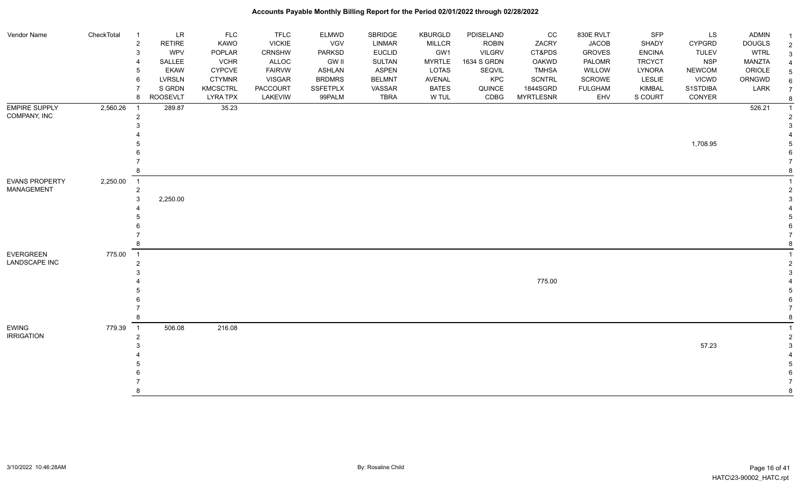| Vendor Name                         | CheckTotal | $\overline{1}$<br>$\sqrt{2}$ | LR<br><b>RETIRE</b>       | <b>FLC</b><br><b>KAWO</b>          | <b>TFLC</b><br><b>VICKIE</b> | <b>ELMWD</b><br><b>VGV</b> | SBRIDGE<br><b>LINMAR</b> | KBURGLD<br><b>MILLCR</b> | PDISELAND<br><b>ROBIN</b> | CC<br>ZACRY                  | 830E RVLT<br><b>JACOB</b> | <b>SFP</b><br>SHADY      | LS<br><b>CYPGRD</b> | <b>ADMIN</b><br><b>DOUGLS</b> | $\overline{2}$      |
|-------------------------------------|------------|------------------------------|---------------------------|------------------------------------|------------------------------|----------------------------|--------------------------|--------------------------|---------------------------|------------------------------|---------------------------|--------------------------|---------------------|-------------------------------|---------------------|
|                                     |            | 3                            | WPV                       | POPLAR                             | <b>CRNSHW</b>                | <b>PARKSD</b>              | <b>EUCLID</b>            | GW1                      | <b>VILGRV</b>             | CT&PDS                       | <b>GROVES</b>             | <b>ENCINA</b>            | <b>TULEV</b>        | <b>WTRL</b>                   | $\mathbf{3}$        |
|                                     |            |                              | SALLEE                    | <b>VCHR</b>                        | <b>ALLOC</b>                 | <b>GW II</b>               | <b>SULTAN</b>            | <b>MYRTLE</b>            | 1634 S GRDN               | OAKWD                        | PALOMR                    | <b>TRCYCT</b>            | <b>NSP</b>          | <b>MANZTA</b>                 | $\overline{4}$      |
|                                     |            | 5                            | EKAW                      | <b>CYPCVE</b>                      | <b>FAIRVW</b>                | <b>ASHLAN</b>              | <b>ASPEN</b>             | LOTAS                    | SEQVIL                    | TMHSA                        | WILLOW                    | <b>LYNORA</b>            | <b>NEWCOM</b>       | ORIOLE                        | 5                   |
|                                     |            | 6                            | LVRSLN                    | <b>CTYMNR</b>                      | <b>VISGAR</b>                | <b>BRDMRS</b>              | <b>BELMNT</b>            | AVENAL                   | KPC                       | <b>SCNTRL</b>                | SCROWE                    | <b>LESLIE</b>            | <b>VICWD</b>        | ORNGWD                        | 6                   |
|                                     |            | 8                            | S GRDN<br><b>ROOSEVLT</b> | <b>KMCSCTRL</b><br><b>LYRA TPX</b> | <b>PACCOURT</b><br>LAKEVIW   | <b>SSFETPLX</b><br>99PALM  | VASSAR<br><b>TBRA</b>    | <b>BATES</b><br>W TUL    | QUINCE<br>CDBG            | 1844SGRD<br><b>MYRTLESNR</b> | <b>FULGHAM</b><br>EHV     | <b>KIMBAL</b><br>S COURT | S1STDIBA<br>CONYER  | LARK                          | $\overline{7}$<br>8 |
| <b>EMPIRE SUPPLY</b>                | 2,560.26   | $\overline{1}$               | 289.87                    | 35.23                              |                              |                            |                          |                          |                           |                              |                           |                          |                     | 526.21                        |                     |
| COMPANY, INC                        |            | $\overline{2}$               |                           |                                    |                              |                            |                          |                          |                           |                              |                           |                          |                     |                               | 2                   |
|                                     |            |                              |                           |                                    |                              |                            |                          |                          |                           |                              |                           |                          |                     |                               |                     |
|                                     |            |                              |                           |                                    |                              |                            |                          |                          |                           |                              |                           |                          |                     |                               |                     |
|                                     |            |                              |                           |                                    |                              |                            |                          |                          |                           |                              |                           |                          | 1,708.95            |                               |                     |
|                                     |            |                              |                           |                                    |                              |                            |                          |                          |                           |                              |                           |                          |                     |                               |                     |
| <b>EVANS PROPERTY</b><br>MANAGEMENT |            |                              |                           |                                    |                              |                            |                          |                          |                           |                              |                           |                          |                     |                               |                     |
|                                     | 2,250.00   | $\overline{1}$               |                           |                                    |                              |                            |                          |                          |                           |                              |                           |                          |                     |                               |                     |
|                                     |            | $\overline{2}$               |                           |                                    |                              |                            |                          |                          |                           |                              |                           |                          |                     |                               | $\overline{2}$      |
|                                     |            | 3                            | 2,250.00                  |                                    |                              |                            |                          |                          |                           |                              |                           |                          |                     |                               | 3                   |
|                                     |            |                              |                           |                                    |                              |                            |                          |                          |                           |                              |                           |                          |                     |                               |                     |
|                                     |            |                              |                           |                                    |                              |                            |                          |                          |                           |                              |                           |                          |                     |                               |                     |
|                                     |            |                              |                           |                                    |                              |                            |                          |                          |                           |                              |                           |                          |                     |                               | 6<br>$\overline{7}$ |
|                                     |            |                              |                           |                                    |                              |                            |                          |                          |                           |                              |                           |                          |                     |                               | 8                   |
|                                     |            |                              |                           |                                    |                              |                            |                          |                          |                           |                              |                           |                          |                     |                               |                     |
| <b>EVERGREEN</b><br>LANDSCAPE INC   | 775.00     | $\overline{1}$<br>2          |                           |                                    |                              |                            |                          |                          |                           |                              |                           |                          |                     |                               | $\overline{2}$      |
|                                     |            |                              |                           |                                    |                              |                            |                          |                          |                           |                              |                           |                          |                     |                               | 3                   |
|                                     |            |                              |                           |                                    |                              |                            |                          |                          |                           | 775.00                       |                           |                          |                     |                               |                     |
|                                     |            |                              |                           |                                    |                              |                            |                          |                          |                           |                              |                           |                          |                     |                               |                     |
|                                     |            |                              |                           |                                    |                              |                            |                          |                          |                           |                              |                           |                          |                     |                               |                     |
|                                     |            |                              |                           |                                    |                              |                            |                          |                          |                           |                              |                           |                          |                     |                               |                     |
|                                     |            |                              |                           |                                    |                              |                            |                          |                          |                           |                              |                           |                          |                     |                               | 8                   |
| <b>EWING</b>                        | 779.39     | $\overline{1}$               | 506.08                    | 216.08                             |                              |                            |                          |                          |                           |                              |                           |                          |                     |                               |                     |
| <b>IRRIGATION</b>                   |            | $\overline{2}$               |                           |                                    |                              |                            |                          |                          |                           |                              |                           |                          |                     |                               | $\overline{2}$      |
|                                     |            |                              |                           |                                    |                              |                            |                          |                          |                           |                              |                           |                          | 57.23               |                               | 3                   |
|                                     |            |                              |                           |                                    |                              |                            |                          |                          |                           |                              |                           |                          |                     |                               |                     |
|                                     |            |                              |                           |                                    |                              |                            |                          |                          |                           |                              |                           |                          |                     |                               | $\overline{5}$      |
|                                     |            |                              |                           |                                    |                              |                            |                          |                          |                           |                              |                           |                          |                     |                               | $\overline{7}$      |
|                                     |            |                              |                           |                                    |                              |                            |                          |                          |                           |                              |                           |                          |                     |                               | 8                   |
|                                     |            |                              |                           |                                    |                              |                            |                          |                          |                           |                              |                           |                          |                     |                               |                     |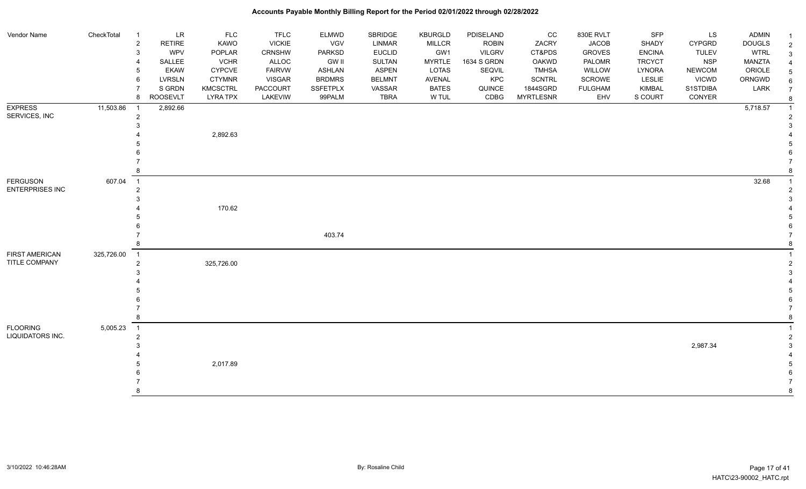| Vendor Name            | CheckTotal | $\overline{1}$                   | LR              | <b>FLC</b>      | <b>TFLC</b>     | <b>ELMWD</b>  | SBRIDGE       | <b>KBURGLD</b> | PDISELAND     | cc               | 830E RVLT      | SFP           | LS            | <b>ADMIN</b>  | -1             |
|------------------------|------------|----------------------------------|-----------------|-----------------|-----------------|---------------|---------------|----------------|---------------|------------------|----------------|---------------|---------------|---------------|----------------|
|                        |            | $\boldsymbol{2}$                 | <b>RETIRE</b>   | KAWO            | <b>VICKIE</b>   | VGV           | LINMAR        | <b>MILLCR</b>  | <b>ROBIN</b>  | ZACRY            | <b>JACOB</b>   | SHADY         | <b>CYPGRD</b> | <b>DOUGLS</b> | $\overline{2}$ |
|                        |            | 3                                | <b>WPV</b>      | POPLAR          | <b>CRNSHW</b>   | <b>PARKSD</b> | <b>EUCLID</b> | GW1            | <b>VILGRV</b> | CT&PDS           | <b>GROVES</b>  | <b>ENCINA</b> | <b>TULEV</b>  | <b>WTRL</b>   | 3              |
|                        |            |                                  | SALLEE          | <b>VCHR</b>     | ALLOC           | <b>GW II</b>  | <b>SULTAN</b> | <b>MYRTLE</b>  | 1634 S GRDN   | <b>OAKWD</b>     | PALOMR         | <b>TRCYCT</b> | <b>NSP</b>    | <b>MANZTA</b> | 4              |
|                        |            | 5                                | <b>EKAW</b>     | <b>CYPCVE</b>   | <b>FAIRVW</b>   | ASHLAN        | <b>ASPEN</b>  | <b>LOTAS</b>   | SEQVIL        | <b>TMHSA</b>     | WILLOW         | LYNORA        | <b>NEWCOM</b> | ORIOLE        |                |
|                        |            | 6                                | <b>LVRSLN</b>   | <b>CTYMNR</b>   | <b>VISGAR</b>   | <b>BRDMRS</b> | <b>BELMNT</b> | AVENAL         | KPC           | <b>SCNTRL</b>    | SCROWE         | LESLIE        | <b>VICWD</b>  | ORNGWD        |                |
|                        |            | 7                                | S GRDN          | <b>KMCSCTRL</b> | <b>PACCOURT</b> | SSFETPLX      | VASSAR        | <b>BATES</b>   | QUINCE        | 1844SGRD         | <b>FULGHAM</b> | KIMBAL        | S1STDIBA      | LARK          |                |
|                        |            | 8                                | <b>ROOSEVLT</b> | <b>LYRA TPX</b> | LAKEVIW         | 99PALM        | <b>TBRA</b>   | W TUL          | CDBG          | <b>MYRTLESNR</b> | EHV            | S COURT       | CONYER        |               | 8              |
| <b>EXPRESS</b>         | 11,503.86  | - 1                              | 2,892.66        |                 |                 |               |               |                |               |                  |                |               |               | 5,718.57      |                |
| SERVICES, INC          |            | $\overline{2}$                   |                 |                 |                 |               |               |                |               |                  |                |               |               |               |                |
|                        |            |                                  |                 |                 |                 |               |               |                |               |                  |                |               |               |               |                |
|                        |            |                                  |                 | 2,892.63        |                 |               |               |                |               |                  |                |               |               |               |                |
|                        |            |                                  |                 |                 |                 |               |               |                |               |                  |                |               |               |               |                |
|                        |            |                                  |                 |                 |                 |               |               |                |               |                  |                |               |               |               |                |
|                        |            |                                  |                 |                 |                 |               |               |                |               |                  |                |               |               |               |                |
|                        |            |                                  |                 |                 |                 |               |               |                |               |                  |                |               |               |               |                |
| <b>FERGUSON</b>        | 607.04     | $\overline{1}$<br>$\overline{2}$ |                 |                 |                 |               |               |                |               |                  |                |               |               | 32.68         |                |
| <b>ENTERPRISES INC</b> |            |                                  |                 |                 |                 |               |               |                |               |                  |                |               |               |               |                |
|                        |            |                                  |                 | 170.62          |                 |               |               |                |               |                  |                |               |               |               |                |
|                        |            |                                  |                 |                 |                 |               |               |                |               |                  |                |               |               |               |                |
|                        |            |                                  |                 |                 |                 |               |               |                |               |                  |                |               |               |               |                |
|                        |            |                                  |                 |                 |                 | 403.74        |               |                |               |                  |                |               |               |               |                |
|                        |            |                                  |                 |                 |                 |               |               |                |               |                  |                |               |               |               |                |
| <b>FIRST AMERICAN</b>  | 325,726.00 | $\overline{1}$                   |                 |                 |                 |               |               |                |               |                  |                |               |               |               |                |
| TITLE COMPANY          |            | $\overline{2}$                   |                 | 325,726.00      |                 |               |               |                |               |                  |                |               |               |               | $\mathcal{P}$  |
|                        |            |                                  |                 |                 |                 |               |               |                |               |                  |                |               |               |               |                |
|                        |            |                                  |                 |                 |                 |               |               |                |               |                  |                |               |               |               |                |
|                        |            |                                  |                 |                 |                 |               |               |                |               |                  |                |               |               |               |                |
|                        |            |                                  |                 |                 |                 |               |               |                |               |                  |                |               |               |               |                |
|                        |            |                                  |                 |                 |                 |               |               |                |               |                  |                |               |               |               |                |
|                        |            |                                  |                 |                 |                 |               |               |                |               |                  |                |               |               |               | 8              |
| <b>FLOORING</b>        | 5,005.23   | $\overline{1}$                   |                 |                 |                 |               |               |                |               |                  |                |               |               |               |                |
| LIQUIDATORS INC.       |            | $\overline{2}$                   |                 |                 |                 |               |               |                |               |                  |                |               |               |               | $\overline{2}$ |
|                        |            |                                  |                 |                 |                 |               |               |                |               |                  |                |               | 2,987.34      |               |                |
|                        |            |                                  |                 |                 |                 |               |               |                |               |                  |                |               |               |               |                |
|                        |            |                                  |                 | 2,017.89        |                 |               |               |                |               |                  |                |               |               |               |                |
|                        |            |                                  |                 |                 |                 |               |               |                |               |                  |                |               |               |               |                |
|                        |            |                                  |                 |                 |                 |               |               |                |               |                  |                |               |               |               |                |
|                        |            |                                  |                 |                 |                 |               |               |                |               |                  |                |               |               |               | 8              |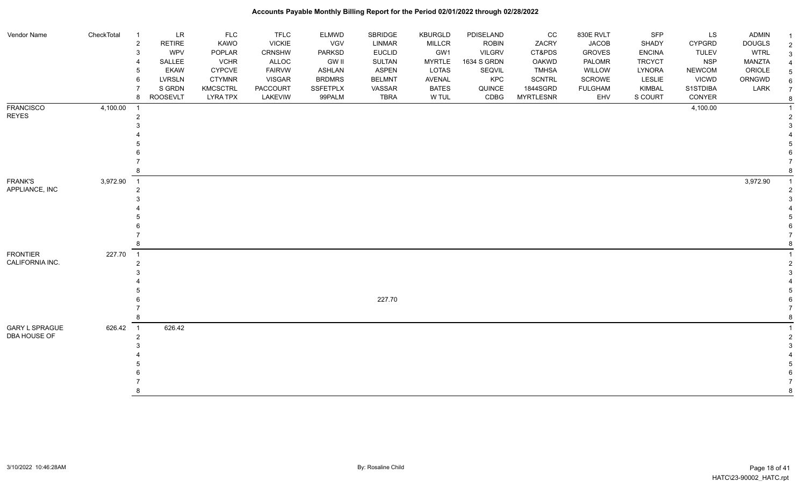| Vendor Name                           | CheckTotal | <b>LR</b><br>$\overline{1}$<br><b>RETIRE</b><br>$\overline{2}$<br><b>WPV</b><br>3<br>SALLEE<br><b>EKAW</b><br><b>LVRSLN</b><br>6<br>S GRDN | <b>FLC</b><br>KAWO<br>POPLAR<br><b>VCHR</b><br><b>CYPCVE</b><br><b>CTYMNR</b><br><b>KMCSCTRL</b> | <b>TFLC</b><br><b>VICKIE</b><br>CRNSHW<br><b>ALLOC</b><br><b>FAIRVW</b><br><b>VISGAR</b><br><b>PACCOURT</b> | <b>ELMWD</b><br>VGV<br><b>PARKSD</b><br><b>GW II</b><br>ASHLAN<br><b>BRDMRS</b><br>SSFETPLX | SBRIDGE<br><b>LINMAR</b><br><b>EUCLID</b><br>SULTAN<br>ASPEN<br><b>BELMNT</b><br>VASSAR | KBURGLD<br><b>MILLCR</b><br>GW1<br><b>MYRTLE</b><br>LOTAS<br>AVENAL<br><b>BATES</b> | PDISELAND<br><b>ROBIN</b><br><b>VILGRV</b><br>1634 S GRDN<br>SEQVIL<br>KPC<br>QUINCE | CC<br>ZACRY<br>CT&PDS<br><b>OAKWD</b><br><b>TMHSA</b><br><b>SCNTRL</b><br>1844SGRD | 830E RVLT<br><b>JACOB</b><br><b>GROVES</b><br>PALOMR<br>WILLOW<br>SCROWE<br><b>FULGHAM</b> | <b>SFP</b><br>SHADY<br><b>ENCINA</b><br><b>TRCYCT</b><br>LYNORA<br><b>LESLIE</b><br>KIMBAL | LS<br><b>CYPGRD</b><br><b>TULEV</b><br><b>NSP</b><br><b>NEWCOM</b><br><b>VICWD</b><br>S1STDIBA | ADMIN<br><b>DOUGLS</b><br><b>WTRL</b><br><b>MANZTA</b><br>ORIOLE<br>ORNGWD<br>LARK | $\overline{2}$<br>-3<br>5<br>6<br>$\overline{7}$ |
|---------------------------------------|------------|--------------------------------------------------------------------------------------------------------------------------------------------|--------------------------------------------------------------------------------------------------|-------------------------------------------------------------------------------------------------------------|---------------------------------------------------------------------------------------------|-----------------------------------------------------------------------------------------|-------------------------------------------------------------------------------------|--------------------------------------------------------------------------------------|------------------------------------------------------------------------------------|--------------------------------------------------------------------------------------------|--------------------------------------------------------------------------------------------|------------------------------------------------------------------------------------------------|------------------------------------------------------------------------------------|--------------------------------------------------|
|                                       |            | ROOSEVLT<br>8                                                                                                                              | <b>LYRA TPX</b>                                                                                  | LAKEVIW                                                                                                     | 99PALM                                                                                      | <b>TBRA</b>                                                                             | W TUL                                                                               | CDBG                                                                                 | <b>MYRTLESNR</b>                                                                   | EHV                                                                                        | S COURT                                                                                    | CONYER                                                                                         |                                                                                    | -8                                               |
| <b>FRANCISCO</b><br><b>REYES</b>      | 4,100.00   | $\overline{1}$<br>$\overline{2}$                                                                                                           |                                                                                                  |                                                                                                             |                                                                                             |                                                                                         |                                                                                     |                                                                                      |                                                                                    |                                                                                            |                                                                                            | 4,100.00                                                                                       |                                                                                    |                                                  |
| <b>FRANK'S</b><br>APPLIANCE, INC      | 3,972.90   | $\overline{1}$                                                                                                                             |                                                                                                  |                                                                                                             |                                                                                             |                                                                                         |                                                                                     |                                                                                      |                                                                                    |                                                                                            |                                                                                            |                                                                                                | 3,972.90                                                                           |                                                  |
| <b>FRONTIER</b><br>CALIFORNIA INC.    | 227.70     | $\overline{1}$<br>2                                                                                                                        |                                                                                                  |                                                                                                             |                                                                                             | 227.70                                                                                  |                                                                                     |                                                                                      |                                                                                    |                                                                                            |                                                                                            |                                                                                                |                                                                                    |                                                  |
| <b>GARY L SPRAGUE</b><br>DBA HOUSE OF | 626.42     | 626.42<br>$\overline{1}$<br>2                                                                                                              |                                                                                                  |                                                                                                             |                                                                                             |                                                                                         |                                                                                     |                                                                                      |                                                                                    |                                                                                            |                                                                                            |                                                                                                |                                                                                    | 8                                                |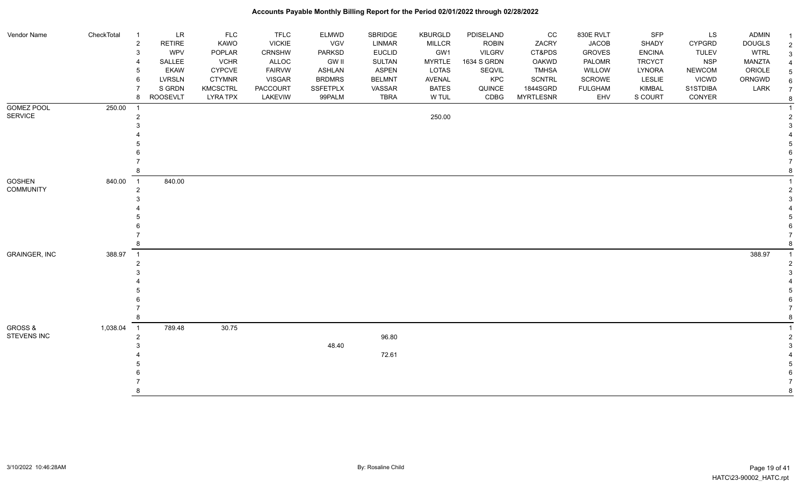| Vendor Name          | CheckTotal | $\overline{1}$ | <b>LR</b>       | <b>FLC</b>      | <b>TFLC</b>     | ELMWD           | SBRIDGE       | <b>KBURGLD</b> | PDISELAND     | cc               | 830E RVLT      | <b>SFP</b>    | <b>LS</b>     | <b>ADMIN</b>  |  |
|----------------------|------------|----------------|-----------------|-----------------|-----------------|-----------------|---------------|----------------|---------------|------------------|----------------|---------------|---------------|---------------|--|
|                      |            | $\overline{c}$ | <b>RETIRE</b>   | KAWO            | <b>VICKIE</b>   | VGV             | LINMAR        | <b>MILLCR</b>  | <b>ROBIN</b>  | ZACRY            | <b>JACOB</b>   | SHADY         | <b>CYPGRD</b> | <b>DOUGLS</b> |  |
|                      |            | $\mathbf{3}$   | WPV             | POPLAR          | <b>CRNSHW</b>   | PARKSD          | <b>EUCLID</b> | GW1            | <b>VILGRV</b> | CT&PDS           | <b>GROVES</b>  | <b>ENCINA</b> | <b>TULEV</b>  | <b>WTRL</b>   |  |
|                      |            | 4              | SALLEE          | <b>VCHR</b>     | ALLOC           | <b>GW II</b>    | <b>SULTAN</b> | <b>MYRTLE</b>  | 1634 S GRDN   | OAKWD            | PALOMR         | <b>TRCYCT</b> | <b>NSP</b>    | MANZTA        |  |
|                      |            | 5              | <b>EKAW</b>     | <b>CYPCVE</b>   | <b>FAIRVW</b>   | ASHLAN          | <b>ASPEN</b>  | LOTAS          | SEQVIL        | <b>TMHSA</b>     | WILLOW         | LYNORA        | <b>NEWCOM</b> | ORIOLE        |  |
|                      |            | 6              | <b>LVRSLN</b>   | <b>CTYMNR</b>   | <b>VISGAR</b>   | <b>BRDMRS</b>   | <b>BELMNT</b> | AVENAL         | <b>KPC</b>    | SCNTRL           | SCROWE         | <b>LESLIE</b> | <b>VICWD</b>  | ORNGWD        |  |
|                      |            |                | S GRDN          | <b>KMCSCTRL</b> | <b>PACCOURT</b> | <b>SSFETPLX</b> | VASSAR        | <b>BATES</b>   | QUINCE        | 1844SGRD         | <b>FULGHAM</b> | KIMBAL        | S1STDIBA      | LARK          |  |
|                      |            | 8              | <b>ROOSEVLT</b> | <b>LYRA TPX</b> | LAKEVIW         | 99PALM          | <b>TBRA</b>   | W TUL          | CDBG          | <b>MYRTLESNR</b> | EHV            | S COURT       | CONYER        |               |  |
| <b>GOMEZ POOL</b>    | 250.00     | - 1            |                 |                 |                 |                 |               |                |               |                  |                |               |               |               |  |
| <b>SERVICE</b>       |            | $\overline{2}$ |                 |                 |                 |                 |               | 250.00         |               |                  |                |               |               |               |  |
|                      |            | 3              |                 |                 |                 |                 |               |                |               |                  |                |               |               |               |  |
|                      |            |                |                 |                 |                 |                 |               |                |               |                  |                |               |               |               |  |
|                      |            |                |                 |                 |                 |                 |               |                |               |                  |                |               |               |               |  |
|                      |            |                |                 |                 |                 |                 |               |                |               |                  |                |               |               |               |  |
|                      |            |                |                 |                 |                 |                 |               |                |               |                  |                |               |               |               |  |
|                      |            | 8              |                 |                 |                 |                 |               |                |               |                  |                |               |               |               |  |
| <b>GOSHEN</b>        | 840.00     | $\overline{1}$ | 840.00          |                 |                 |                 |               |                |               |                  |                |               |               |               |  |
| COMMUNITY            |            | $\overline{c}$ |                 |                 |                 |                 |               |                |               |                  |                |               |               |               |  |
|                      |            | 3              |                 |                 |                 |                 |               |                |               |                  |                |               |               |               |  |
|                      |            |                |                 |                 |                 |                 |               |                |               |                  |                |               |               |               |  |
|                      |            |                |                 |                 |                 |                 |               |                |               |                  |                |               |               |               |  |
|                      |            |                |                 |                 |                 |                 |               |                |               |                  |                |               |               |               |  |
|                      |            |                |                 |                 |                 |                 |               |                |               |                  |                |               |               |               |  |
|                      |            | 8              |                 |                 |                 |                 |               |                |               |                  |                |               |               |               |  |
| <b>GRAINGER, INC</b> | 388.97     | $\overline{1}$ |                 |                 |                 |                 |               |                |               |                  |                |               |               | 388.97        |  |
|                      |            | $\overline{c}$ |                 |                 |                 |                 |               |                |               |                  |                |               |               |               |  |
|                      |            | 3              |                 |                 |                 |                 |               |                |               |                  |                |               |               |               |  |
|                      |            |                |                 |                 |                 |                 |               |                |               |                  |                |               |               |               |  |
|                      |            |                |                 |                 |                 |                 |               |                |               |                  |                |               |               |               |  |
|                      |            |                |                 |                 |                 |                 |               |                |               |                  |                |               |               |               |  |
|                      |            |                |                 |                 |                 |                 |               |                |               |                  |                |               |               |               |  |
|                      |            | 8              |                 |                 |                 |                 |               |                |               |                  |                |               |               |               |  |
| <b>GROSS &amp;</b>   | 1,038.04   | $\overline{1}$ | 789.48          | 30.75           |                 |                 |               |                |               |                  |                |               |               |               |  |
| <b>STEVENS INC</b>   |            | $\overline{2}$ |                 |                 |                 |                 | 96.80         |                |               |                  |                |               |               |               |  |
|                      |            | 3              |                 |                 |                 | 48.40           |               |                |               |                  |                |               |               |               |  |
|                      |            |                |                 |                 |                 |                 | 72.61         |                |               |                  |                |               |               |               |  |
|                      |            |                |                 |                 |                 |                 |               |                |               |                  |                |               |               |               |  |
|                      |            | 6              |                 |                 |                 |                 |               |                |               |                  |                |               |               |               |  |

 7 7 8 8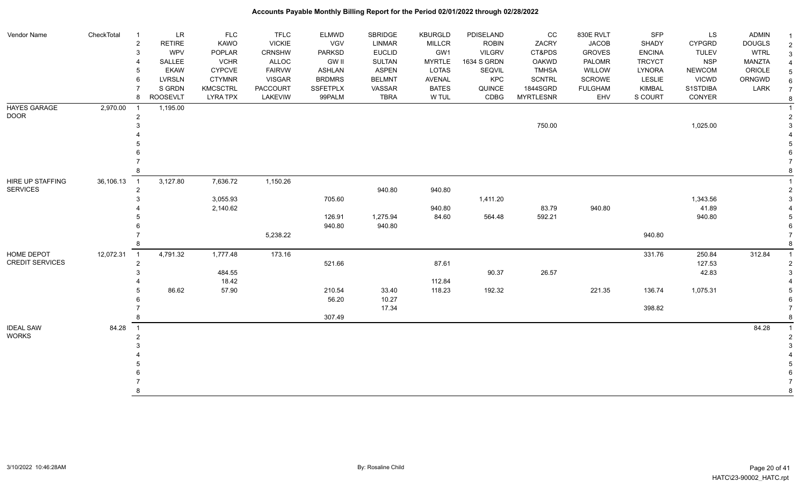| Vendor Name            | CheckTotal     | $\overline{1}$ | <b>LR</b>       | <b>FLC</b>      | <b>TFLC</b>     | <b>ELMWD</b>    | <b>SBRIDGE</b> | KBURGLD       | PDISELAND     | cc               | 830E RVLT      | <b>SFP</b>    | LS            | <b>ADMIN</b>  |                |
|------------------------|----------------|----------------|-----------------|-----------------|-----------------|-----------------|----------------|---------------|---------------|------------------|----------------|---------------|---------------|---------------|----------------|
|                        |                | $\overline{2}$ | <b>RETIRE</b>   | KAWO            | <b>VICKIE</b>   | <b>VGV</b>      | <b>LINMAR</b>  | <b>MILLCR</b> | <b>ROBIN</b>  | ZACRY            | <b>JACOB</b>   | SHADY         | <b>CYPGRD</b> | <b>DOUGLS</b> | $\overline{2}$ |
|                        |                | 3              | <b>WPV</b>      | <b>POPLAR</b>   | CRNSHW          | PARKSD          | <b>EUCLID</b>  | GW1           | <b>VILGRV</b> | CT&PDS           | <b>GROVES</b>  | <b>ENCINA</b> | <b>TULEV</b>  | <b>WTRL</b>   |                |
|                        |                |                | SALLEE          | <b>VCHR</b>     | ALLOC           | GW II           | <b>SULTAN</b>  | <b>MYRTLE</b> | 1634 S GRDN   | <b>OAKWD</b>     | PALOMR         | <b>TRCYCT</b> | <b>NSP</b>    | MANZTA        |                |
|                        |                |                | <b>EKAW</b>     | <b>CYPCVE</b>   | <b>FAIRVW</b>   | ASHLAN          | <b>ASPEN</b>   | <b>LOTAS</b>  | SEQVIL        | <b>TMHSA</b>     | WILLOW         | LYNORA        | <b>NEWCOM</b> | ORIOLE        |                |
|                        |                | 6              | <b>LVRSLN</b>   | <b>CTYMNR</b>   | <b>VISGAR</b>   | <b>BRDMRS</b>   | <b>BELMNT</b>  | AVENAL        | KPC           | <b>SCNTRL</b>    | <b>SCROWE</b>  | <b>LESLIE</b> | <b>VICWD</b>  | ORNGWD        |                |
|                        |                |                | S GRDN          | <b>KMCSCTRL</b> | <b>PACCOURT</b> | <b>SSFETPLX</b> | VASSAR         | <b>BATES</b>  | QUINCE        | 1844SGRD         | <b>FULGHAM</b> | <b>KIMBAL</b> | S1STDIBA      | LARK          |                |
|                        |                | 8              | <b>ROOSEVLT</b> | <b>LYRA TPX</b> | LAKEVIW         | 99PALM          | <b>TBRA</b>    | W TUL         | CDBG          | <b>MYRTLESNR</b> | EHV            | S COURT       | CONYER        |               |                |
| HAYES GARAGE           | 2,970.00       | $\overline{1}$ | 1,195.00        |                 |                 |                 |                |               |               |                  |                |               |               |               |                |
| DOOR                   |                | $\overline{2}$ |                 |                 |                 |                 |                |               |               |                  |                |               |               |               |                |
|                        |                |                |                 |                 |                 |                 |                |               |               | 750.00           |                |               | 1,025.00      |               |                |
|                        |                |                |                 |                 |                 |                 |                |               |               |                  |                |               |               |               |                |
|                        |                |                |                 |                 |                 |                 |                |               |               |                  |                |               |               |               |                |
|                        |                |                |                 |                 |                 |                 |                |               |               |                  |                |               |               |               |                |
|                        |                |                |                 |                 |                 |                 |                |               |               |                  |                |               |               |               |                |
|                        |                |                |                 |                 |                 |                 |                |               |               |                  |                |               |               |               |                |
| HIRE UP STAFFING       | 36,106.13      | $\overline{1}$ | 3,127.80        | 7,636.72        | 1,150.26        |                 |                |               |               |                  |                |               |               |               |                |
| <b>SERVICES</b>        | $\overline{2}$ |                |                 |                 |                 | 940.80          | 940.80         |               |               |                  |                |               |               |               |                |
|                        |                |                |                 | 3,055.93        |                 | 705.60          |                |               | 1,411.20      |                  |                |               | 1,343.56      |               |                |
|                        |                |                |                 | 2,140.62        |                 |                 |                | 940.80        |               | 83.79            | 940.80         |               | 41.89         |               |                |
|                        |                |                |                 |                 |                 | 126.91          | 1,275.94       | 84.60         | 564.48        | 592.21           |                |               | 940.80        |               |                |
|                        |                |                |                 |                 |                 | 940.80          | 940.80         |               |               |                  |                |               |               |               |                |
|                        |                |                |                 |                 | 5,238.22        |                 |                |               |               |                  |                | 940.80        |               |               |                |
|                        |                | 8              |                 |                 |                 |                 |                |               |               |                  |                |               |               |               |                |
| HOME DEPOT             | 12,072.31 1    |                | 4,791.32        | 1,777.48        | 173.16          |                 |                |               |               |                  |                | 331.76        | 250.84        | 312.84        |                |
| <b>CREDIT SERVICES</b> |                | $\overline{2}$ |                 |                 |                 | 521.66          |                | 87.61         |               |                  |                |               | 127.53        |               |                |
|                        |                |                |                 | 484.55          |                 |                 |                |               | 90.37         | 26.57            |                |               | 42.83         |               |                |
|                        |                |                |                 | 18.42           |                 |                 |                | 112.84        |               |                  |                |               |               |               |                |
|                        |                |                | 86.62           | 57.90           |                 | 210.54          | 33.40          | 118.23        | 192.32        |                  | 221.35         | 136.74        | 1,075.31      |               |                |
|                        |                |                |                 |                 |                 | 56.20           | 10.27          |               |               |                  |                |               |               |               |                |
|                        |                |                |                 |                 |                 |                 | 17.34          |               |               |                  |                | 398.82        |               |               |                |
|                        |                | 8              |                 |                 |                 | 307.49          |                |               |               |                  |                |               |               |               |                |
| <b>IDEAL SAW</b>       | 84.28          | $\overline{1}$ |                 |                 |                 |                 |                |               |               |                  |                |               |               | 84.28         |                |
| WORKS                  |                | $\overline{2}$ |                 |                 |                 |                 |                |               |               |                  |                |               |               |               |                |
|                        |                |                |                 |                 |                 |                 |                |               |               |                  |                |               |               |               |                |
|                        |                |                |                 |                 |                 |                 |                |               |               |                  |                |               |               |               |                |
|                        |                |                |                 |                 |                 |                 |                |               |               |                  |                |               |               |               |                |
|                        |                |                |                 |                 |                 |                 |                |               |               |                  |                |               |               |               |                |
|                        |                |                |                 |                 |                 |                 |                |               |               |                  |                |               |               |               |                |
|                        |                | 8              |                 |                 |                 |                 |                |               |               |                  |                |               |               |               |                |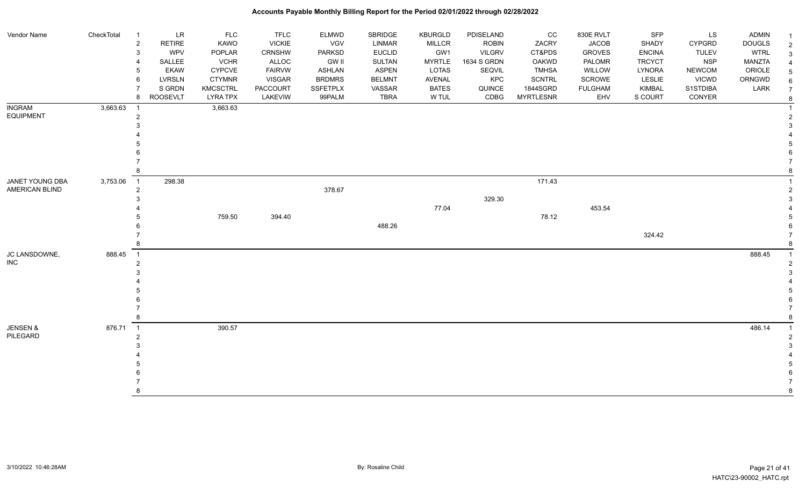| <b>Vendor Name</b>                | CheckTotal | $\overline{\mathbf{1}}$    | <b>LR</b>       | <b>FLC</b>      | <b>TFLC</b>     | <b>ELMWD</b>  | SBRIDGE       | <b>KBURGLD</b> | PDISELAND     | cc               | 830E RVLT      | SFP           | LS            | <b>ADMIN</b>  |                |
|-----------------------------------|------------|----------------------------|-----------------|-----------------|-----------------|---------------|---------------|----------------|---------------|------------------|----------------|---------------|---------------|---------------|----------------|
|                                   |            | $\overline{2}$             | <b>RETIRE</b>   | KAWO            | <b>VICKIE</b>   | <b>VGV</b>    | <b>LINMAR</b> | <b>MILLCR</b>  | <b>ROBIN</b>  | ZACRY            | <b>JACOB</b>   | SHADY         | <b>CYPGRD</b> | <b>DOUGLS</b> | $\overline{2}$ |
|                                   |            | $\mathbf{3}$               | <b>WPV</b>      | POPLAR          | <b>CRNSHW</b>   | <b>PARKSD</b> | <b>EUCLID</b> | GW1            | <b>VILGRV</b> | CT&PDS           | <b>GROVES</b>  | <b>ENCINA</b> | <b>TULEV</b>  | <b>WTRL</b>   | $\mathbf{3}$   |
|                                   |            | 4                          | SALLEE          | <b>VCHR</b>     | ALLOC           | GW II         | SULTAN        | <b>MYRTLE</b>  | 1634 S GRDN   | OAKWD            | <b>PALOMR</b>  | <b>TRCYCT</b> | <b>NSP</b>    | <b>MANZTA</b> | $\overline{4}$ |
|                                   |            | 5                          | <b>EKAW</b>     | <b>CYPCVE</b>   | <b>FAIRVW</b>   | <b>ASHLAN</b> | <b>ASPEN</b>  | LOTAS          | SEQVIL        | <b>TMHSA</b>     | WILLOW         | LYNORA        | NEWCOM        | ORIOLE        | 5              |
|                                   |            | 6                          | <b>LVRSLN</b>   | <b>CTYMNR</b>   | <b>VISGAR</b>   | <b>BRDMRS</b> | <b>BELMNT</b> | AVENAL         | KPC           | <b>SCNTRL</b>    | SCROWE         | LESLIE        | <b>VICWD</b>  | ORNGWD        | 6              |
|                                   |            | $\overline{7}$             | S GRDN          | <b>KMCSCTRL</b> | <b>PACCOURT</b> | SSFETPLX      | VASSAR        | <b>BATES</b>   | QUINCE        | 1844SGRD         | <b>FULGHAM</b> | <b>KIMBAL</b> | S1STDIBA      | LARK          | $\overline{7}$ |
|                                   |            | 8                          | <b>ROOSEVLT</b> | <b>LYRA TPX</b> | LAKEVIW         | 99PALM        | <b>TBRA</b>   | W TUL          | CDBG          | <b>MYRTLESNR</b> | EHV            | S COURT       | CONYER        |               | 8              |
| <b>INGRAM</b>                     | 3,663.63   | $\overline{1}$             |                 | 3,663.63        |                 |               |               |                |               |                  |                |               |               |               |                |
| <b>EQUIPMENT</b>                  |            | $\overline{2}$             |                 |                 |                 |               |               |                |               |                  |                |               |               |               | $\overline{2}$ |
|                                   |            | 3                          |                 |                 |                 |               |               |                |               |                  |                |               |               |               | 3              |
|                                   |            |                            |                 |                 |                 |               |               |                |               |                  |                |               |               |               |                |
|                                   |            |                            |                 |                 |                 |               |               |                |               |                  |                |               |               |               |                |
| JANET YOUNG DBA<br>AMERICAN BLIND |            |                            |                 |                 |                 |               |               |                |               |                  |                |               |               |               |                |
|                                   |            |                            |                 |                 |                 |               |               |                |               |                  |                |               |               |               |                |
|                                   |            | 8                          |                 |                 |                 |               |               |                |               |                  |                |               |               |               | 8              |
|                                   | 3,753.06   | $\overline{\phantom{0}}$ 1 | 298.38          |                 |                 |               |               |                |               | 171.43           |                |               |               |               |                |
|                                   |            | $\overline{2}$             |                 |                 |                 | 378.67        |               |                |               |                  |                |               |               |               | $\overline{2}$ |
|                                   |            | 3                          |                 |                 |                 |               |               |                | 329.30        |                  |                |               |               |               | 3              |
|                                   |            |                            |                 |                 |                 |               |               | 77.04          |               |                  | 453.54         |               |               |               |                |
|                                   |            |                            |                 | 759.50          | 394.40          |               |               |                |               | 78.12            |                |               |               |               |                |
|                                   |            |                            |                 |                 |                 |               | 488.26        |                |               |                  |                |               |               |               | 6              |
|                                   |            |                            |                 |                 |                 |               |               |                |               |                  |                | 324.42        |               |               |                |
|                                   |            | 8                          |                 |                 |                 |               |               |                |               |                  |                |               |               |               |                |
| JC LANSDOWNE,                     | 888.45     | $\overline{\phantom{0}}$ 1 |                 |                 |                 |               |               |                |               |                  |                |               |               | 888.45        |                |
| <b>INC</b>                        |            | $\overline{2}$             |                 |                 |                 |               |               |                |               |                  |                |               |               |               | $\overline{2}$ |
|                                   |            | 3                          |                 |                 |                 |               |               |                |               |                  |                |               |               |               |                |
|                                   |            |                            |                 |                 |                 |               |               |                |               |                  |                |               |               |               |                |
|                                   |            |                            |                 |                 |                 |               |               |                |               |                  |                |               |               |               |                |
|                                   |            |                            |                 |                 |                 |               |               |                |               |                  |                |               |               |               |                |
|                                   |            |                            |                 |                 |                 |               |               |                |               |                  |                |               |               |               |                |
|                                   |            | 8                          |                 |                 |                 |               |               |                |               |                  |                |               |               |               |                |
| <b>JENSEN &amp;</b>               | 876.71     | $\overline{\phantom{0}}$ 1 |                 | 390.57          |                 |               |               |                |               |                  |                |               |               | 486.14        | $\overline{1}$ |
| PILEGARD                          |            | $\overline{2}$             |                 |                 |                 |               |               |                |               |                  |                |               |               |               | $\overline{2}$ |
|                                   |            | 3                          |                 |                 |                 |               |               |                |               |                  |                |               |               |               | 3              |
|                                   |            |                            |                 |                 |                 |               |               |                |               |                  |                |               |               |               |                |
|                                   |            |                            |                 |                 |                 |               |               |                |               |                  |                |               |               |               | 5              |
|                                   |            |                            |                 |                 |                 |               |               |                |               |                  |                |               |               |               |                |
|                                   |            |                            |                 |                 |                 |               |               |                |               |                  |                |               |               |               | 7              |
|                                   |            | 8                          |                 |                 |                 |               |               |                |               |                  |                |               |               |               | 8              |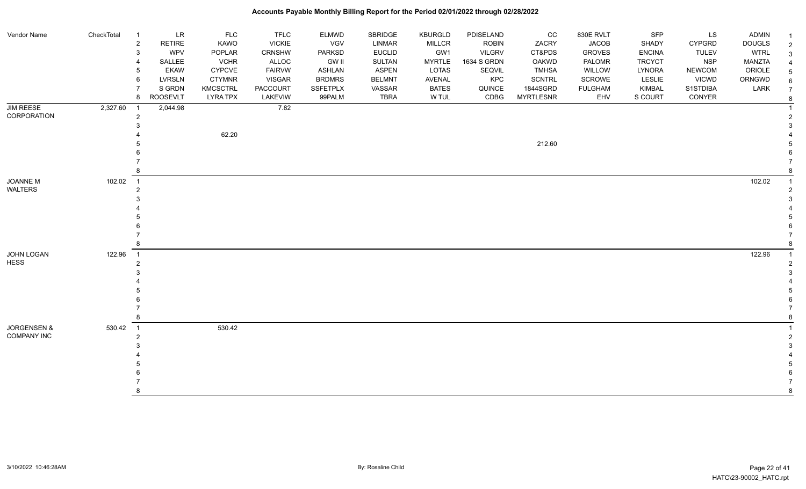| Vendor Name            | CheckTotal | $\overline{1}$ | $\ensuremath{\mathsf{LR}}$ | FLC             | <b>TFLC</b>   | <b>ELMWD</b>    | SBRIDGE       | KBURGLD       | PDISELAND     | cc               | 830E RVLT      | <b>SFP</b>    | LS            | <b>ADMIN</b>  |   |
|------------------------|------------|----------------|----------------------------|-----------------|---------------|-----------------|---------------|---------------|---------------|------------------|----------------|---------------|---------------|---------------|---|
|                        |            | $\overline{2}$ | <b>RETIRE</b>              | KAWO            | <b>VICKIE</b> | VGV             | LINMAR        | MILLCR        | <b>ROBIN</b>  | ZACRY            | <b>JACOB</b>   | SHADY         | <b>CYPGRD</b> | <b>DOUGLS</b> |   |
|                        |            | 3              | WPV                        | POPLAR          | <b>CRNSHW</b> | <b>PARKSD</b>   | <b>EUCLID</b> | GW1           | <b>VILGRV</b> | CT&PDS           | <b>GROVES</b>  | <b>ENCINA</b> | <b>TULEV</b>  | <b>WTRL</b>   | 3 |
|                        |            | $\overline{4}$ | SALLEE                     | <b>VCHR</b>     | ALLOC         | <b>GW II</b>    | <b>SULTAN</b> | <b>MYRTLE</b> | 1634 S GRDN   | OAKWD            | PALOMR         | <b>TRCYCT</b> | <b>NSP</b>    | <b>MANZTA</b> |   |
|                        |            | 5              | <b>EKAW</b>                | <b>CYPCVE</b>   | <b>FAIRVW</b> | <b>ASHLAN</b>   | <b>ASPEN</b>  | LOTAS         | SEQVIL        | <b>TMHSA</b>     | WILLOW         | LYNORA        | <b>NEWCOM</b> | ORIOLE        |   |
|                        |            | 6              | <b>LVRSLN</b>              | <b>CTYMNR</b>   | <b>VISGAR</b> | <b>BRDMRS</b>   | <b>BELMNT</b> | AVENAL        | KPC           | <b>SCNTRL</b>    | SCROWE         | LESLIE        | <b>VICWD</b>  | ORNGWD        |   |
|                        |            | $\overline{7}$ | S GRDN                     | <b>KMCSCTRL</b> | PACCOURT      | <b>SSFETPLX</b> | VASSAR        | <b>BATES</b>  | QUINCE        | 1844SGRD         | <b>FULGHAM</b> | <b>KIMBAL</b> | S1STDIBA      | LARK          |   |
|                        |            | 8              | <b>ROOSEVLT</b>            | <b>LYRA TPX</b> | LAKEVIW       | 99PALM          | <b>TBRA</b>   | W TUL         | CDBG          | <b>MYRTLESNR</b> | EHV            | S COURT       | CONYER        |               |   |
| <b>JIM REESE</b>       | 2,327.60   | $\overline{1}$ | 2,044.98                   |                 | 7.82          |                 |               |               |               |                  |                |               |               |               |   |
| CORPORATION            |            | $\overline{2}$ |                            |                 |               |                 |               |               |               |                  |                |               |               |               |   |
|                        |            | 3              |                            |                 |               |                 |               |               |               |                  |                |               |               |               |   |
|                        |            |                |                            | 62.20           |               |                 |               |               |               |                  |                |               |               |               |   |
|                        |            |                |                            |                 |               |                 |               |               |               | 212.60           |                |               |               |               |   |
|                        |            |                |                            |                 |               |                 |               |               |               |                  |                |               |               |               |   |
|                        |            |                |                            |                 |               |                 |               |               |               |                  |                |               |               |               |   |
|                        |            | 8              |                            |                 |               |                 |               |               |               |                  |                |               |               |               |   |
| <b>JOANNE M</b>        | 102.02     | $\overline{1}$ |                            |                 |               |                 |               |               |               |                  |                |               |               | 102.02        |   |
| WALTERS                |            | $\overline{2}$ |                            |                 |               |                 |               |               |               |                  |                |               |               |               |   |
|                        |            | 3              |                            |                 |               |                 |               |               |               |                  |                |               |               |               |   |
|                        |            |                |                            |                 |               |                 |               |               |               |                  |                |               |               |               |   |
|                        |            |                |                            |                 |               |                 |               |               |               |                  |                |               |               |               |   |
|                        |            |                |                            |                 |               |                 |               |               |               |                  |                |               |               |               |   |
|                        |            |                |                            |                 |               |                 |               |               |               |                  |                |               |               |               |   |
|                        |            | 8              |                            |                 |               |                 |               |               |               |                  |                |               |               |               |   |
| JOHN LOGAN             | 122.96     | $\overline{1}$ |                            |                 |               |                 |               |               |               |                  |                |               |               | 122.96        |   |
| <b>HESS</b>            |            | $\overline{2}$ |                            |                 |               |                 |               |               |               |                  |                |               |               |               |   |
|                        |            | 3              |                            |                 |               |                 |               |               |               |                  |                |               |               |               |   |
|                        |            |                |                            |                 |               |                 |               |               |               |                  |                |               |               |               |   |
|                        |            |                |                            |                 |               |                 |               |               |               |                  |                |               |               |               |   |
|                        |            |                |                            |                 |               |                 |               |               |               |                  |                |               |               |               |   |
|                        |            |                |                            |                 |               |                 |               |               |               |                  |                |               |               |               |   |
|                        |            | 8              |                            |                 |               |                 |               |               |               |                  |                |               |               |               |   |
| <b>JORGENSEN &amp;</b> | 530.42     | $\overline{1}$ |                            | 530.42          |               |                 |               |               |               |                  |                |               |               |               |   |
| <b>COMPANY INC</b>     |            | $\sqrt{2}$     |                            |                 |               |                 |               |               |               |                  |                |               |               |               |   |
|                        |            | 3              |                            |                 |               |                 |               |               |               |                  |                |               |               |               |   |
|                        |            |                |                            |                 |               |                 |               |               |               |                  |                |               |               |               |   |
|                        |            |                |                            |                 |               |                 |               |               |               |                  |                |               |               |               |   |
|                        |            |                |                            |                 |               |                 |               |               |               |                  |                |               |               |               |   |
|                        |            |                |                            |                 |               |                 |               |               |               |                  |                |               |               |               |   |
|                        |            | 8              |                            |                 |               |                 |               |               |               |                  |                |               |               |               |   |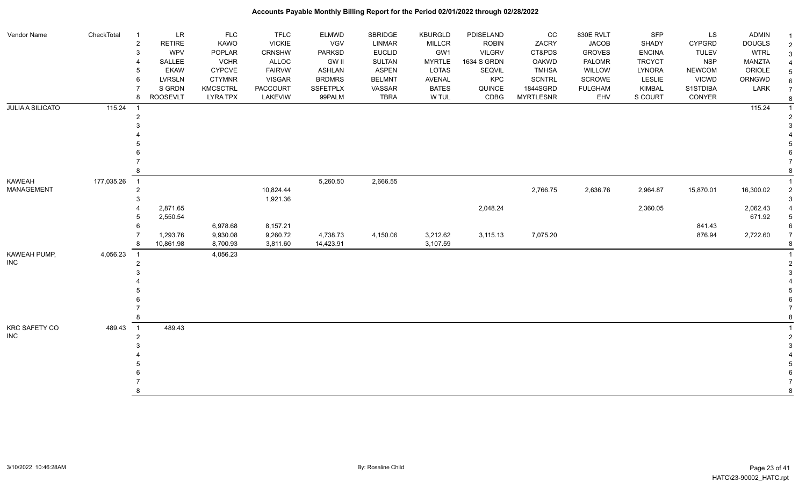| Vendor Name             | CheckTotal | $\overline{1}$ | LR              | <b>FLC</b>      | <b>TFLC</b>   | <b>ELMWD</b>    | SBRIDGE       | KBURGLD       | PDISELAND     | CC               | 830E RVLT      | SFP           | LS            | <b>ADMIN</b>  |                |
|-------------------------|------------|----------------|-----------------|-----------------|---------------|-----------------|---------------|---------------|---------------|------------------|----------------|---------------|---------------|---------------|----------------|
|                         |            | $\overline{c}$ | <b>RETIRE</b>   | KAWO            | <b>VICKIE</b> | VGV             | LINMAR        | <b>MILLCR</b> | <b>ROBIN</b>  | ZACRY            | <b>JACOB</b>   | SHADY         | <b>CYPGRD</b> | <b>DOUGLS</b> | $\overline{2}$ |
|                         |            | 3              | WPV             | POPLAR          | CRNSHW        | <b>PARKSD</b>   | <b>EUCLID</b> | GW1           | <b>VILGRV</b> | CT&PDS           | <b>GROVES</b>  | <b>ENCINA</b> | <b>TULEV</b>  | <b>WTRL</b>   | 3              |
|                         |            |                | SALLEE          | <b>VCHR</b>     | <b>ALLOC</b>  | <b>GW II</b>    | <b>SULTAN</b> | <b>MYRTLE</b> | 1634 S GRDN   | <b>OAKWD</b>     | PALOMR         | <b>TRCYCT</b> | <b>NSP</b>    | MANZTA        |                |
|                         |            |                | <b>EKAW</b>     | <b>CYPCVE</b>   | <b>FAIRVW</b> | <b>ASHLAN</b>   | <b>ASPEN</b>  | <b>LOTAS</b>  | SEQVIL        | <b>TMHSA</b>     | WILLOW         | LYNORA        | <b>NEWCOM</b> | ORIOLE        | 5              |
|                         |            | 6              | LVRSLN          | <b>CTYMNR</b>   | <b>VISGAR</b> | <b>BRDMRS</b>   | <b>BELMNT</b> | AVENAL        | KPC           | <b>SCNTRL</b>    | <b>SCROWE</b>  | <b>LESLIE</b> | <b>VICWD</b>  | ORNGWD        | 6              |
|                         |            |                | S GRDN          | <b>KMCSCTRL</b> | PACCOURT      | <b>SSFETPLX</b> | VASSAR        | <b>BATES</b>  | QUINCE        | 1844SGRD         | <b>FULGHAM</b> | <b>KIMBAL</b> | S1STDIBA      | LARK          | $\overline{7}$ |
|                         |            | 8              | <b>ROOSEVLT</b> | <b>LYRA TPX</b> | LAKEVIW       | 99PALM          | <b>TBRA</b>   | W TUL         | CDBG          | <b>MYRTLESNR</b> | EHV            | S COURT       | CONYER        |               | 8              |
| <b>JULIA A SILICATO</b> | 115.24     |                |                 |                 |               |                 |               |               |               |                  |                |               |               | 115.24        |                |
|                         |            |                |                 |                 |               |                 |               |               |               |                  |                |               |               |               |                |
|                         |            |                |                 |                 |               |                 |               |               |               |                  |                |               |               |               |                |
|                         |            |                |                 |                 |               |                 |               |               |               |                  |                |               |               |               |                |
|                         |            |                |                 |                 |               |                 |               |               |               |                  |                |               |               |               |                |
|                         |            |                |                 |                 |               |                 |               |               |               |                  |                |               |               |               |                |
|                         |            |                |                 |                 |               |                 |               |               |               |                  |                |               |               |               |                |
|                         |            |                |                 |                 |               |                 |               |               |               |                  |                |               |               |               |                |
| <b>KAWEAH</b>           | 177,035.26 | $\overline{1}$ |                 |                 |               | 5,260.50        | 2,666.55      |               |               |                  |                |               |               |               |                |
| MANAGEMENT              |            | $\overline{2}$ |                 |                 | 10,824.44     |                 |               |               |               | 2,766.75         | 2,636.76       | 2,964.87      | 15,870.01     | 16,300.02     |                |
|                         |            |                |                 |                 | 1,921.36      |                 |               |               |               |                  |                |               |               |               |                |
|                         |            |                | 2,871.65        |                 |               |                 |               |               | 2,048.24      |                  |                | 2,360.05      |               | 2,062.43      |                |
|                         |            |                | 2,550.54        |                 |               |                 |               |               |               |                  |                |               |               | 671.92        |                |
|                         |            | 6              |                 | 6,978.68        | 8.157.21      |                 |               |               |               |                  |                |               | 841.43        |               |                |
|                         |            |                | 1,293.76        | 9,930.08        | 9,260.72      | 4,738.73        | 4,150.06      | 3,212.62      | 3,115.13      | 7,075.20         |                |               | 876.94        | 2,722.60      |                |
|                         |            |                | 10,861.98       | 8,700.93        | 3,811.60      | 14,423.91       |               | 3,107.59      |               |                  |                |               |               |               |                |
| KAWEAH PUMP,            | 4,056.23   | $\overline{1}$ |                 | 4,056.23        |               |                 |               |               |               |                  |                |               |               |               |                |
| <b>INC</b>              |            |                |                 |                 |               |                 |               |               |               |                  |                |               |               |               |                |
|                         |            |                |                 |                 |               |                 |               |               |               |                  |                |               |               |               |                |
|                         |            |                |                 |                 |               |                 |               |               |               |                  |                |               |               |               |                |
|                         |            |                |                 |                 |               |                 |               |               |               |                  |                |               |               |               |                |
|                         |            |                |                 |                 |               |                 |               |               |               |                  |                |               |               |               |                |
|                         |            |                |                 |                 |               |                 |               |               |               |                  |                |               |               |               |                |
|                         |            |                |                 |                 |               |                 |               |               |               |                  |                |               |               |               |                |
| <b>KRC SAFETY CO</b>    | 489.43     | $\overline{1}$ | 489.43          |                 |               |                 |               |               |               |                  |                |               |               |               |                |
| <b>INC</b>              |            | $\mathcal{P}$  |                 |                 |               |                 |               |               |               |                  |                |               |               |               |                |
|                         |            |                |                 |                 |               |                 |               |               |               |                  |                |               |               |               |                |
|                         |            |                |                 |                 |               |                 |               |               |               |                  |                |               |               |               |                |
|                         |            |                |                 |                 |               |                 |               |               |               |                  |                |               |               |               |                |
|                         |            |                |                 |                 |               |                 |               |               |               |                  |                |               |               |               |                |
|                         |            |                |                 |                 |               |                 |               |               |               |                  |                |               |               |               |                |
|                         |            |                |                 |                 |               |                 |               |               |               |                  |                |               |               |               | 8              |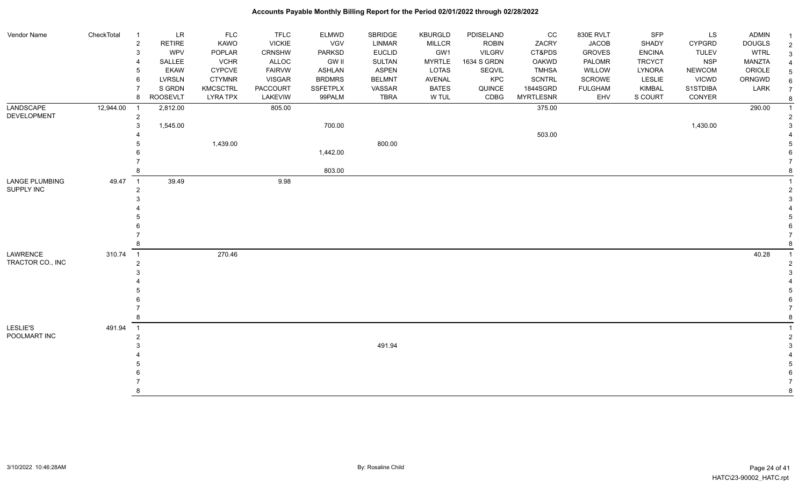| Vendor Name                  | CheckTotal | $\overline{1}$                   | LR            | <b>FLC</b>      | <b>TFLC</b>   | <b>ELMWD</b>    | SBRIDGE       | <b>KBURGLD</b> | PDISELAND     | CC               | 830E RVLT      | SFP           | LS            | ADMIN         |                |
|------------------------------|------------|----------------------------------|---------------|-----------------|---------------|-----------------|---------------|----------------|---------------|------------------|----------------|---------------|---------------|---------------|----------------|
|                              |            | $\overline{2}$                   | <b>RETIRE</b> | KAWO            | <b>VICKIE</b> | VGV             | LINMAR        | <b>MILLCR</b>  | <b>ROBIN</b>  | ZACRY            | <b>JACOB</b>   | SHADY         | <b>CYPGRD</b> | <b>DOUGLS</b> | $\overline{2}$ |
|                              |            | 3                                | WPV           | POPLAR          | <b>CRNSHW</b> | <b>PARKSD</b>   | <b>EUCLID</b> | GW1            | <b>VILGRV</b> | CT&PDS           | <b>GROVES</b>  | <b>ENCINA</b> | <b>TULEV</b>  | <b>WTRL</b>   | 3              |
|                              |            |                                  | SALLEE        | <b>VCHR</b>     | ALLOC         | <b>GW II</b>    | SULTAN        | <b>MYRTLE</b>  | 1634 S GRDN   | <b>OAKWD</b>     | PALOMR         | <b>TRCYCT</b> | <b>NSP</b>    | MANZTA        |                |
|                              |            | 5                                | <b>EKAW</b>   | <b>CYPCVE</b>   | <b>FAIRVW</b> | <b>ASHLAN</b>   | <b>ASPEN</b>  | LOTAS          | SEQVIL        | <b>TMHSA</b>     | WILLOW         | <b>LYNORA</b> | <b>NEWCOM</b> | ORIOLE        | 5              |
|                              |            | 6                                | LVRSLN        | <b>CTYMNR</b>   | <b>VISGAR</b> | <b>BRDMRS</b>   | <b>BELMNT</b> | AVENAL         | KPC           | <b>SCNTRL</b>    | SCROWE         | LESLIE        | VICWD         | ORNGWD        | 6              |
|                              |            |                                  | S GRDN        | KMCSCTRL        | PACCOURT      | <b>SSFETPLX</b> | VASSAR        | <b>BATES</b>   | QUINCE        | 1844SGRD         | <b>FULGHAM</b> | <b>KIMBAL</b> | S1STDIBA      | LARK          | $\overline{7}$ |
|                              |            | <b>ROOSEVLT</b><br>8             |               | <b>LYRA TPX</b> | LAKEVIW       | 99PALM          | <b>TBRA</b>   | W TUL          | CDBG          | <b>MYRTLESNR</b> | EHV            | S COURT       | CONYER        |               |                |
| <b>LANDSCAPE</b>             | 12,944.00  | $\overline{1}$                   | 2,812.00      |                 | 805.00        |                 |               |                |               | 375.00           |                |               |               | 290.00        |                |
| DEVELOPMENT                  |            | $\overline{2}$                   |               |                 |               |                 |               |                |               |                  |                |               |               |               |                |
|                              |            | 3                                | 1,545.00      |                 |               | 700.00          |               |                |               |                  |                |               | 1,430.00      |               |                |
|                              |            |                                  |               |                 |               |                 |               |                |               | 503.00           |                |               |               |               |                |
|                              |            |                                  |               | 1,439.00        |               |                 | 800.00        |                |               |                  |                |               |               |               |                |
|                              |            |                                  |               |                 |               | 1,442.00        |               |                |               |                  |                |               |               |               |                |
|                              |            |                                  |               |                 |               |                 |               |                |               |                  |                |               |               |               |                |
|                              |            | 8                                |               |                 |               | 803.00          |               |                |               |                  |                |               |               |               |                |
| LANGE PLUMBING               | 49.47      | $\overline{1}$                   | 39.49         |                 | 9.98          |                 |               |                |               |                  |                |               |               |               |                |
| SUPPLY INC                   |            | $\overline{2}$                   |               |                 |               |                 |               |                |               |                  |                |               |               |               |                |
|                              |            |                                  |               |                 |               |                 |               |                |               |                  |                |               |               |               |                |
|                              |            |                                  |               |                 |               |                 |               |                |               |                  |                |               |               |               |                |
|                              |            |                                  |               |                 |               |                 |               |                |               |                  |                |               |               |               |                |
|                              |            |                                  |               |                 |               |                 |               |                |               |                  |                |               |               |               |                |
|                              |            |                                  |               |                 |               |                 |               |                |               |                  |                |               |               |               |                |
|                              |            |                                  |               |                 |               |                 |               |                |               |                  |                |               |               |               |                |
| LAWRENCE<br>TRACTOR CO., INC | 310.74     | $\overline{1}$<br>$\overline{2}$ |               | 270.46          |               |                 |               |                |               |                  |                |               |               | 40.28         |                |
|                              |            |                                  |               |                 |               |                 |               |                |               |                  |                |               |               |               |                |
|                              |            |                                  |               |                 |               |                 |               |                |               |                  |                |               |               |               |                |
|                              |            |                                  |               |                 |               |                 |               |                |               |                  |                |               |               |               |                |
|                              |            |                                  |               |                 |               |                 |               |                |               |                  |                |               |               |               |                |
|                              |            |                                  |               |                 |               |                 |               |                |               |                  |                |               |               |               |                |
|                              |            |                                  |               |                 |               |                 |               |                |               |                  |                |               |               |               |                |
| LESLIE'S                     | 491.94     | $\overline{1}$                   |               |                 |               |                 |               |                |               |                  |                |               |               |               |                |
| POOLMART INC                 |            | $\overline{2}$                   |               |                 |               |                 |               |                |               |                  |                |               |               |               |                |
|                              |            |                                  |               |                 |               |                 | 491.94        |                |               |                  |                |               |               |               |                |
|                              |            |                                  |               |                 |               |                 |               |                |               |                  |                |               |               |               |                |
|                              |            |                                  |               |                 |               |                 |               |                |               |                  |                |               |               |               |                |
|                              |            |                                  |               |                 |               |                 |               |                |               |                  |                |               |               |               |                |
|                              |            |                                  |               |                 |               |                 |               |                |               |                  |                |               |               |               |                |
|                              |            |                                  |               |                 |               |                 |               |                |               |                  |                |               |               |               | 8              |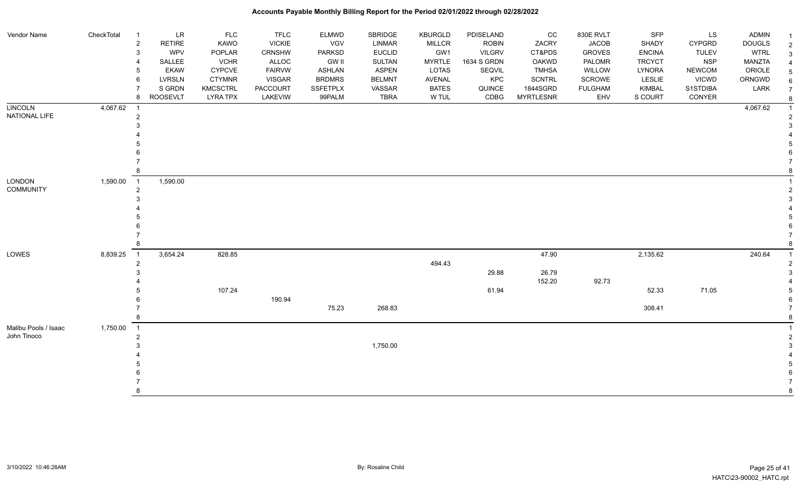| Vendor Name                       | CheckTotal | <b>LR</b><br>$\overline{1}$     | <b>FLC</b>      | <b>TFLC</b>   | ELMWD           | <b>SBRIDGE</b> | <b>KBURGLD</b> | PDISELAND     | CC               | 830E RVLT      | <b>SFP</b>    | LS            | <b>ADMIN</b>  |                |
|-----------------------------------|------------|---------------------------------|-----------------|---------------|-----------------|----------------|----------------|---------------|------------------|----------------|---------------|---------------|---------------|----------------|
|                                   |            | <b>RETIRE</b><br>$\overline{2}$ | KAWO            | <b>VICKIE</b> | VGV             | <b>LINMAR</b>  | <b>MILLCR</b>  | <b>ROBIN</b>  | ZACRY            | <b>JACOB</b>   | SHADY         | <b>CYPGRD</b> | <b>DOUGLS</b> | $\overline{2}$ |
|                                   |            | <b>WPV</b><br>3                 | POPLAR          | <b>CRNSHW</b> | <b>PARKSD</b>   | <b>EUCLID</b>  | GW1            | <b>VILGRV</b> | CT&PDS           | <b>GROVES</b>  | <b>ENCINA</b> | <b>TULEV</b>  | <b>WTRL</b>   |                |
|                                   |            | SALLEE                          | <b>VCHR</b>     | ALLOC         | <b>GW II</b>    | SULTAN         | <b>MYRTLE</b>  | 1634 S GRDN   | OAKWD            | PALOMR         | <b>TRCYCT</b> | <b>NSP</b>    | <b>MANZTA</b> |                |
|                                   |            | <b>EKAW</b>                     | <b>CYPCVE</b>   | <b>FAIRVW</b> | <b>ASHLAN</b>   | <b>ASPEN</b>   | <b>LOTAS</b>   | SEQVIL        | <b>TMHSA</b>     | WILLOW         | <b>LYNORA</b> | <b>NEWCOM</b> | ORIOLE        |                |
|                                   |            | <b>LVRSLN</b><br>6              | <b>CTYMNR</b>   | <b>VISGAR</b> | <b>BRDMRS</b>   | <b>BELMNT</b>  | AVENAL         | KPC           | <b>SCNTRL</b>    | SCROWE         | <b>LESLIE</b> | <b>VICWD</b>  | ORNGWD        |                |
|                                   |            | S GRDN                          | KMCSCTRL        | PACCOURT      | <b>SSFETPLX</b> | VASSAR         | <b>BATES</b>   | QUINCE        | 1844SGRD         | <b>FULGHAM</b> | KIMBAL        | S1STDIBA      | LARK          | $\overline{7}$ |
|                                   |            | <b>ROOSEVLT</b><br>8            | <b>LYRA TPX</b> | LAKEVIW       | 99PALM          | <b>TBRA</b>    | W TUL          | CDBG          | <b>MYRTLESNR</b> | EHV            | S COURT       | CONYER        |               |                |
| <b>LINCOLN</b>                    | 4,067.62   | $\overline{\phantom{0}}$ 1      |                 |               |                 |                |                |               |                  |                |               |               | 4,067.62      |                |
| NATIONAL LIFE                     |            | 2                               |                 |               |                 |                |                |               |                  |                |               |               |               |                |
|                                   |            |                                 |                 |               |                 |                |                |               |                  |                |               |               |               |                |
|                                   |            |                                 |                 |               |                 |                |                |               |                  |                |               |               |               |                |
|                                   |            |                                 |                 |               |                 |                |                |               |                  |                |               |               |               |                |
|                                   |            |                                 |                 |               |                 |                |                |               |                  |                |               |               |               |                |
|                                   |            |                                 |                 |               |                 |                |                |               |                  |                |               |               |               |                |
|                                   |            |                                 |                 |               |                 |                |                |               |                  |                |               |               |               |                |
| <b>LONDON</b><br><b>COMMUNITY</b> | 1,590.00   | 1,590.00<br>$\overline{1}$      |                 |               |                 |                |                |               |                  |                |               |               |               |                |
|                                   |            | $\overline{2}$                  |                 |               |                 |                |                |               |                  |                |               |               |               |                |
|                                   |            |                                 |                 |               |                 |                |                |               |                  |                |               |               |               |                |
|                                   |            |                                 |                 |               |                 |                |                |               |                  |                |               |               |               |                |
|                                   |            |                                 |                 |               |                 |                |                |               |                  |                |               |               |               |                |
|                                   |            |                                 |                 |               |                 |                |                |               |                  |                |               |               |               |                |
|                                   |            |                                 |                 |               |                 |                |                |               |                  |                |               |               |               |                |
|                                   |            |                                 |                 |               |                 |                |                |               |                  |                |               |               |               |                |
| LOWES                             | 8,839.25   | 3,654.24<br>$\overline{1}$      | 828.85          |               |                 |                |                |               | 47.90            |                | 2,135.62      |               | 240.64        |                |
|                                   |            | $\overline{2}$                  |                 |               |                 |                | 494.43         |               |                  |                |               |               |               |                |
|                                   |            |                                 |                 |               |                 |                |                | 29.88         | 26.79            |                |               |               |               |                |
|                                   |            |                                 |                 |               |                 |                |                |               | 152.20           | 92.73          |               |               |               |                |
|                                   |            |                                 | 107.24          |               |                 |                |                | 61.94         |                  |                | 52.33         | 71.05         |               |                |
|                                   |            |                                 |                 | 190.94        |                 |                |                |               |                  |                |               |               |               |                |
|                                   |            |                                 |                 |               | 75.23           | 268.83         |                |               |                  |                | 308.41        |               |               |                |
|                                   |            |                                 |                 |               |                 |                |                |               |                  |                |               |               |               |                |
| Malibu Pools / Isaac              | 1,750.00   | $\overline{1}$                  |                 |               |                 |                |                |               |                  |                |               |               |               |                |
| John Tinoco                       |            | 2                               |                 |               |                 |                |                |               |                  |                |               |               |               |                |
|                                   |            |                                 |                 |               |                 | 1,750.00       |                |               |                  |                |               |               |               |                |
|                                   |            |                                 |                 |               |                 |                |                |               |                  |                |               |               |               |                |
|                                   |            |                                 |                 |               |                 |                |                |               |                  |                |               |               |               |                |
|                                   |            |                                 |                 |               |                 |                |                |               |                  |                |               |               |               |                |
|                                   |            |                                 |                 |               |                 |                |                |               |                  |                |               |               |               |                |
|                                   |            |                                 |                 |               |                 |                |                |               |                  |                |               |               |               |                |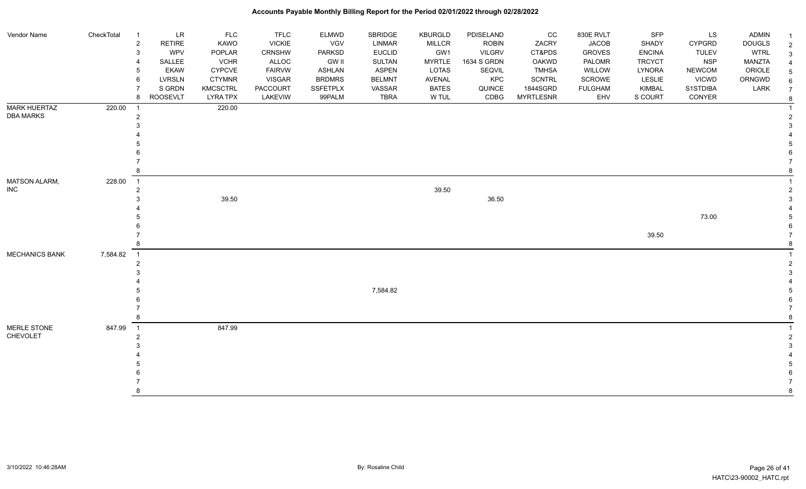| Vendor Name           | CheckTotal | - 1            | $\ensuremath{\mathsf{LR}}$ | <b>FLC</b>      | <b>TFLC</b>   | <b>ELMWD</b>  | SBRIDGE       | <b>KBURGLD</b> | PDISELAND     | cc               | 830E RVLT      | <b>SFP</b>    | LS            | ADMIN         |                       |
|-----------------------|------------|----------------|----------------------------|-----------------|---------------|---------------|---------------|----------------|---------------|------------------|----------------|---------------|---------------|---------------|-----------------------|
|                       |            | $\sqrt{2}$     | <b>RETIRE</b>              | KAWO            | <b>VICKIE</b> | VGV           | LINMAR        | <b>MILLCR</b>  | <b>ROBIN</b>  | ZACRY            | <b>JACOB</b>   | SHADY         | <b>CYPGRD</b> | <b>DOUGLS</b> | $\overline{2}$        |
|                       |            | $\mathbf{3}$   | WPV                        | POPLAR          | <b>CRNSHW</b> | <b>PARKSD</b> | <b>EUCLID</b> | GW1            | <b>VILGRV</b> | CT&PDS           | <b>GROVES</b>  | <b>ENCINA</b> | <b>TULEV</b>  | <b>WTRL</b>   | 3                     |
|                       |            | $\overline{4}$ | SALLEE                     | <b>VCHR</b>     | ALLOC         | <b>GW II</b>  | SULTAN        | <b>MYRTLE</b>  | 1634 S GRDN   | <b>OAKWD</b>     | PALOMR         | <b>TRCYCT</b> | <b>NSP</b>    | MANZTA        | $\boldsymbol{\Delta}$ |
|                       |            | 5              | <b>EKAW</b>                | <b>CYPCVE</b>   | <b>FAIRVW</b> | <b>ASHLAN</b> | <b>ASPEN</b>  | LOTAS          | SEQVIL        | <b>TMHSA</b>     | WILLOW         | LYNORA        | <b>NEWCOM</b> | ORIOLE        | 5                     |
|                       |            | 6              | <b>LVRSLN</b>              | <b>CTYMNR</b>   | <b>VISGAR</b> | <b>BRDMRS</b> | <b>BELMNT</b> | AVENAL         | KPC           | <b>SCNTRL</b>    | SCROWE         | LESLIE        | <b>VICWD</b>  | ORNGWD        |                       |
|                       |            | $\overline{7}$ | S GRDN                     | <b>KMCSCTRL</b> | PACCOURT      | SSFETPLX      | VASSAR        | <b>BATES</b>   | QUINCE        | 1844SGRD         | <b>FULGHAM</b> | <b>KIMBAL</b> | S1STDIBA      | LARK          |                       |
|                       |            | 8              | <b>ROOSEVLT</b>            | <b>LYRA TPX</b> | LAKEVIW       | 99PALM        | <b>TBRA</b>   | W TUL          | CDBG          | <b>MYRTLESNR</b> | EHV            | S COURT       | CONYER        |               | 8                     |
| <b>MARK HUERTAZ</b>   | 220.00     | $\overline{1}$ |                            | 220.00          |               |               |               |                |               |                  |                |               |               |               |                       |
| <b>DBA MARKS</b>      |            | $\overline{c}$ |                            |                 |               |               |               |                |               |                  |                |               |               |               | 2                     |
|                       |            | 3              |                            |                 |               |               |               |                |               |                  |                |               |               |               |                       |
|                       |            |                |                            |                 |               |               |               |                |               |                  |                |               |               |               |                       |
|                       |            |                |                            |                 |               |               |               |                |               |                  |                |               |               |               |                       |
|                       |            |                |                            |                 |               |               |               |                |               |                  |                |               |               |               |                       |
|                       |            |                |                            |                 |               |               |               |                |               |                  |                |               |               |               |                       |
|                       |            | 8              |                            |                 |               |               |               |                |               |                  |                |               |               |               |                       |
| <b>MATSON ALARM,</b>  | 228.00     | $\overline{1}$ |                            |                 |               |               |               |                |               |                  |                |               |               |               |                       |
| <b>INC</b>            |            | $\overline{2}$ |                            |                 |               |               |               | 39.50          |               |                  |                |               |               |               |                       |
|                       |            | 3              |                            | 39.50           |               |               |               |                | 36.50         |                  |                |               |               |               |                       |
|                       |            |                |                            |                 |               |               |               |                |               |                  |                |               |               |               |                       |
|                       |            |                |                            |                 |               |               |               |                |               |                  |                |               | 73.00         |               |                       |
|                       |            |                |                            |                 |               |               |               |                |               |                  |                |               |               |               |                       |
|                       |            |                |                            |                 |               |               |               |                |               |                  |                | 39.50         |               |               |                       |
|                       |            | 8              |                            |                 |               |               |               |                |               |                  |                |               |               |               | 8                     |
| <b>MECHANICS BANK</b> | 7,584.82   | $\overline{1}$ |                            |                 |               |               |               |                |               |                  |                |               |               |               |                       |
|                       |            | $\overline{c}$ |                            |                 |               |               |               |                |               |                  |                |               |               |               | $\overline{2}$        |
|                       |            | 3              |                            |                 |               |               |               |                |               |                  |                |               |               |               |                       |
|                       |            |                |                            |                 |               |               |               |                |               |                  |                |               |               |               |                       |
|                       |            |                |                            |                 |               |               | 7,584.82      |                |               |                  |                |               |               |               |                       |
|                       |            |                |                            |                 |               |               |               |                |               |                  |                |               |               |               |                       |
|                       |            |                |                            |                 |               |               |               |                |               |                  |                |               |               |               |                       |
|                       |            | 8              |                            |                 |               |               |               |                |               |                  |                |               |               |               | 8                     |
| MERLE STONE           | 847.99     | $\overline{1}$ |                            | 847.99          |               |               |               |                |               |                  |                |               |               |               |                       |
| <b>CHEVOLET</b>       |            | $\overline{c}$ |                            |                 |               |               |               |                |               |                  |                |               |               |               | $\overline{2}$        |
|                       |            | 3              |                            |                 |               |               |               |                |               |                  |                |               |               |               |                       |
|                       |            |                |                            |                 |               |               |               |                |               |                  |                |               |               |               |                       |
|                       |            |                |                            |                 |               |               |               |                |               |                  |                |               |               |               |                       |
|                       |            |                |                            |                 |               |               |               |                |               |                  |                |               |               |               |                       |
|                       |            |                |                            |                 |               |               |               |                |               |                  |                |               |               |               |                       |
|                       |            | 8              |                            |                 |               |               |               |                |               |                  |                |               |               |               | 8                     |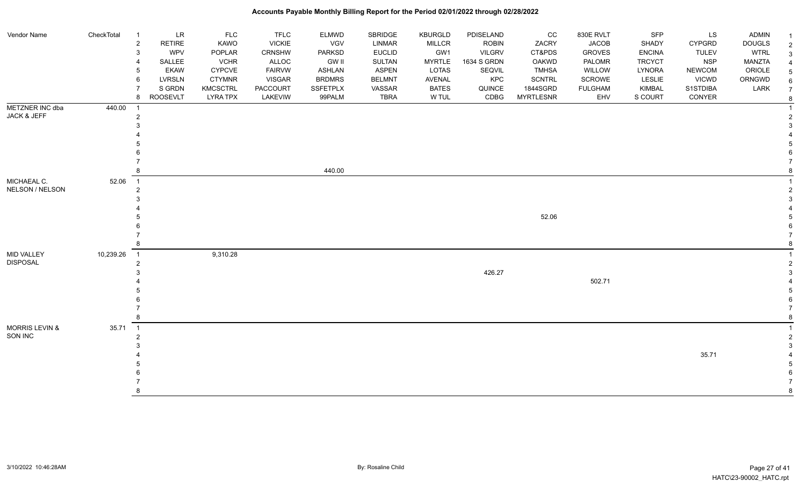#### Vendor Name CheckTotal 1 LR FLC FLC ELMWD SBRIDGE KBURGLD PDISELAND CC 830E RVLT SFP LS ADMIN <sub>1</sub> 2 RETIRE KAWO VICKIE VGV LINMAR MILLCR ROBIN ZACRY JACOB SHADY CYPGRD DOUGLS 2 3 WPV POPLAR CRNSHW PARKSD EUCLID GW1 VILGRV CT&PDS GROVES ENCINA TULEV WTRL 3 4 SALLEE VCHR ALLOC GW II SULTAN MYRTLE 1634 S GRDN OAKWD PALOMR TRCYCT NSP MANZTA 4 5 EKAW CYPCVE FAIRVW ASHLAN ASPEN LOTAS SEQVIL TMHSA WILLOW LYNORA NEWCOM ORIOLE 5 6 LVRSLN CTYMNR VISGAR BRDMRS BELMNT AVENAL KPC SCNTRL SCROWE LESLIE VICWD ORNGWD  $_{6}$ 7 SIGRDN KMCSCTRL PACCOURT SSFETPLX VASSAR BATES QUINCE 1844SGRD FULGHAM KIMBAL S1STDIBA LARK 7 8 ROOSEVLT LYRA TPX LAKEVIW 99PALM TBRA W TUL CDBG MYRTLESNR EHV S COURT CONYER <sub>8</sub> METZNER INC dba JACK & JEFF 440.00 1 1 2 2  $3<sup>3</sup>$  4 4 5 5  $6$  7 7 8 440.00 8 MICHAEAL C. NELSON / NELSON 52.06 1 1 2 2  $3<sup>3</sup>$  4 4  $5-5$  $6$  7 7 8 8 MID VALLEY DISPOSAL 10,239.26 1 9,310.28 1 2 2  $426.27$  3 4 502.71 4 5 5  $6$  7 7 8 8 MORRIS LEVIN & SON INC 35.71 1 1 2 2  $3<sup>3</sup>$  4 35.71 4 5 5  $6$  7 7 8 8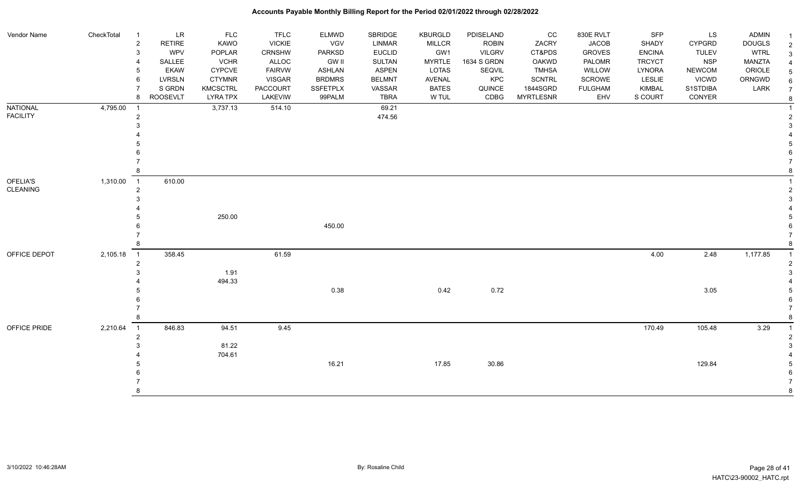| Vendor Name     | CheckTotal | $\overline{1}$      | <b>LR</b>       | <b>FLC</b>            | <b>TFLC</b>     | <b>ELMWD</b>                  | SBRIDGE                        | <b>KBURGLD</b>       | PDISELAND                    | CC               | 830E RVLT               | <b>SFP</b>                     | LS                         | <b>ADMIN</b>          |                |
|-----------------|------------|---------------------|-----------------|-----------------------|-----------------|-------------------------------|--------------------------------|----------------------|------------------------------|------------------|-------------------------|--------------------------------|----------------------------|-----------------------|----------------|
|                 |            | $\sqrt{2}$          | <b>RETIRE</b>   | KAWO                  | <b>VICKIE</b>   | VGV                           | LINMAR                         | <b>MILLCR</b>        | <b>ROBIN</b>                 | ZACRY            | <b>JACOB</b>            | SHADY                          | <b>CYPGRD</b>              | <b>DOUGLS</b>         | $\overline{2}$ |
|                 |            | 3<br>$\overline{4}$ | WPV<br>SALLEE   | POPLAR<br><b>VCHR</b> | CRNSHW<br>ALLOC | <b>PARKSD</b><br><b>GW II</b> | <b>EUCLID</b><br><b>SULTAN</b> | GW1<br><b>MYRTLE</b> | <b>VILGRV</b><br>1634 S GRDN | CT&PDS<br>OAKWD  | <b>GROVES</b><br>PALOMR | <b>ENCINA</b><br><b>TRCYCT</b> | <b>TULEV</b><br><b>NSP</b> | <b>WTRL</b><br>MANZTA | 3              |
|                 |            | 5                   | <b>EKAW</b>     | <b>CYPCVE</b>         | <b>FAIRVW</b>   | <b>ASHLAN</b>                 | <b>ASPEN</b>                   | LOTAS                | SEQVIL                       | <b>TMHSA</b>     | WILLOW                  | LYNORA                         | <b>NEWCOM</b>              | ORIOLE                |                |
|                 |            | 6                   | <b>LVRSLN</b>   | <b>CTYMNR</b>         | <b>VISGAR</b>   | <b>BRDMRS</b>                 | <b>BELMNT</b>                  | <b>AVENAL</b>        | KPC                          | <b>SCNTRL</b>    | SCROWE                  | LESLIE                         | <b>VICWD</b>               | ORNGWD                | 5              |
|                 |            | $\overline{7}$      | S GRDN          | <b>KMCSCTRL</b>       | <b>PACCOURT</b> | <b>SSFETPLX</b>               | VASSAR                         | <b>BATES</b>         | QUINCE                       | 1844SGRD         | <b>FULGHAM</b>          | KIMBAL                         | S1STDIBA                   | LARK                  | 6              |
|                 |            | 8                   | <b>ROOSEVLT</b> | <b>LYRA TPX</b>       | LAKEVIW         | 99PALM                        | <b>TBRA</b>                    | W TUL                | CDBG                         | <b>MYRTLESNR</b> | EHV                     | S COURT                        | CONYER                     |                       | $\overline{7}$ |
| <b>NATIONAL</b> | 4,795.00   | $\overline{1}$      |                 | 3,737.13              | 514.10          |                               | 69.21                          |                      |                              |                  |                         |                                |                            |                       | 8              |
| <b>FACILITY</b> |            | $\overline{2}$      |                 |                       |                 |                               | 474.56                         |                      |                              |                  |                         |                                |                            |                       |                |
|                 |            | 3                   |                 |                       |                 |                               |                                |                      |                              |                  |                         |                                |                            |                       |                |
|                 |            |                     |                 |                       |                 |                               |                                |                      |                              |                  |                         |                                |                            |                       |                |
|                 |            |                     |                 |                       |                 |                               |                                |                      |                              |                  |                         |                                |                            |                       |                |
|                 |            |                     |                 |                       |                 |                               |                                |                      |                              |                  |                         |                                |                            |                       |                |
|                 |            |                     |                 |                       |                 |                               |                                |                      |                              |                  |                         |                                |                            |                       |                |
|                 |            | 8                   |                 |                       |                 |                               |                                |                      |                              |                  |                         |                                |                            |                       |                |
| OFELIA'S        | 1,310.00   | $\overline{1}$      | 610.00          |                       |                 |                               |                                |                      |                              |                  |                         |                                |                            |                       |                |
| <b>CLEANING</b> |            | $\overline{2}$      |                 |                       |                 |                               |                                |                      |                              |                  |                         |                                |                            |                       |                |
|                 |            | 3                   |                 |                       |                 |                               |                                |                      |                              |                  |                         |                                |                            |                       |                |
|                 |            |                     |                 |                       |                 |                               |                                |                      |                              |                  |                         |                                |                            |                       |                |
|                 |            |                     |                 | 250.00                |                 |                               |                                |                      |                              |                  |                         |                                |                            |                       |                |
|                 |            | 6                   |                 |                       |                 | 450.00                        |                                |                      |                              |                  |                         |                                |                            |                       |                |
|                 |            |                     |                 |                       |                 |                               |                                |                      |                              |                  |                         |                                |                            |                       |                |
|                 |            | 8                   |                 |                       |                 |                               |                                |                      |                              |                  |                         |                                |                            |                       |                |
| OFFICE DEPOT    | 2,105.18   | $\overline{1}$      | 358.45          |                       | 61.59           |                               |                                |                      |                              |                  |                         | 4.00                           | 2.48                       | 1,177.85              |                |
|                 |            | $\overline{2}$      |                 |                       |                 |                               |                                |                      |                              |                  |                         |                                |                            |                       |                |
|                 |            | 3                   |                 | 1.91                  |                 |                               |                                |                      |                              |                  |                         |                                |                            |                       |                |
|                 |            |                     |                 | 494.33                |                 |                               |                                |                      |                              |                  |                         |                                |                            |                       |                |
|                 |            |                     |                 |                       |                 | 0.38                          |                                | 0.42                 | 0.72                         |                  |                         |                                | 3.05                       |                       |                |
|                 |            |                     |                 |                       |                 |                               |                                |                      |                              |                  |                         |                                |                            |                       |                |
|                 |            | $\overline{7}$      |                 |                       |                 |                               |                                |                      |                              |                  |                         |                                |                            |                       |                |
|                 |            | 8                   |                 |                       |                 |                               |                                |                      |                              |                  |                         |                                |                            |                       |                |
| OFFICE PRIDE    | 2,210.64   | $\overline{1}$      | 846.83          | 94.51                 | 9.45            |                               |                                |                      |                              |                  |                         | 170.49                         | 105.48                     | 3.29                  |                |
|                 |            | $\overline{2}$      |                 |                       |                 |                               |                                |                      |                              |                  |                         |                                |                            |                       |                |
|                 |            | 3                   |                 | 81.22                 |                 |                               |                                |                      |                              |                  |                         |                                |                            |                       |                |
|                 |            |                     |                 | 704.61                |                 |                               |                                |                      |                              |                  |                         |                                |                            |                       |                |
|                 |            |                     |                 |                       |                 | 16.21                         |                                | 17.85                | 30.86                        |                  |                         |                                | 129.84                     |                       |                |
|                 |            |                     |                 |                       |                 |                               |                                |                      |                              |                  |                         |                                |                            |                       |                |
|                 |            |                     |                 |                       |                 |                               |                                |                      |                              |                  |                         |                                |                            |                       |                |
|                 |            | Я.                  |                 |                       |                 |                               |                                |                      |                              |                  |                         |                                |                            |                       |                |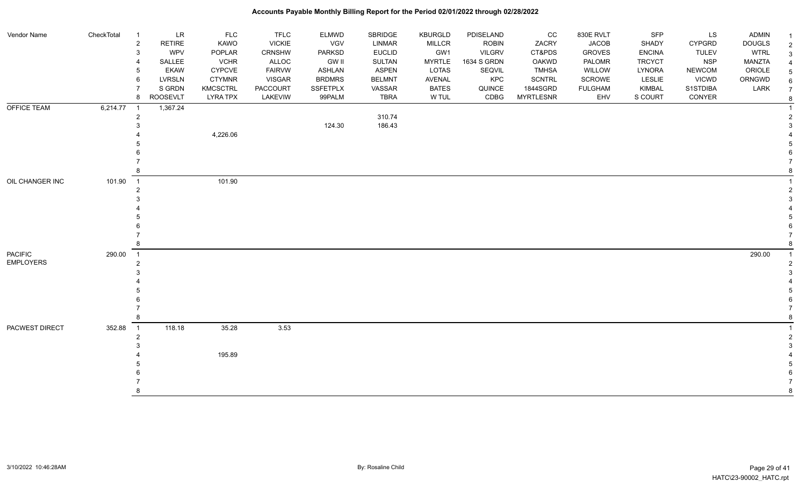| <b>Vendor Name</b> | CheckTotal   | $\overline{1}$ | <b>LR</b>     | <b>FLC</b>      | TFLC            | ELMWD           | SBRIDGE       | <b>KBURGLD</b> | PDISELAND     | CC               | 830E RVLT      | SFP           | LS            | <b>ADMIN</b>  | -1             |
|--------------------|--------------|----------------|---------------|-----------------|-----------------|-----------------|---------------|----------------|---------------|------------------|----------------|---------------|---------------|---------------|----------------|
|                    |              | $\overline{c}$ | RETIRE        | KAWO            | <b>VICKIE</b>   | VGV             | LINMAR        | <b>MILLCR</b>  | <b>ROBIN</b>  | ZACRY            | <b>JACOB</b>   | SHADY         | <b>CYPGRD</b> | <b>DOUGLS</b> | $\overline{2}$ |
|                    |              | $\sqrt{3}$     | <b>WPV</b>    | POPLAR          | <b>CRNSHW</b>   | <b>PARKSD</b>   | <b>EUCLID</b> | GW1            | <b>VILGRV</b> | CT&PDS           | <b>GROVES</b>  | <b>ENCINA</b> | <b>TULEV</b>  | <b>WTRL</b>   |                |
|                    |              | 4              | SALLEE        | <b>VCHR</b>     | ALLOC           | <b>GW II</b>    | SULTAN        | <b>MYRTLE</b>  | 1634 S GRDN   | OAKWD            | PALOMR         | <b>TRCYCT</b> | <b>NSP</b>    | <b>MANZTA</b> |                |
|                    |              | 5              | <b>EKAW</b>   | <b>CYPCVE</b>   | <b>FAIRVW</b>   | ASHLAN          | <b>ASPEN</b>  | <b>LOTAS</b>   | SEQVIL        | <b>TMHSA</b>     | WILLOW         | LYNORA        | <b>NEWCOM</b> | ORIOLE        |                |
|                    |              | 6              | <b>LVRSLN</b> | <b>CTYMNR</b>   | <b>VISGAR</b>   | <b>BRDMRS</b>   | <b>BELMNT</b> | AVENAL         | KPC           | <b>SCNTRL</b>    | SCROWE         | LESLIE        | <b>VICWD</b>  | ORNGWD        |                |
|                    |              |                | S GRDN        | <b>KMCSCTRL</b> | <b>PACCOURT</b> | <b>SSFETPLX</b> | VASSAR        | <b>BATES</b>   | QUINCE        | 1844SGRD         | <b>FULGHAM</b> | <b>KIMBAL</b> | S1STDIBA      | LARK          | $\overline{7}$ |
|                    |              | 8              | ROOSEVLT      | <b>LYRA TPX</b> | LAKEVIW         | 99PALM          | <b>TBRA</b>   | W TUL          | CDBG          | <b>MYRTLESNR</b> | EHV            | S COURT       | CONYER        |               |                |
| OFFICE TEAM        | $6,214.77$ 1 |                | 1,367.24      |                 |                 |                 |               |                |               |                  |                |               |               |               |                |
|                    |              | $\overline{2}$ |               |                 |                 |                 | 310.74        |                |               |                  |                |               |               |               |                |
|                    |              | 3              |               |                 |                 | 124.30          | 186.43        |                |               |                  |                |               |               |               |                |
|                    |              |                |               | 4,226.06        |                 |                 |               |                |               |                  |                |               |               |               |                |
|                    |              |                |               |                 |                 |                 |               |                |               |                  |                |               |               |               |                |
|                    |              |                |               |                 |                 |                 |               |                |               |                  |                |               |               |               |                |
|                    |              | 8              |               |                 |                 |                 |               |                |               |                  |                |               |               |               |                |
| OIL CHANGER INC    |              |                |               |                 |                 |                 |               |                |               |                  |                |               |               |               |                |
|                    | 101.90       | $\overline{1}$ |               | 101.90          |                 |                 |               |                |               |                  |                |               |               |               |                |
|                    |              | 2              |               |                 |                 |                 |               |                |               |                  |                |               |               |               |                |
|                    |              |                |               |                 |                 |                 |               |                |               |                  |                |               |               |               |                |
|                    |              |                |               |                 |                 |                 |               |                |               |                  |                |               |               |               |                |
|                    |              |                |               |                 |                 |                 |               |                |               |                  |                |               |               |               |                |
|                    |              |                |               |                 |                 |                 |               |                |               |                  |                |               |               |               |                |
|                    |              | 8              |               |                 |                 |                 |               |                |               |                  |                |               |               |               |                |
| <b>PACIFIC</b>     | 290.00       | $\overline{1}$ |               |                 |                 |                 |               |                |               |                  |                |               |               | 290.00        |                |
| <b>EMPLOYERS</b>   |              | 2              |               |                 |                 |                 |               |                |               |                  |                |               |               |               |                |
|                    |              | 3              |               |                 |                 |                 |               |                |               |                  |                |               |               |               |                |
|                    |              |                |               |                 |                 |                 |               |                |               |                  |                |               |               |               |                |
|                    |              |                |               |                 |                 |                 |               |                |               |                  |                |               |               |               |                |
|                    |              |                |               |                 |                 |                 |               |                |               |                  |                |               |               |               |                |
|                    |              |                |               |                 |                 |                 |               |                |               |                  |                |               |               |               |                |
|                    |              | 8              |               |                 |                 |                 |               |                |               |                  |                |               |               |               |                |
| PACWEST DIRECT     | 352.88       | $\overline{1}$ | 118.18        | 35.28           | 3.53            |                 |               |                |               |                  |                |               |               |               |                |
|                    |              | $\overline{2}$ |               |                 |                 |                 |               |                |               |                  |                |               |               |               |                |
|                    |              |                |               |                 |                 |                 |               |                |               |                  |                |               |               |               |                |
|                    |              |                |               | 195.89          |                 |                 |               |                |               |                  |                |               |               |               |                |
|                    |              |                |               |                 |                 |                 |               |                |               |                  |                |               |               |               |                |
|                    |              |                |               |                 |                 |                 |               |                |               |                  |                |               |               |               |                |
|                    |              |                |               |                 |                 |                 |               |                |               |                  |                |               |               |               |                |
|                    |              |                |               |                 |                 |                 |               |                |               |                  |                |               |               |               |                |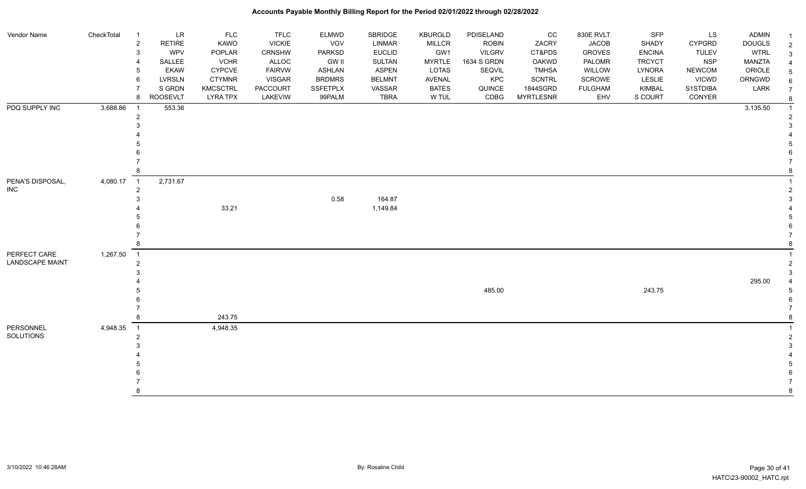| Vendor Name                            | CheckTotal | $\overline{1}$                   | ${\sf LR}$      | <b>FLC</b>      | <b>TFLC</b>     | <b>ELMWD</b>    | SBRIDGE       | <b>KBURGLD</b> | PDISELAND     | CC               | 830E RVLT      | SFP           | LS            | <b>ADMIN</b>  | -1             |
|----------------------------------------|------------|----------------------------------|-----------------|-----------------|-----------------|-----------------|---------------|----------------|---------------|------------------|----------------|---------------|---------------|---------------|----------------|
|                                        |            | $\sqrt{2}$                       | <b>RETIRE</b>   | <b>KAWO</b>     | <b>VICKIE</b>   | <b>VGV</b>      | <b>LINMAR</b> | <b>MILLCR</b>  | <b>ROBIN</b>  | ZACRY            | <b>JACOB</b>   | SHADY         | <b>CYPGRD</b> | <b>DOUGLS</b> | $\overline{2}$ |
|                                        |            | 3                                | WPV             | POPLAR          | <b>CRNSHW</b>   | <b>PARKSD</b>   | <b>EUCLID</b> | GW1            | <b>VILGRV</b> | CT&PDS           | <b>GROVES</b>  | <b>ENCINA</b> | <b>TULEV</b>  | <b>WTRL</b>   | $\mathbf{3}$   |
|                                        |            | 4                                | SALLEE          | <b>VCHR</b>     | ALLOC           | <b>GW II</b>    | <b>SULTAN</b> | <b>MYRTLE</b>  | 1634 S GRDN   | <b>OAKWD</b>     | PALOMR         | <b>TRCYCT</b> | <b>NSP</b>    | <b>MANZTA</b> | $\overline{4}$ |
|                                        |            | 5                                | <b>EKAW</b>     | <b>CYPCVE</b>   | <b>FAIRVW</b>   | <b>ASHLAN</b>   | <b>ASPEN</b>  | <b>LOTAS</b>   | SEQVIL        | <b>TMHSA</b>     | WILLOW         | LYNORA        | <b>NEWCOM</b> | ORIOLE        | 5              |
|                                        |            | 6                                | <b>LVRSLN</b>   | <b>CTYMNR</b>   | <b>VISGAR</b>   | <b>BRDMRS</b>   | <b>BELMNT</b> | AVENAL         | KPC           | <b>SCNTRL</b>    | SCROWE         | LESLIE        | <b>VICWD</b>  | ORNGWD        |                |
|                                        |            |                                  | S GRDN          | <b>KMCSCTRL</b> | <b>PACCOURT</b> | <b>SSFETPLX</b> | VASSAR        | <b>BATES</b>   | QUINCE        | 1844SGRD         | <b>FULGHAM</b> | KIMBAL        | S1STDIBA      | <b>LARK</b>   |                |
|                                        |            | 8                                | <b>ROOSEVLT</b> | <b>LYRATPX</b>  | LAKEVIW         | 99PALM          | <b>TBRA</b>   | W TUL          | CDBG          | <b>MYRTLESNR</b> | EHV            | S COURT       | CONYER        |               | 8              |
| PDQ SUPPLY INC                         | 3,688.86   | $\overline{1}$                   | 553.36          |                 |                 |                 |               |                |               |                  |                |               |               | 3,135.50      | -1             |
|                                        |            | $\overline{2}$                   |                 |                 |                 |                 |               |                |               |                  |                |               |               |               | 2              |
|                                        |            |                                  |                 |                 |                 |                 |               |                |               |                  |                |               |               |               |                |
|                                        |            |                                  |                 |                 |                 |                 |               |                |               |                  |                |               |               |               |                |
|                                        |            |                                  |                 |                 |                 |                 |               |                |               |                  |                |               |               |               |                |
|                                        |            |                                  |                 |                 |                 |                 |               |                |               |                  |                |               |               |               |                |
| PENA'S DISPOSAL,<br><b>INC</b>         |            |                                  |                 |                 |                 |                 |               |                |               |                  |                |               |               |               |                |
|                                        |            |                                  |                 |                 |                 |                 |               |                |               |                  |                |               |               |               |                |
|                                        | 4,080.17   | $\overline{1}$                   | 2,731.67        |                 |                 |                 |               |                |               |                  |                |               |               |               |                |
|                                        |            | $\overline{2}$                   |                 |                 |                 |                 |               |                |               |                  |                |               |               |               |                |
|                                        |            |                                  |                 |                 |                 | 0.58            | 164.87        |                |               |                  |                |               |               |               |                |
|                                        |            |                                  |                 | 33.21           |                 |                 | 1,149.84      |                |               |                  |                |               |               |               |                |
|                                        |            |                                  |                 |                 |                 |                 |               |                |               |                  |                |               |               |               |                |
|                                        |            |                                  |                 |                 |                 |                 |               |                |               |                  |                |               |               |               |                |
|                                        |            | 8                                |                 |                 |                 |                 |               |                |               |                  |                |               |               |               |                |
|                                        | 1,267.50   |                                  |                 |                 |                 |                 |               |                |               |                  |                |               |               |               |                |
| PERFECT CARE<br><b>LANDSCAPE MAINT</b> |            | $\overline{1}$<br>$\overline{2}$ |                 |                 |                 |                 |               |                |               |                  |                |               |               |               |                |
|                                        |            |                                  |                 |                 |                 |                 |               |                |               |                  |                |               |               |               |                |
|                                        |            |                                  |                 |                 |                 |                 |               |                |               |                  |                |               |               | 295.00        |                |
|                                        |            |                                  |                 |                 |                 |                 |               |                | 485.00        |                  |                | 243.75        |               |               |                |
|                                        |            |                                  |                 |                 |                 |                 |               |                |               |                  |                |               |               |               |                |
|                                        |            |                                  |                 |                 |                 |                 |               |                |               |                  |                |               |               |               |                |
|                                        |            | 8                                |                 | 243.75          |                 |                 |               |                |               |                  |                |               |               |               |                |
| PERSONNEL                              | 4,948.35   | $\overline{1}$                   |                 | 4,948.35        |                 |                 |               |                |               |                  |                |               |               |               |                |
| SOLUTIONS                              |            | $\overline{2}$                   |                 |                 |                 |                 |               |                |               |                  |                |               |               |               | $\overline{2}$ |
|                                        |            |                                  |                 |                 |                 |                 |               |                |               |                  |                |               |               |               |                |
|                                        |            |                                  |                 |                 |                 |                 |               |                |               |                  |                |               |               |               |                |
|                                        |            |                                  |                 |                 |                 |                 |               |                |               |                  |                |               |               |               |                |
|                                        |            |                                  |                 |                 |                 |                 |               |                |               |                  |                |               |               |               |                |
|                                        |            |                                  |                 |                 |                 |                 |               |                |               |                  |                |               |               |               |                |
|                                        |            |                                  |                 |                 |                 |                 |               |                |               |                  |                |               |               |               | 8              |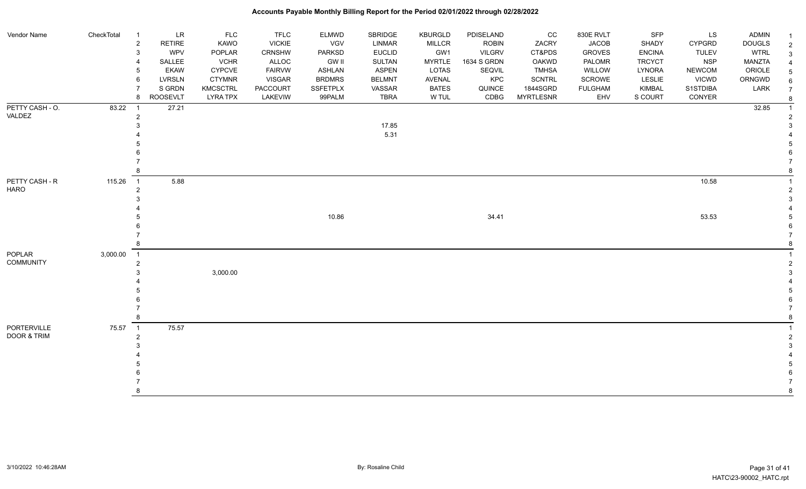| Vendor Name                   | CheckTotal | $\overline{1}$ | <b>LR</b>     | <b>FLC</b>      | <b>TFLC</b>     | ELMWD         | SBRIDGE       | <b>KBURGLD</b> | PDISELAND     | CC               | 830E RVLT      | <b>SFP</b>    | LS            | <b>ADMIN</b>  |                |
|-------------------------------|------------|----------------|---------------|-----------------|-----------------|---------------|---------------|----------------|---------------|------------------|----------------|---------------|---------------|---------------|----------------|
|                               |            | $\overline{2}$ | <b>RETIRE</b> | <b>KAWO</b>     | <b>VICKIE</b>   | VGV           | <b>LINMAR</b> | <b>MILLCR</b>  | <b>ROBIN</b>  | ZACRY            | <b>JACOB</b>   | SHADY         | <b>CYPGRD</b> | <b>DOUGLS</b> | $\overline{2}$ |
|                               |            | 3              | <b>WPV</b>    | POPLAR          | CRNSHW          | <b>PARKSD</b> | <b>EUCLID</b> | GW1            | <b>VILGRV</b> | CT&PDS           | <b>GROVES</b>  | <b>ENCINA</b> | <b>TULEV</b>  | <b>WTRL</b>   | 3              |
|                               |            | 4              | SALLEE        | <b>VCHR</b>     | ALLOC           | GW II         | SULTAN        | <b>MYRTLE</b>  | 1634 S GRDN   | OAKWD            | PALOMR         | <b>TRCYCT</b> | <b>NSP</b>    | MANZTA        |                |
|                               |            | 5              | <b>EKAW</b>   | <b>CYPCVE</b>   | <b>FAIRVW</b>   | ASHLAN        | ASPEN         | LOTAS          | SEQVIL        | <b>TMHSA</b>     | WILLOW         | LYNORA        | <b>NEWCOM</b> | ORIOLE        |                |
|                               |            | 6              | <b>LVRSLN</b> | <b>CTYMNR</b>   | <b>VISGAR</b>   | <b>BRDMRS</b> | <b>BELMNT</b> | AVENAL         | KPC           | <b>SCNTRL</b>    | SCROWE         | LESLIE        | <b>VICWD</b>  | ORNGWD        |                |
|                               |            |                | S GRDN        | <b>KMCSCTRL</b> | <b>PACCOURT</b> | SSFETPLX      | VASSAR        | <b>BATES</b>   | QUINCE        | 1844SGRD         | <b>FULGHAM</b> | KIMBAL        | S1STDIBA      | LARK          |                |
|                               |            | 8              | ROOSEVLT      | <b>LYRA TPX</b> | LAKEVIW         | 99PALM        | <b>TBRA</b>   | W TUL          | CDBG          | <b>MYRTLESNR</b> | EHV            | S COURT       | CONYER        |               |                |
| PETTY CASH - O.               | 83.22      | $\overline{1}$ | 27.21         |                 |                 |               |               |                |               |                  |                |               |               | 32.85         |                |
| VALDEZ                        |            | $\overline{2}$ |               |                 |                 |               |               |                |               |                  |                |               |               |               |                |
|                               |            |                |               |                 |                 |               | 17.85         |                |               |                  |                |               |               |               |                |
|                               |            |                |               |                 |                 |               | 5.31          |                |               |                  |                |               |               |               |                |
|                               |            |                |               |                 |                 |               |               |                |               |                  |                |               |               |               |                |
|                               |            |                |               |                 |                 |               |               |                |               |                  |                |               |               |               |                |
|                               |            |                |               |                 |                 |               |               |                |               |                  |                |               |               |               |                |
|                               | 115.26     | $\overline{1}$ | 5.88          |                 |                 |               |               |                |               |                  |                |               | 10.58         |               |                |
| PETTY CASH - R<br><b>HARO</b> |            | $\overline{2}$ |               |                 |                 |               |               |                |               |                  |                |               |               |               |                |
|                               |            |                |               |                 |                 |               |               |                |               |                  |                |               |               |               |                |
|                               |            |                |               |                 |                 |               |               |                |               |                  |                |               |               |               |                |
|                               |            |                |               |                 |                 | 10.86         |               |                | 34.41         |                  |                |               | 53.53         |               |                |
|                               |            |                |               |                 |                 |               |               |                |               |                  |                |               |               |               |                |
|                               |            |                |               |                 |                 |               |               |                |               |                  |                |               |               |               |                |
|                               |            | 8              |               |                 |                 |               |               |                |               |                  |                |               |               |               |                |
| POPLAR                        | 3,000.00   | $\overline{1}$ |               |                 |                 |               |               |                |               |                  |                |               |               |               |                |
| <b>COMMUNITY</b>              |            | $\overline{2}$ |               |                 |                 |               |               |                |               |                  |                |               |               |               |                |
|                               |            |                |               | 3,000.00        |                 |               |               |                |               |                  |                |               |               |               |                |
|                               |            |                |               |                 |                 |               |               |                |               |                  |                |               |               |               |                |
|                               |            |                |               |                 |                 |               |               |                |               |                  |                |               |               |               |                |
|                               |            |                |               |                 |                 |               |               |                |               |                  |                |               |               |               |                |
|                               |            |                |               |                 |                 |               |               |                |               |                  |                |               |               |               |                |
|                               |            | 8              |               |                 |                 |               |               |                |               |                  |                |               |               |               |                |
| PORTERVILLE                   | 75.57      | $\overline{1}$ | 75.57         |                 |                 |               |               |                |               |                  |                |               |               |               |                |
| DOOR & TRIM                   |            | $\overline{2}$ |               |                 |                 |               |               |                |               |                  |                |               |               |               |                |
|                               |            |                |               |                 |                 |               |               |                |               |                  |                |               |               |               |                |
|                               |            |                |               |                 |                 |               |               |                |               |                  |                |               |               |               |                |
|                               |            |                |               |                 |                 |               |               |                |               |                  |                |               |               |               |                |
|                               |            |                |               |                 |                 |               |               |                |               |                  |                |               |               |               |                |
|                               |            |                |               |                 |                 |               |               |                |               |                  |                |               |               |               |                |
|                               |            |                |               |                 |                 |               |               |                |               |                  |                |               |               |               |                |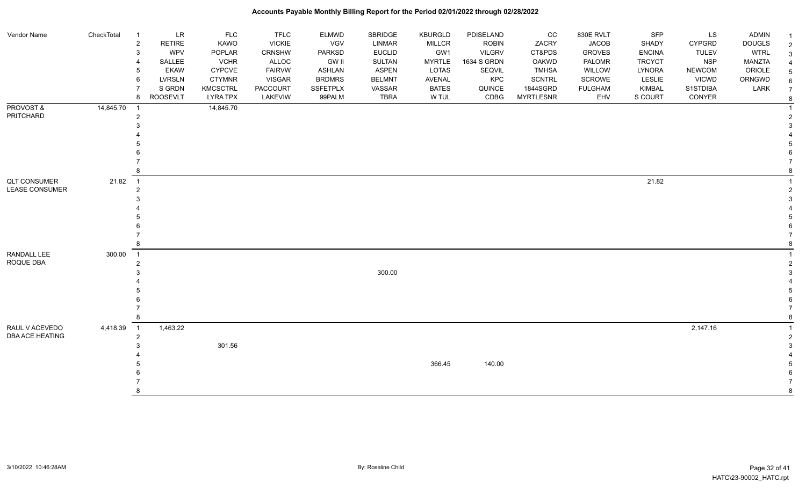| Vendor Name                                  | CheckTotal | $\overline{1}$ | LR            | <b>FLC</b>      | <b>TFLC</b>   | <b>ELMWD</b>    | SBRIDGE       | <b>KBURGLD</b> | PDISELAND     | CC               | 830E RVLT      | SFP           | LS            | <b>ADMIN</b>  |                            |
|----------------------------------------------|------------|----------------|---------------|-----------------|---------------|-----------------|---------------|----------------|---------------|------------------|----------------|---------------|---------------|---------------|----------------------------|
|                                              |            | $\overline{2}$ | <b>RETIRE</b> | <b>KAWO</b>     | <b>VICKIE</b> | <b>VGV</b>      | LINMAR        | <b>MILLCR</b>  | <b>ROBIN</b>  | ZACRY            | <b>JACOB</b>   | SHADY         | <b>CYPGRD</b> | <b>DOUGLS</b> | $\overline{1}$             |
|                                              |            | 3              | WPV           | POPLAR          | <b>CRNSHW</b> | <b>PARKSD</b>   | <b>EUCLID</b> | GW1            | <b>VILGRV</b> | CT&PDS           | <b>GROVES</b>  | <b>ENCINA</b> | <b>TULEV</b>  | <b>WTRL</b>   | $\sqrt{2}$<br>$\mathbf{3}$ |
|                                              |            |                | SALLEE        | <b>VCHR</b>     | <b>ALLOC</b>  | <b>GW II</b>    | <b>SULTAN</b> | <b>MYRTLE</b>  | 1634 S GRDN   | <b>OAKWD</b>     | PALOMR         | <b>TRCYCT</b> | <b>NSP</b>    | <b>MANZTA</b> | 4                          |
|                                              |            | 5              | <b>EKAW</b>   | <b>CYPCVE</b>   | <b>FAIRVW</b> | <b>ASHLAN</b>   | <b>ASPEN</b>  | LOTAS          | SEQVIL        | <b>TMHSA</b>     | WILLOW         | LYNORA        | <b>NEWCOM</b> | ORIOLE        | $\sqrt{5}$                 |
|                                              |            | 6              | LVRSLN        | <b>CTYMNR</b>   | <b>VISGAR</b> | <b>BRDMRS</b>   | <b>BELMNT</b> | AVENAL         | KPC           | <b>SCNTRL</b>    | SCROWE         | LESLIE        | <b>VICWD</b>  | ORNGWD        | 6                          |
|                                              |            |                | S GRDN        | <b>KMCSCTRL</b> | PACCOURT      | <b>SSFETPLX</b> | VASSAR        | <b>BATES</b>   | QUINCE        | 1844SGRD         | <b>FULGHAM</b> | <b>KIMBAL</b> | S1STDIBA      | LARK          | $\overline{7}$             |
|                                              |            | 8              | ROOSEVLT      | <b>LYRA TPX</b> | LAKEVIW       | 99PALM          | <b>TBRA</b>   | W TUL          | CDBG          | <b>MYRTLESNR</b> | EHV            | S COURT       | CONYER        |               | 8                          |
| PROVOST&                                     | 14,845.70  | -1             |               | 14,845.70       |               |                 |               |                |               |                  |                |               |               |               | $\overline{1}$             |
| <b>PRITCHARD</b>                             |            | 2              |               |                 |               |                 |               |                |               |                  |                |               |               |               | $\overline{2}$             |
|                                              |            |                |               |                 |               |                 |               |                |               |                  |                |               |               |               | 3                          |
|                                              |            |                |               |                 |               |                 |               |                |               |                  |                |               |               |               |                            |
| <b>QLT CONSUMER</b><br><b>LEASE CONSUMER</b> |            |                |               |                 |               |                 |               |                |               |                  |                |               |               |               | 5                          |
|                                              |            |                |               |                 |               |                 |               |                |               |                  |                |               |               |               | 6                          |
|                                              |            |                |               |                 |               |                 |               |                |               |                  |                |               |               |               | $\overline{7}$             |
|                                              |            |                |               |                 |               |                 |               |                |               |                  |                |               |               |               | 8                          |
|                                              | 21.82      | $\overline{1}$ |               |                 |               |                 |               |                |               |                  |                | 21.82         |               |               |                            |
|                                              |            | $\overline{2}$ |               |                 |               |                 |               |                |               |                  |                |               |               |               | $\overline{2}$             |
|                                              |            |                |               |                 |               |                 |               |                |               |                  |                |               |               |               | 3                          |
|                                              |            |                |               |                 |               |                 |               |                |               |                  |                |               |               |               |                            |
|                                              |            |                |               |                 |               |                 |               |                |               |                  |                |               |               |               | 5                          |
|                                              |            |                |               |                 |               |                 |               |                |               |                  |                |               |               |               | 6                          |
|                                              |            | 8              |               |                 |               |                 |               |                |               |                  |                |               |               |               | $\overline{7}$             |
|                                              |            |                |               |                 |               |                 |               |                |               |                  |                |               |               |               | $\bf 8$                    |
| RANDALL LEE                                  | 300.00     | $\overline{1}$ |               |                 |               |                 |               |                |               |                  |                |               |               |               | $\mathbf{1}$               |
| ROQUE DBA                                    |            | $\overline{2}$ |               |                 |               |                 |               |                |               |                  |                |               |               |               | $\sqrt{2}$                 |
|                                              |            |                |               |                 |               |                 | 300.00        |                |               |                  |                |               |               |               | 3                          |
|                                              |            |                |               |                 |               |                 |               |                |               |                  |                |               |               |               | 5                          |
|                                              |            |                |               |                 |               |                 |               |                |               |                  |                |               |               |               | 6                          |
|                                              |            |                |               |                 |               |                 |               |                |               |                  |                |               |               |               | $\overline{7}$             |
|                                              |            |                |               |                 |               |                 |               |                |               |                  |                |               |               |               | 8                          |
| RAUL V ACEVEDO                               | 4,418.39   | $\overline{1}$ | 1,463.22      |                 |               |                 |               |                |               |                  |                |               | 2,147.16      |               | $\overline{1}$             |
| <b>DBA ACE HEATING</b>                       |            | $\overline{2}$ |               |                 |               |                 |               |                |               |                  |                |               |               |               | $\sqrt{2}$                 |
|                                              |            |                |               | 301.56          |               |                 |               |                |               |                  |                |               |               |               | 3                          |
|                                              |            |                |               |                 |               |                 |               |                |               |                  |                |               |               |               |                            |
|                                              |            |                |               |                 |               |                 |               | 366.45         | 140.00        |                  |                |               |               |               | 5                          |
|                                              |            |                |               |                 |               |                 |               |                |               |                  |                |               |               |               | 6                          |
|                                              |            |                |               |                 |               |                 |               |                |               |                  |                |               |               |               | $\overline{7}$             |
|                                              |            | 8              |               |                 |               |                 |               |                |               |                  |                |               |               |               | 8                          |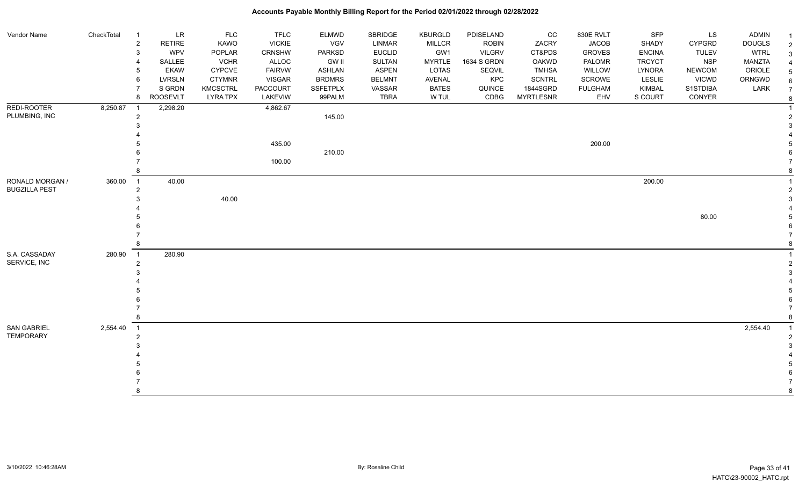| Vendor Name                             | CheckTotal | $\overline{1}$ | LR              | <b>FLC</b>      | <b>TFLC</b>     | ELMWD           | SBRIDGE       | <b>KBURGLD</b> | PDISELAND     | CC               | 830E RVLT      | <b>SFP</b>    | LS            | <b>ADMIN</b>  |  |
|-----------------------------------------|------------|----------------|-----------------|-----------------|-----------------|-----------------|---------------|----------------|---------------|------------------|----------------|---------------|---------------|---------------|--|
|                                         |            | $\overline{2}$ | <b>RETIRE</b>   | KAWO            | <b>VICKIE</b>   | VGV             | <b>LINMAR</b> | <b>MILLCR</b>  | <b>ROBIN</b>  | ZACRY            | <b>JACOB</b>   | SHADY         | <b>CYPGRD</b> | <b>DOUGLS</b> |  |
|                                         |            | 3              | WPV             | POPLAR          | <b>CRNSHW</b>   | PARKSD          | <b>EUCLID</b> | GW1            | <b>VILGRV</b> | CT&PDS           | <b>GROVES</b>  | <b>ENCINA</b> | <b>TULEV</b>  | <b>WTRL</b>   |  |
|                                         |            |                | SALLEE          | <b>VCHR</b>     | ALLOC           | <b>GW II</b>    | <b>SULTAN</b> | <b>MYRTLE</b>  | 1634 S GRDN   | OAKWD            | PALOMR         | <b>TRCYCT</b> | <b>NSP</b>    | MANZTA        |  |
|                                         |            |                | <b>EKAW</b>     | CYPCVE          | <b>FAIRVW</b>   | <b>ASHLAN</b>   | <b>ASPEN</b>  | LOTAS          | SEQVIL        | <b>TMHSA</b>     | WILLOW         | LYNORA        | <b>NEWCOM</b> | ORIOLE        |  |
|                                         |            | 6              | <b>LVRSLN</b>   | <b>CTYMNR</b>   | <b>VISGAR</b>   | <b>BRDMRS</b>   | <b>BELMNT</b> | <b>AVENAL</b>  | KPC           | <b>SCNTRL</b>    | SCROWE         | <b>LESLIE</b> | <b>VICWD</b>  | ORNGWD        |  |
|                                         |            |                | S GRDN          | <b>KMCSCTRL</b> | <b>PACCOURT</b> | <b>SSFETPLX</b> | VASSAR        | <b>BATES</b>   | QUINCE        | 1844SGRD         | <b>FULGHAM</b> | <b>KIMBAL</b> | S1STDIBA      | LARK          |  |
|                                         |            | 8              | <b>ROOSEVLT</b> | <b>LYRA TPX</b> | LAKEVIW         | 99PALM          | <b>TBRA</b>   | W TUL          | CDBG          | <b>MYRTLESNR</b> | EHV            | S COURT       | CONYER        |               |  |
| REDI-ROOTER                             | 8,250.87   | $\overline{1}$ | 2,298.20        |                 | 4,862.67        |                 |               |                |               |                  |                |               |               |               |  |
| PLUMBING, INC                           |            | $\overline{2}$ |                 |                 |                 | 145.00          |               |                |               |                  |                |               |               |               |  |
|                                         |            |                |                 |                 |                 |                 |               |                |               |                  |                |               |               |               |  |
|                                         |            |                |                 |                 |                 |                 |               |                |               |                  |                |               |               |               |  |
|                                         |            |                |                 |                 | 435.00          |                 |               |                |               |                  | 200.00         |               |               |               |  |
|                                         |            |                |                 |                 |                 | 210.00          |               |                |               |                  |                |               |               |               |  |
|                                         |            |                |                 |                 | 100.00          |                 |               |                |               |                  |                |               |               |               |  |
| RONALD MORGAN /<br><b>BUGZILLA PEST</b> |            | 8              |                 |                 |                 |                 |               |                |               |                  |                |               |               |               |  |
|                                         | 360.00     | $\overline{1}$ | 40.00           |                 |                 |                 |               |                |               |                  |                | 200.00        |               |               |  |
|                                         |            | $\overline{2}$ |                 |                 |                 |                 |               |                |               |                  |                |               |               |               |  |
|                                         |            |                |                 | 40.00           |                 |                 |               |                |               |                  |                |               |               |               |  |
|                                         |            |                |                 |                 |                 |                 |               |                |               |                  |                |               |               |               |  |
|                                         |            |                |                 |                 |                 |                 |               |                |               |                  |                |               | 80.00         |               |  |
|                                         |            |                |                 |                 |                 |                 |               |                |               |                  |                |               |               |               |  |
|                                         |            |                |                 |                 |                 |                 |               |                |               |                  |                |               |               |               |  |
|                                         |            | 8              |                 |                 |                 |                 |               |                |               |                  |                |               |               |               |  |
| S.A. CASSADAY                           | 280.90     | $\overline{1}$ | 280.90          |                 |                 |                 |               |                |               |                  |                |               |               |               |  |
| SERVICE, INC                            |            | $\overline{2}$ |                 |                 |                 |                 |               |                |               |                  |                |               |               |               |  |
|                                         |            |                |                 |                 |                 |                 |               |                |               |                  |                |               |               |               |  |
|                                         |            |                |                 |                 |                 |                 |               |                |               |                  |                |               |               |               |  |
|                                         |            |                |                 |                 |                 |                 |               |                |               |                  |                |               |               |               |  |
|                                         |            |                |                 |                 |                 |                 |               |                |               |                  |                |               |               |               |  |
|                                         |            |                |                 |                 |                 |                 |               |                |               |                  |                |               |               |               |  |
|                                         |            | 8              |                 |                 |                 |                 |               |                |               |                  |                |               |               |               |  |
| <b>SAN GABRIEL</b>                      | 2,554.40   | $\overline{1}$ |                 |                 |                 |                 |               |                |               |                  |                |               |               | 2,554.40      |  |
| <b>TEMPORARY</b>                        |            | $\overline{2}$ |                 |                 |                 |                 |               |                |               |                  |                |               |               |               |  |
|                                         |            |                |                 |                 |                 |                 |               |                |               |                  |                |               |               |               |  |
|                                         |            |                |                 |                 |                 |                 |               |                |               |                  |                |               |               |               |  |
|                                         |            |                |                 |                 |                 |                 |               |                |               |                  |                |               |               |               |  |
|                                         |            |                |                 |                 |                 |                 |               |                |               |                  |                |               |               |               |  |
|                                         |            |                |                 |                 |                 |                 |               |                |               |                  |                |               |               |               |  |
|                                         |            |                |                 |                 |                 |                 |               |                |               |                  |                |               |               |               |  |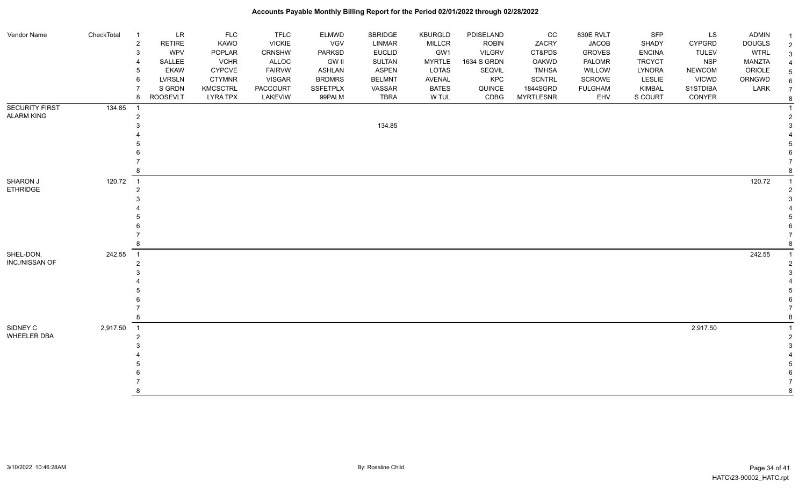| Vendor Name                        | CheckTotal | LR<br>$\overline{1}$<br>$\boldsymbol{2}$<br><b>RETIRE</b> | FLC<br>KAWO     | <b>TFLC</b><br><b>VICKIE</b> | <b>ELMWD</b><br>VGV | SBRIDGE<br>LINMAR | <b>KBURGLD</b><br><b>MILLCR</b> | PDISELAND<br><b>ROBIN</b> | cc<br>ZACRY      | 830E RVLT<br><b>JACOB</b> | SFP<br>SHADY  | LS<br>CYPGRD  | <b>ADMIN</b><br><b>DOUGLS</b> | -1<br>2        |
|------------------------------------|------------|-----------------------------------------------------------|-----------------|------------------------------|---------------------|-------------------|---------------------------------|---------------------------|------------------|---------------------------|---------------|---------------|-------------------------------|----------------|
|                                    |            | WPV<br>3                                                  | POPLAR          | CRNSHW                       | PARKSD              | <b>EUCLID</b>     | GW1                             | <b>VILGRV</b>             | CT&PDS           | <b>GROVES</b>             | <b>ENCINA</b> | <b>TULEV</b>  | <b>WTRL</b>                   | 3              |
|                                    |            | SALLEE                                                    | <b>VCHR</b>     | ALLOC                        | <b>GW II</b>        | SULTAN            | <b>MYRTLE</b>                   | 1634 S GRDN               | OAKWD            | PALOMR                    | <b>TRCYCT</b> | <b>NSP</b>    | <b>MANZTA</b>                 |                |
|                                    |            | <b>EKAW</b>                                               | CYPCVE          | <b>FAIRVW</b>                | ASHLAN              | <b>ASPEN</b>      | <b>LOTAS</b>                    | SEQVIL                    | <b>TMHSA</b>     | WILLOW                    | LYNORA        | <b>NEWCOM</b> | ORIOLE                        |                |
|                                    |            | <b>LVRSLN</b><br>6                                        | <b>CTYMNR</b>   | <b>VISGAR</b>                | <b>BRDMRS</b>       | <b>BELMNT</b>     | AVENAL                          | KPC                       | <b>SCNTRL</b>    | SCROWE                    | <b>LESLIE</b> | <b>VICWD</b>  | ORNGWD                        | 6              |
|                                    |            | S GRDN                                                    | <b>KMCSCTRL</b> | <b>PACCOURT</b>              | SSFETPLX            | VASSAR            | <b>BATES</b>                    | QUINCE                    | 1844SGRD         | <b>FULGHAM</b>            | KIMBAL        | S1STDIBA      | LARK                          | $\overline{7}$ |
|                                    |            | <b>ROOSEVLT</b><br>8                                      | <b>LYRA TPX</b> | LAKEVIW                      | 99PALM              | <b>TBRA</b>       | W TUL                           | CDBG                      | <b>MYRTLESNR</b> | EHV                       | S COURT       | CONYER        |                               |                |
| <b>SECURITY FIRST</b>              | 134.85     | $\overline{1}$                                            |                 |                              |                     |                   |                                 |                           |                  |                           |               |               |                               |                |
| <b>ALARM KING</b>                  |            | 2                                                         |                 |                              |                     |                   |                                 |                           |                  |                           |               |               |                               |                |
|                                    |            |                                                           |                 |                              |                     | 134.85            |                                 |                           |                  |                           |               |               |                               |                |
|                                    |            |                                                           |                 |                              |                     |                   |                                 |                           |                  |                           |               |               |                               |                |
|                                    |            |                                                           |                 |                              |                     |                   |                                 |                           |                  |                           |               |               |                               |                |
|                                    |            |                                                           |                 |                              |                     |                   |                                 |                           |                  |                           |               |               |                               |                |
|                                    |            |                                                           |                 |                              |                     |                   |                                 |                           |                  |                           |               |               |                               |                |
|                                    |            |                                                           |                 |                              |                     |                   |                                 |                           |                  |                           |               |               |                               |                |
| <b>SHARON J</b><br><b>ETHRIDGE</b> | 120.72     | $\overline{1}$                                            |                 |                              |                     |                   |                                 |                           |                  |                           |               |               | 120.72                        |                |
|                                    |            |                                                           |                 |                              |                     |                   |                                 |                           |                  |                           |               |               |                               |                |
|                                    |            |                                                           |                 |                              |                     |                   |                                 |                           |                  |                           |               |               |                               |                |
|                                    |            |                                                           |                 |                              |                     |                   |                                 |                           |                  |                           |               |               |                               |                |
|                                    |            |                                                           |                 |                              |                     |                   |                                 |                           |                  |                           |               |               |                               |                |
|                                    |            |                                                           |                 |                              |                     |                   |                                 |                           |                  |                           |               |               |                               |                |
|                                    |            |                                                           |                 |                              |                     |                   |                                 |                           |                  |                           |               |               |                               |                |
| SHEL-DON,                          | 242.55     | $\overline{1}$                                            |                 |                              |                     |                   |                                 |                           |                  |                           |               |               | 242.55                        |                |
| INC./NISSAN OF                     |            | $\overline{2}$                                            |                 |                              |                     |                   |                                 |                           |                  |                           |               |               |                               |                |
|                                    |            |                                                           |                 |                              |                     |                   |                                 |                           |                  |                           |               |               |                               |                |
|                                    |            |                                                           |                 |                              |                     |                   |                                 |                           |                  |                           |               |               |                               |                |
|                                    |            |                                                           |                 |                              |                     |                   |                                 |                           |                  |                           |               |               |                               |                |
|                                    |            |                                                           |                 |                              |                     |                   |                                 |                           |                  |                           |               |               |                               |                |
|                                    |            |                                                           |                 |                              |                     |                   |                                 |                           |                  |                           |               |               |                               |                |
|                                    |            |                                                           |                 |                              |                     |                   |                                 |                           |                  |                           |               |               |                               |                |
| SIDNEY C                           | 2,917.50   | $\overline{1}$                                            |                 |                              |                     |                   |                                 |                           |                  |                           |               | 2,917.50      |                               |                |
| WHEELER DBA                        |            | 2                                                         |                 |                              |                     |                   |                                 |                           |                  |                           |               |               |                               |                |
|                                    |            |                                                           |                 |                              |                     |                   |                                 |                           |                  |                           |               |               |                               |                |
|                                    |            |                                                           |                 |                              |                     |                   |                                 |                           |                  |                           |               |               |                               |                |
|                                    |            |                                                           |                 |                              |                     |                   |                                 |                           |                  |                           |               |               |                               |                |
|                                    |            |                                                           |                 |                              |                     |                   |                                 |                           |                  |                           |               |               |                               |                |
|                                    |            |                                                           |                 |                              |                     |                   |                                 |                           |                  |                           |               |               |                               |                |
|                                    |            |                                                           |                 |                              |                     |                   |                                 |                           |                  |                           |               |               |                               | 8              |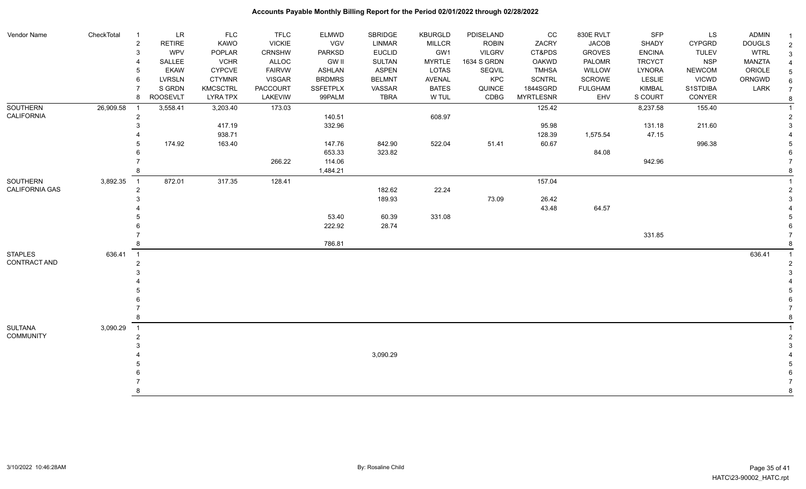| Vendor Name       | CheckTotal | $\overline{1}$ | LR              | <b>FLC</b>      | <b>TFLC</b>     | <b>ELMWD</b>    | SBRIDGE       | KBURGLD       | PDISELAND     | CC               | 830E RVLT      | <b>SFP</b>    | LS            | ADMIN         |                        |
|-------------------|------------|----------------|-----------------|-----------------|-----------------|-----------------|---------------|---------------|---------------|------------------|----------------|---------------|---------------|---------------|------------------------|
|                   |            | $\overline{c}$ | <b>RETIRE</b>   | <b>KAWO</b>     | <b>VICKIE</b>   | <b>VGV</b>      | LINMAR        | <b>MILLCR</b> | <b>ROBIN</b>  | ZACRY            | <b>JACOB</b>   | <b>SHADY</b>  | <b>CYPGRD</b> | <b>DOUGLS</b> | $\overline{2}$         |
|                   |            | 3              | <b>WPV</b>      | POPLAR          | CRNSHW          | <b>PARKSD</b>   | <b>EUCLID</b> | GW1           | <b>VILGRV</b> | CT&PDS           | <b>GROVES</b>  | <b>ENCINA</b> | TULEV         | <b>WTRL</b>   | $\mathbf{3}$           |
|                   |            |                | SALLEE          | <b>VCHR</b>     | <b>ALLOC</b>    | <b>GW II</b>    | <b>SULTAN</b> | <b>MYRTLE</b> | 1634 S GRDN   | <b>OAKWD</b>     | PALOMR         | <b>TRCYCT</b> | <b>NSP</b>    | MANZTA        | $\boldsymbol{\Lambda}$ |
|                   |            | 5              | <b>EKAW</b>     | <b>CYPCVE</b>   | <b>FAIRVW</b>   | <b>ASHLAN</b>   | <b>ASPEN</b>  | LOTAS         | SEQVIL        | <b>TMHSA</b>     | WILLOW         | LYNORA        | <b>NEWCOM</b> | ORIOLE        | .5                     |
|                   |            | 6              | <b>LVRSLN</b>   | <b>CTYMNR</b>   | <b>VISGAR</b>   | <b>BRDMRS</b>   | <b>BELMNT</b> | AVENAL        | KPC           | <b>SCNTRL</b>    | SCROWE         | LESLIE        | VICWD         | ORNGWD        | 6                      |
|                   |            |                | S GRDN          | <b>KMCSCTRL</b> | <b>PACCOURT</b> | <b>SSFETPLX</b> | VASSAR        | <b>BATES</b>  | QUINCE        | 1844SGRD         | <b>FULGHAM</b> | <b>KIMBAL</b> | S1STDIBA      | LARK          | $\overline{7}$         |
|                   |            | 8              | <b>ROOSEVLT</b> | <b>LYRA TPX</b> | LAKEVIW         | 99PALM          | <b>TBRA</b>   | W TUL         | CDBG          | <b>MYRTLESNR</b> | EHV            | S COURT       | CONYER        |               | 8                      |
| <b>SOUTHERN</b>   | 26,909.58  | $\overline{1}$ | 3,558.41        | 3,203.40        | 173.03          |                 |               |               |               | 125.42           |                | 8,237.58      | 155.40        |               |                        |
| <b>CALIFORNIA</b> |            | $\overline{2}$ |                 |                 |                 | 140.51          |               | 608.97        |               |                  |                |               |               |               |                        |
|                   |            | 3              |                 | 417.19          |                 | 332.96          |               |               |               | 95.98            |                | 131.18        | 211.60        |               | 3                      |
|                   |            |                |                 | 938.71          |                 |                 |               |               |               | 128.39           | 1,575.54       | 47.15         |               |               |                        |
|                   |            |                | 174.92          | 163.40          |                 | 147.76          | 842.90        | 522.04        | 51.41         | 60.67            |                |               | 996.38        |               |                        |
|                   |            |                |                 |                 |                 | 653.33          | 323.82        |               |               |                  | 84.08          |               |               |               |                        |
|                   |            |                |                 |                 | 266.22          | 114.06          |               |               |               |                  |                | 942.96        |               |               |                        |
|                   |            |                |                 |                 |                 | 1,484.21        |               |               |               |                  |                |               |               |               | 8                      |
| SOUTHERN          | 3,892.35   | $\overline{1}$ | 872.01          | 317.35          | 128.41          |                 |               |               |               | 157.04           |                |               |               |               |                        |
| CALIFORNIA GAS    |            | $\overline{2}$ |                 |                 |                 |                 | 182.62        | 22.24         |               |                  |                |               |               |               | $\overline{2}$         |
|                   |            |                |                 |                 |                 |                 | 189.93        |               | 73.09         | 26.42            |                |               |               |               | 3                      |
|                   |            |                |                 |                 |                 |                 |               |               |               | 43.48            | 64.57          |               |               |               |                        |
|                   |            |                |                 |                 |                 | 53.40           | 60.39         | 331.08        |               |                  |                |               |               |               |                        |
|                   |            |                |                 |                 |                 | 222.92          | 28.74         |               |               |                  |                |               |               |               |                        |
|                   |            |                |                 |                 |                 |                 |               |               |               |                  |                | 331.85        |               |               |                        |
|                   |            |                |                 |                 |                 | 786.81          |               |               |               |                  |                |               |               |               |                        |
| <b>STAPLES</b>    | 636.41     | $\overline{1}$ |                 |                 |                 |                 |               |               |               |                  |                |               |               | 636.41        |                        |
| CONTRACT AND      |            | $\overline{2}$ |                 |                 |                 |                 |               |               |               |                  |                |               |               |               | $\overline{2}$         |
|                   |            |                |                 |                 |                 |                 |               |               |               |                  |                |               |               |               |                        |
|                   |            |                |                 |                 |                 |                 |               |               |               |                  |                |               |               |               |                        |
|                   |            |                |                 |                 |                 |                 |               |               |               |                  |                |               |               |               |                        |
|                   |            |                |                 |                 |                 |                 |               |               |               |                  |                |               |               |               |                        |
|                   |            |                |                 |                 |                 |                 |               |               |               |                  |                |               |               |               |                        |
|                   |            |                |                 |                 |                 |                 |               |               |               |                  |                |               |               |               |                        |
| SULTANA           | 3,090.29   | $\overline{1}$ |                 |                 |                 |                 |               |               |               |                  |                |               |               |               |                        |
| <b>COMMUNITY</b>  |            | $\overline{2}$ |                 |                 |                 |                 |               |               |               |                  |                |               |               |               | $\overline{2}$         |
|                   |            |                |                 |                 |                 |                 |               |               |               |                  |                |               |               |               | 3                      |
|                   |            |                |                 |                 |                 |                 | 3,090.29      |               |               |                  |                |               |               |               |                        |
|                   |            |                |                 |                 |                 |                 |               |               |               |                  |                |               |               |               |                        |
|                   |            |                |                 |                 |                 |                 |               |               |               |                  |                |               |               |               |                        |
|                   |            |                |                 |                 |                 |                 |               |               |               |                  |                |               |               |               | $\overline{7}$         |
|                   |            |                |                 |                 |                 |                 |               |               |               |                  |                |               |               |               | 8                      |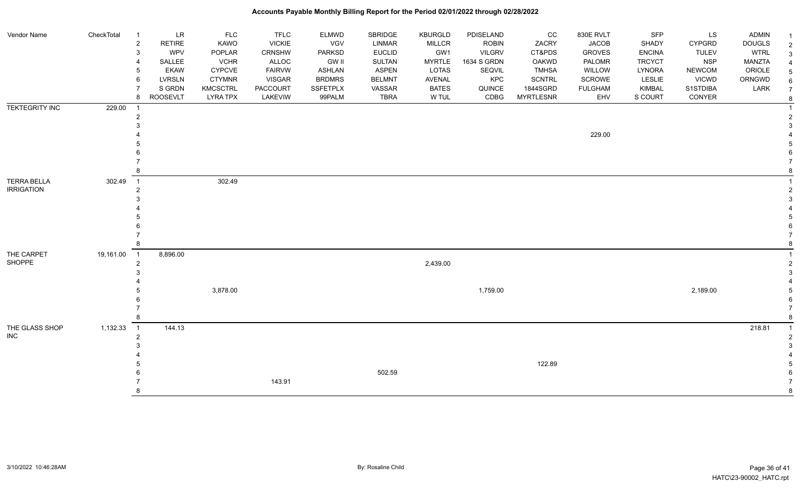| Vendor Name                      | CheckTotal | $\overline{1}$ | LR            | <b>FLC</b>      | <b>TFLC</b>   | ELMWD           | SBRIDGE       | KBURGLD       | PDISELAND     | CC               | 830E RVLT      | SFP           | LS            | <b>ADMIN</b>  |   |
|----------------------------------|------------|----------------|---------------|-----------------|---------------|-----------------|---------------|---------------|---------------|------------------|----------------|---------------|---------------|---------------|---|
|                                  |            | $\overline{c}$ | <b>RETIRE</b> | <b>KAWO</b>     | <b>VICKIE</b> | VGV             | <b>LINMAR</b> | <b>MILLCR</b> | <b>ROBIN</b>  | ZACRY            | <b>JACOB</b>   | SHADY         | <b>CYPGRD</b> | <b>DOUGLS</b> |   |
|                                  |            | 3              | <b>WPV</b>    | POPLAR          | CRNSHW        | PARKSD          | <b>EUCLID</b> | GW1           | <b>VILGRV</b> | CT&PDS           | <b>GROVES</b>  | <b>ENCINA</b> | <b>TULEV</b>  | <b>WTRL</b>   | 3 |
|                                  |            | 4              | SALLEE        | <b>VCHR</b>     | ALLOC         | <b>GW II</b>    | <b>SULTAN</b> | <b>MYRTLE</b> | 1634 S GRDN   | <b>OAKWD</b>     | PALOMR         | <b>TRCYCT</b> | <b>NSP</b>    | <b>MANZTA</b> |   |
|                                  |            | 5              | <b>EKAW</b>   | <b>CYPCVE</b>   | <b>FAIRVW</b> | ASHLAN          | <b>ASPEN</b>  | LOTAS         | SEQVIL        | <b>TMHSA</b>     | WILLOW         | LYNORA        | <b>NEWCOM</b> | ORIOLE        |   |
|                                  |            | 6              | LVRSLN        | <b>CTYMNR</b>   | <b>VISGAR</b> | <b>BRDMRS</b>   | <b>BELMNT</b> | AVENAL        | KPC           | <b>SCNTRL</b>    | SCROWE         | LESLIE        | <b>VICWD</b>  | ORNGWD        |   |
|                                  |            |                | S GRDN        | <b>KMCSCTRL</b> | PACCOURT      | <b>SSFETPLX</b> | VASSAR        | <b>BATES</b>  | QUINCE        | 1844SGRD         | <b>FULGHAM</b> | KIMBAL        | S1STDIBA      | LARK          |   |
|                                  |            | 8              | ROOSEVLT      | <b>LYRA TPX</b> | LAKEVIW       | 99PALM          | <b>TBRA</b>   | W TUL         | CDBG          | <b>MYRTLESNR</b> | EHV            | S COURT       | CONYER        |               |   |
| <b>TEKTEGRITY INC</b>            | 229.00     |                |               |                 |               |                 |               |               |               |                  |                |               |               |               |   |
|                                  |            | 2              |               |                 |               |                 |               |               |               |                  |                |               |               |               |   |
|                                  |            |                |               |                 |               |                 |               |               |               |                  |                |               |               |               |   |
|                                  |            |                |               |                 |               |                 |               |               |               |                  | 229.00         |               |               |               |   |
|                                  |            |                |               |                 |               |                 |               |               |               |                  |                |               |               |               |   |
| TERRA BELLA<br><b>IRRIGATION</b> |            |                |               |                 |               |                 |               |               |               |                  |                |               |               |               |   |
|                                  |            |                |               |                 |               |                 |               |               |               |                  |                |               |               |               |   |
|                                  |            | 8              |               |                 |               |                 |               |               |               |                  |                |               |               |               |   |
|                                  | 302.49     | $\overline{1}$ |               | 302.49          |               |                 |               |               |               |                  |                |               |               |               |   |
|                                  |            | $\overline{2}$ |               |                 |               |                 |               |               |               |                  |                |               |               |               |   |
|                                  |            |                |               |                 |               |                 |               |               |               |                  |                |               |               |               |   |
|                                  |            |                |               |                 |               |                 |               |               |               |                  |                |               |               |               |   |
|                                  |            |                |               |                 |               |                 |               |               |               |                  |                |               |               |               |   |
|                                  |            |                |               |                 |               |                 |               |               |               |                  |                |               |               |               |   |
|                                  |            |                |               |                 |               |                 |               |               |               |                  |                |               |               |               |   |
|                                  |            | 8              |               |                 |               |                 |               |               |               |                  |                |               |               |               |   |
| THE CARPET                       | 19,161.00  | $\overline{1}$ | 8,896.00      |                 |               |                 |               |               |               |                  |                |               |               |               |   |
| <b>SHOPPE</b>                    |            | $\overline{2}$ |               |                 |               |                 |               | 2,439.00      |               |                  |                |               |               |               |   |
|                                  |            |                |               |                 |               |                 |               |               |               |                  |                |               |               |               |   |
|                                  |            |                |               |                 |               |                 |               |               |               |                  |                |               |               |               |   |
|                                  |            |                |               | 3,878.00        |               |                 |               |               | 1,759.00      |                  |                |               | 2,189.00      |               |   |
|                                  |            |                |               |                 |               |                 |               |               |               |                  |                |               |               |               |   |
|                                  |            |                |               |                 |               |                 |               |               |               |                  |                |               |               |               |   |
|                                  |            | 8              |               |                 |               |                 |               |               |               |                  |                |               |               |               |   |
| THE GLASS SHOP                   | 1,132.33   | $\overline{1}$ | 144.13        |                 |               |                 |               |               |               |                  |                |               |               | 218.81        |   |
| INC.                             |            | $\overline{2}$ |               |                 |               |                 |               |               |               |                  |                |               |               |               |   |
|                                  |            |                |               |                 |               |                 |               |               |               |                  |                |               |               |               |   |
|                                  |            |                |               |                 |               |                 |               |               |               |                  |                |               |               |               |   |
|                                  |            |                |               |                 |               |                 |               |               |               | 122.89           |                |               |               |               |   |
|                                  |            |                |               |                 |               |                 | 502.59        |               |               |                  |                |               |               |               |   |
|                                  |            |                |               |                 | 143.91        |                 |               |               |               |                  |                |               |               |               |   |
|                                  |            | 8              |               |                 |               |                 |               |               |               |                  |                |               |               |               |   |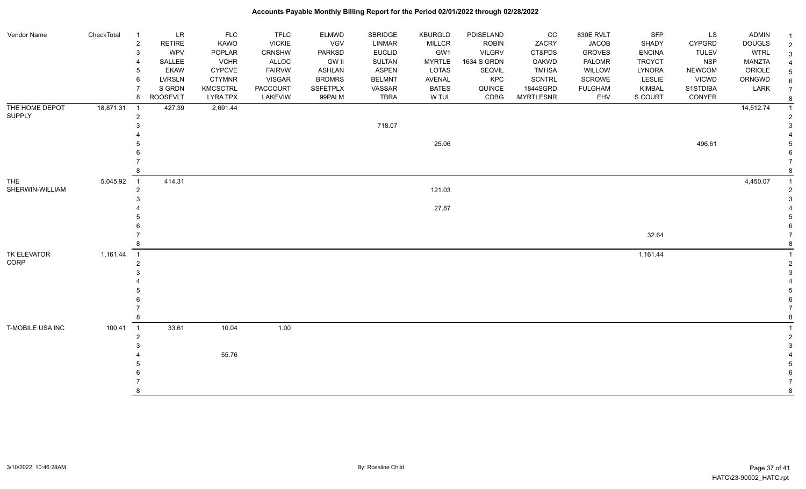| Vendor Name      | CheckTotal | $\overline{1}$             | <b>LR</b>       | <b>FLC</b>      | <b>TFLC</b>   | <b>ELMWD</b>    | SBRIDGE       | <b>KBURGLD</b> | PDISELAND     | cc               | 830E RVLT      | SFP           | LS            | ADMIN         |   |
|------------------|------------|----------------------------|-----------------|-----------------|---------------|-----------------|---------------|----------------|---------------|------------------|----------------|---------------|---------------|---------------|---|
|                  |            | $\sqrt{2}$                 | <b>RETIRE</b>   | KAWO            | <b>VICKIE</b> | <b>VGV</b>      | LINMAR        | MILLCR         | <b>ROBIN</b>  | ZACRY            | <b>JACOB</b>   | SHADY         | <b>CYPGRD</b> | <b>DOUGLS</b> |   |
|                  |            | $\mathsf 3$                | <b>WPV</b>      | POPLAR          | CRNSHW        | <b>PARKSD</b>   | <b>EUCLID</b> | GW1            | <b>VILGRV</b> | CT&PDS           | <b>GROVES</b>  | <b>ENCINA</b> | <b>TULEV</b>  | <b>WTRL</b>   | 3 |
|                  |            | 4                          | SALLEE          | <b>VCHR</b>     | ALLOC         | <b>GW II</b>    | SULTAN        | <b>MYRTLE</b>  | 1634 S GRDN   | <b>OAKWD</b>     | PALOMR         | <b>TRCYCT</b> | <b>NSP</b>    | <b>MANZTA</b> |   |
|                  |            | 5                          | EKAW            | <b>CYPCVE</b>   | <b>FAIRVW</b> | <b>ASHLAN</b>   | <b>ASPEN</b>  | LOTAS          | SEQVIL        | <b>TMHSA</b>     | WILLOW         | LYNORA        | <b>NEWCOM</b> | ORIOLE        |   |
|                  |            | 6                          | LVRSLN          | <b>CTYMNR</b>   | <b>VISGAR</b> | <b>BRDMRS</b>   | <b>BELMNT</b> | AVENAL         | KPC           | <b>SCNTRL</b>    | SCROWE         | <b>LESLIE</b> | <b>VICWD</b>  | ORNGWD        | 6 |
|                  |            | $\overline{7}$             | S GRDN          | <b>KMCSCTRL</b> | PACCOURT      | <b>SSFETPLX</b> | VASSAR        | <b>BATES</b>   | QUINCE        | 1844SGRD         | <b>FULGHAM</b> | KIMBAL        | S1STDIBA      | LARK          |   |
|                  |            | 8                          | <b>ROOSEVLT</b> | <b>LYRA TPX</b> | LAKEVIW       | 99PALM          | <b>TBRA</b>   | W TUL          | CDBG          | <b>MYRTLESNR</b> | EHV            | S COURT       | CONYER        |               |   |
| THE HOME DEPOT   | 18,871.31  | $\overline{1}$             | 427.39          | 2,691.44        |               |                 |               |                |               |                  |                |               |               | 14,512.74     |   |
| <b>SUPPLY</b>    |            | $\overline{2}$             |                 |                 |               |                 |               |                |               |                  |                |               |               |               |   |
|                  |            | 3                          |                 |                 |               |                 | 718.07        |                |               |                  |                |               |               |               |   |
|                  |            |                            |                 |                 |               |                 |               |                |               |                  |                |               |               |               |   |
|                  |            |                            |                 |                 |               |                 |               | 25.06          |               |                  |                |               | 496.61        |               |   |
|                  |            |                            |                 |                 |               |                 |               |                |               |                  |                |               |               |               |   |
|                  |            |                            |                 |                 |               |                 |               |                |               |                  |                |               |               |               |   |
|                  |            | 8                          |                 |                 |               |                 |               |                |               |                  |                |               |               |               |   |
| <b>THE</b>       | 5,045.92   | $\overline{1}$             | 414.31          |                 |               |                 |               |                |               |                  |                |               |               | 4,450.07      |   |
| SHERWIN-WILLIAM  |            | $\overline{2}$             |                 |                 |               |                 |               | 121.03         |               |                  |                |               |               |               |   |
|                  |            | 3                          |                 |                 |               |                 |               |                |               |                  |                |               |               |               |   |
|                  |            |                            |                 |                 |               |                 |               | 27.87          |               |                  |                |               |               |               |   |
|                  |            |                            |                 |                 |               |                 |               |                |               |                  |                |               |               |               |   |
|                  |            |                            |                 |                 |               |                 |               |                |               |                  |                |               |               |               |   |
|                  |            |                            |                 |                 |               |                 |               |                |               |                  |                | 32.64         |               |               |   |
|                  |            | 8                          |                 |                 |               |                 |               |                |               |                  |                |               |               |               |   |
| TK ELEVATOR      | 1,161.44   | $\overline{\phantom{0}}$ 1 |                 |                 |               |                 |               |                |               |                  |                | 1,161.44      |               |               |   |
| CORP             |            | $\overline{2}$             |                 |                 |               |                 |               |                |               |                  |                |               |               |               |   |
|                  |            | 3                          |                 |                 |               |                 |               |                |               |                  |                |               |               |               |   |
|                  |            |                            |                 |                 |               |                 |               |                |               |                  |                |               |               |               |   |
|                  |            |                            |                 |                 |               |                 |               |                |               |                  |                |               |               |               |   |
|                  |            |                            |                 |                 |               |                 |               |                |               |                  |                |               |               |               |   |
|                  |            |                            |                 |                 |               |                 |               |                |               |                  |                |               |               |               |   |
|                  |            | 8                          |                 |                 |               |                 |               |                |               |                  |                |               |               |               |   |
| T-MOBILE USA INC | 100.41     | $\overline{\phantom{0}}$ 1 | 33.61           | 10.04           | 1.00          |                 |               |                |               |                  |                |               |               |               |   |
|                  |            | $\overline{2}$             |                 |                 |               |                 |               |                |               |                  |                |               |               |               |   |
|                  |            | 3                          |                 |                 |               |                 |               |                |               |                  |                |               |               |               |   |
|                  |            |                            |                 | 55.76           |               |                 |               |                |               |                  |                |               |               |               |   |
|                  |            |                            |                 |                 |               |                 |               |                |               |                  |                |               |               |               |   |
|                  |            |                            |                 |                 |               |                 |               |                |               |                  |                |               |               |               |   |
|                  |            |                            |                 |                 |               |                 |               |                |               |                  |                |               |               |               |   |
|                  |            | 8                          |                 |                 |               |                 |               |                |               |                  |                |               |               |               |   |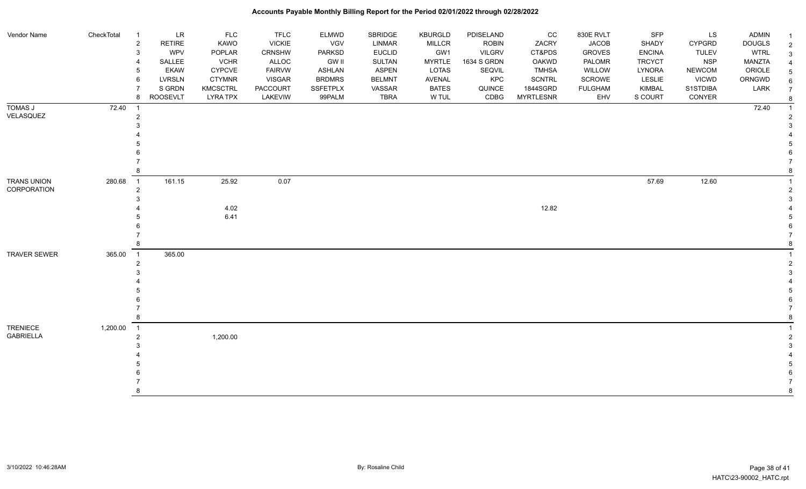| Vendor Name         | CheckTotal | $\overline{1}$ | LR              | <b>FLC</b>      | <b>TFLC</b>     | ELMWD         | SBRIDGE       | <b>KBURGLD</b> | PDISELAND     | CC               | 830E RVLT      | SFP           | LS            | <b>ADMIN</b>  | $\overline{1}$ |
|---------------------|------------|----------------|-----------------|-----------------|-----------------|---------------|---------------|----------------|---------------|------------------|----------------|---------------|---------------|---------------|----------------|
|                     |            | $\overline{2}$ | <b>RETIRE</b>   | KAWO            | <b>VICKIE</b>   | VGV           | LINMAR        | MILLCR         | <b>ROBIN</b>  | ZACRY            | <b>JACOB</b>   | SHADY         | <b>CYPGRD</b> | <b>DOUGLS</b> | $\overline{2}$ |
|                     |            | 3              | <b>WPV</b>      | POPLAR          | CRNSHW          | <b>PARKSD</b> | <b>EUCLID</b> | GW1            | <b>VILGRV</b> | CT&PDS           | <b>GROVES</b>  | <b>ENCINA</b> | <b>TULEV</b>  | <b>WTRL</b>   | 3              |
|                     |            | 4              | SALLEE          | <b>VCHR</b>     | ALLOC           | <b>GW II</b>  | <b>SULTAN</b> | <b>MYRTLE</b>  | 1634 S GRDN   | <b>OAKWD</b>     | PALOMR         | <b>TRCYCT</b> | <b>NSP</b>    | <b>MANZTA</b> |                |
|                     |            | 5              | <b>EKAW</b>     | <b>CYPCVE</b>   | <b>FAIRVW</b>   | ASHLAN        | <b>ASPEN</b>  | <b>LOTAS</b>   | SEQVIL        | <b>TMHSA</b>     | WILLOW         | LYNORA        | <b>NEWCOM</b> | ORIOLE        |                |
|                     |            | 6              | <b>LVRSLN</b>   | <b>CTYMNR</b>   | <b>VISGAR</b>   | <b>BRDMRS</b> | <b>BELMNT</b> | AVENAL         | KPC           | <b>SCNTRL</b>    | SCROWE         | LESLIE        | <b>VICWD</b>  | ORNGWD        |                |
|                     |            |                | S GRDN          | <b>KMCSCTRL</b> | <b>PACCOURT</b> | SSFETPLX      | VASSAR        | <b>BATES</b>   | QUINCE        | 1844SGRD         | <b>FULGHAM</b> | KIMBAL        | S1STDIBA      | LARK          |                |
|                     |            | 8              | <b>ROOSEVLT</b> | <b>LYRA TPX</b> | LAKEVIW         | 99PALM        | <b>TBRA</b>   | W TUL          | CDBG          | <b>MYRTLESNR</b> | EHV            | S COURT       | CONYER        |               |                |
| <b>TOMAS J</b>      | 72.40      | $\overline{1}$ |                 |                 |                 |               |               |                |               |                  |                |               |               | 72.40         |                |
| VELASQUEZ           |            | $\overline{2}$ |                 |                 |                 |               |               |                |               |                  |                |               |               |               |                |
|                     |            | 3              |                 |                 |                 |               |               |                |               |                  |                |               |               |               |                |
|                     |            |                |                 |                 |                 |               |               |                |               |                  |                |               |               |               |                |
|                     |            |                |                 |                 |                 |               |               |                |               |                  |                |               |               |               |                |
|                     |            |                |                 |                 |                 |               |               |                |               |                  |                |               |               |               |                |
|                     |            |                |                 |                 |                 |               |               |                |               |                  |                |               |               |               |                |
|                     |            |                |                 |                 |                 |               |               |                |               |                  |                |               |               |               |                |
| <b>TRANS UNION</b>  | 280.68     | $\overline{1}$ | 161.15          | 25.92           | 0.07            |               |               |                |               |                  |                | 57.69         | 12.60         |               |                |
| CORPORATION         |            | $\overline{2}$ |                 |                 |                 |               |               |                |               |                  |                |               |               |               |                |
|                     |            |                |                 |                 |                 |               |               |                |               |                  |                |               |               |               |                |
|                     |            |                |                 | 4.02            |                 |               |               |                |               | 12.82            |                |               |               |               |                |
|                     |            |                |                 | 6.41            |                 |               |               |                |               |                  |                |               |               |               |                |
|                     |            |                |                 |                 |                 |               |               |                |               |                  |                |               |               |               |                |
|                     |            |                |                 |                 |                 |               |               |                |               |                  |                |               |               |               |                |
|                     |            | 8              |                 |                 |                 |               |               |                |               |                  |                |               |               |               |                |
| <b>TRAVER SEWER</b> | 365.00     | $\overline{1}$ | 365.00          |                 |                 |               |               |                |               |                  |                |               |               |               |                |
|                     |            | $\overline{2}$ |                 |                 |                 |               |               |                |               |                  |                |               |               |               |                |
|                     |            |                |                 |                 |                 |               |               |                |               |                  |                |               |               |               |                |
|                     |            |                |                 |                 |                 |               |               |                |               |                  |                |               |               |               |                |
|                     |            |                |                 |                 |                 |               |               |                |               |                  |                |               |               |               |                |
|                     |            |                |                 |                 |                 |               |               |                |               |                  |                |               |               |               |                |
|                     |            |                |                 |                 |                 |               |               |                |               |                  |                |               |               |               |                |
|                     |            | 8              |                 |                 |                 |               |               |                |               |                  |                |               |               |               |                |
| <b>TRENIECE</b>     | 1,200.00   | $\overline{1}$ |                 |                 |                 |               |               |                |               |                  |                |               |               |               |                |
| <b>GABRIELLA</b>    |            | $\overline{2}$ |                 | 1,200.00        |                 |               |               |                |               |                  |                |               |               |               |                |
|                     |            |                |                 |                 |                 |               |               |                |               |                  |                |               |               |               |                |
|                     |            |                |                 |                 |                 |               |               |                |               |                  |                |               |               |               |                |
|                     |            |                |                 |                 |                 |               |               |                |               |                  |                |               |               |               |                |
|                     |            |                |                 |                 |                 |               |               |                |               |                  |                |               |               |               |                |
|                     |            |                |                 |                 |                 |               |               |                |               |                  |                |               |               |               |                |
|                     |            | 8              |                 |                 |                 |               |               |                |               |                  |                |               |               |               |                |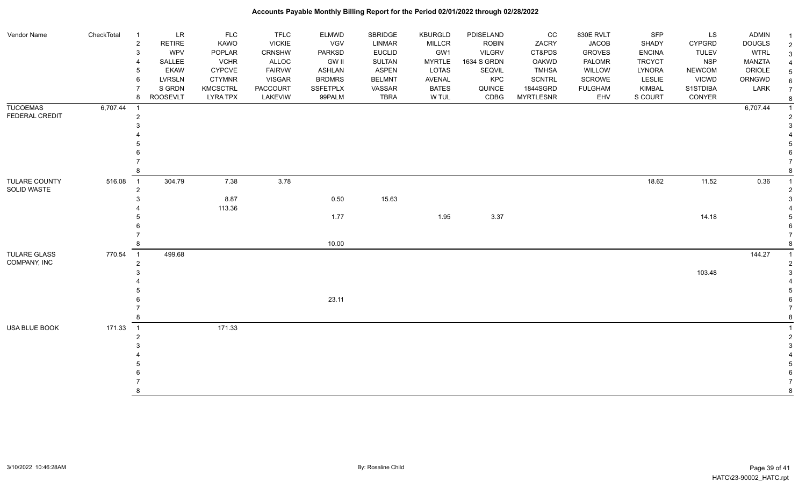| Vendor Name                  | CheckTotal | $\overline{1}$<br>$\overline{2}$ | LR<br>RETIRE    | <b>FLC</b><br>KAWO | <b>TFLC</b><br><b>VICKIE</b> | <b>ELMWD</b><br><b>VGV</b> | SBRIDGE<br><b>LINMAR</b> | <b>KBURGLD</b><br><b>MILLCR</b> | PDISELAND<br><b>ROBIN</b> | CC<br>ZACRY      | 830E RVLT<br><b>JACOB</b> | SFP<br>SHADY  | LS<br><b>CYPGRD</b> | <b>ADMIN</b><br><b>DOUGLS</b> | $\overline{2}$ |
|------------------------------|------------|----------------------------------|-----------------|--------------------|------------------------------|----------------------------|--------------------------|---------------------------------|---------------------------|------------------|---------------------------|---------------|---------------------|-------------------------------|----------------|
|                              |            |                                  | WPV             | POPLAR             | CRNSHW                       | <b>PARKSD</b>              | <b>EUCLID</b>            | GW1                             | <b>VILGRV</b>             | CT&PDS           | <b>GROVES</b>             | <b>ENCINA</b> | <b>TULEV</b>        | <b>WTRL</b>                   | 3              |
|                              |            |                                  | SALLEE          | <b>VCHR</b>        | ALLOC                        | <b>GW II</b>               | SULTAN                   | <b>MYRTLE</b>                   | 1634 S GRDN               | <b>OAKWD</b>     | PALOMR                    | <b>TRCYCT</b> | <b>NSP</b>          | MANZTA                        |                |
|                              |            |                                  | <b>EKAW</b>     | <b>CYPCVE</b>      | <b>FAIRVW</b>                | <b>ASHLAN</b>              | <b>ASPEN</b>             | LOTAS                           | SEQVIL                    | <b>TMHSA</b>     | WILLOW                    | <b>LYNORA</b> | <b>NEWCOM</b>       | ORIOLE                        | 5              |
|                              |            |                                  | LVRSLN          | <b>CTYMNR</b>      | <b>VISGAR</b>                | <b>BRDMRS</b>              | <b>BELMNT</b>            | AVENAL                          | KPC                       | <b>SCNTRL</b>    | SCROWE                    | LESLIE        | <b>VICWD</b>        | ORNGWD                        | 6              |
|                              |            |                                  | S GRDN          | KMCSCTRL           | PACCOURT                     | <b>SSFETPLX</b>            | VASSAR                   | <b>BATES</b>                    | QUINCE                    | 1844SGRD         | <b>FULGHAM</b>            | <b>KIMBAL</b> | S1STDIBA            | LARK                          | $\overline{7}$ |
|                              |            | 8                                | <b>ROOSEVLT</b> | <b>LYRA TPX</b>    | LAKEVIW                      | 99PALM                     | <b>TBRA</b>              | W TUL                           | CDBG                      | <b>MYRTLESNR</b> | EHV                       | S COURT       | CONYER              |                               | 8              |
| <b>TUCOEMAS</b>              | 6,707.44   | $\overline{1}$                   |                 |                    |                              |                            |                          |                                 |                           |                  |                           |               |                     | 6,707.44                      |                |
| FEDERAL CREDIT               |            |                                  |                 |                    |                              |                            |                          |                                 |                           |                  |                           |               |                     |                               |                |
|                              |            |                                  |                 |                    |                              |                            |                          |                                 |                           |                  |                           |               |                     |                               |                |
|                              |            |                                  |                 |                    |                              |                            |                          |                                 |                           |                  |                           |               |                     |                               |                |
|                              |            |                                  |                 |                    |                              |                            |                          |                                 |                           |                  |                           |               |                     |                               |                |
|                              |            |                                  |                 |                    |                              |                            |                          |                                 |                           |                  |                           |               |                     |                               |                |
|                              |            |                                  |                 |                    |                              |                            |                          |                                 |                           |                  |                           |               |                     |                               |                |
|                              |            |                                  |                 |                    |                              |                            |                          |                                 |                           |                  |                           |               |                     |                               |                |
| TULARE COUNTY<br>SOLID WASTE | 516.08     | $\overline{1}$<br>2              | 304.79          | 7.38               | 3.78                         |                            |                          |                                 |                           |                  |                           | 18.62         | 11.52               | 0.36                          |                |
|                              |            |                                  |                 | 8.87               |                              | 0.50                       | 15.63                    |                                 |                           |                  |                           |               |                     |                               |                |
|                              |            |                                  |                 | 113.36             |                              |                            |                          |                                 |                           |                  |                           |               |                     |                               |                |
|                              |            |                                  |                 |                    |                              | 1.77                       |                          | 1.95                            | 3.37                      |                  |                           |               | 14.18               |                               |                |
|                              |            |                                  |                 |                    |                              |                            |                          |                                 |                           |                  |                           |               |                     |                               |                |
|                              |            |                                  |                 |                    |                              |                            |                          |                                 |                           |                  |                           |               |                     |                               |                |
|                              |            |                                  |                 |                    |                              | 10.00                      |                          |                                 |                           |                  |                           |               |                     |                               |                |
| <b>TULARE GLASS</b>          | 770.54     | $\overline{1}$                   | 499.68          |                    |                              |                            |                          |                                 |                           |                  |                           |               |                     | 144.27                        |                |
| COMPANY, INC                 |            | $\overline{2}$                   |                 |                    |                              |                            |                          |                                 |                           |                  |                           |               |                     |                               |                |
|                              |            |                                  |                 |                    |                              |                            |                          |                                 |                           |                  |                           |               | 103.48              |                               |                |
|                              |            |                                  |                 |                    |                              |                            |                          |                                 |                           |                  |                           |               |                     |                               |                |
|                              |            |                                  |                 |                    |                              | 23.11                      |                          |                                 |                           |                  |                           |               |                     |                               |                |
|                              |            |                                  |                 |                    |                              |                            |                          |                                 |                           |                  |                           |               |                     |                               |                |
|                              |            |                                  |                 |                    |                              |                            |                          |                                 |                           |                  |                           |               |                     |                               |                |
| USA BLUE BOOK                | 171.33     | $\overline{1}$                   |                 | 171.33             |                              |                            |                          |                                 |                           |                  |                           |               |                     |                               |                |
|                              |            |                                  |                 |                    |                              |                            |                          |                                 |                           |                  |                           |               |                     |                               |                |
|                              |            |                                  |                 |                    |                              |                            |                          |                                 |                           |                  |                           |               |                     |                               |                |
|                              |            |                                  |                 |                    |                              |                            |                          |                                 |                           |                  |                           |               |                     |                               |                |
|                              |            |                                  |                 |                    |                              |                            |                          |                                 |                           |                  |                           |               |                     |                               |                |
|                              |            |                                  |                 |                    |                              |                            |                          |                                 |                           |                  |                           |               |                     |                               |                |
|                              |            |                                  |                 |                    |                              |                            |                          |                                 |                           |                  |                           |               |                     |                               |                |
|                              |            |                                  |                 |                    |                              |                            |                          |                                 |                           |                  |                           |               |                     |                               | 8              |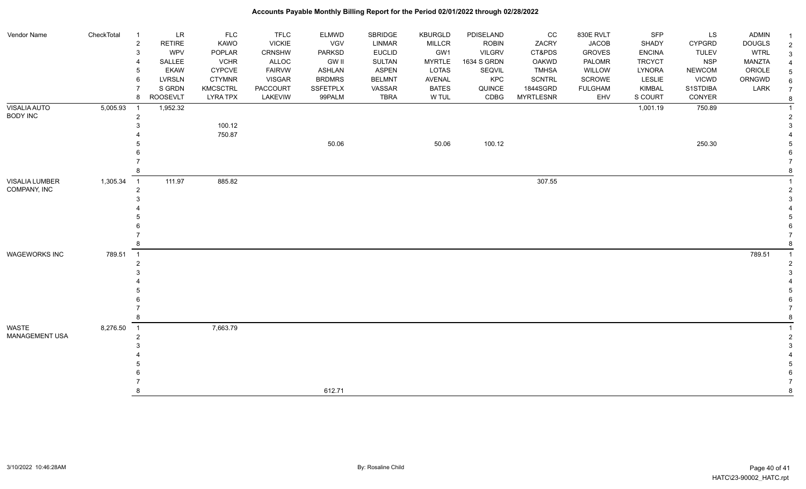| Vendor Name           | CheckTotal | $\overline{1}$             | <b>LR</b>       | <b>FLC</b>      | <b>TFLC</b>     | ELMWD           | SBRIDGE       | <b>KBURGLD</b> | PDISELAND     | CC               | 830E RVLT      | <b>SFP</b>    | LS            | <b>ADMIN</b>  | -1             |
|-----------------------|------------|----------------------------|-----------------|-----------------|-----------------|-----------------|---------------|----------------|---------------|------------------|----------------|---------------|---------------|---------------|----------------|
|                       |            | $\overline{2}$             | <b>RETIRE</b>   | KAWO            | <b>VICKIE</b>   | VGV             | <b>LINMAR</b> | <b>MILLCR</b>  | <b>ROBIN</b>  | ZACRY            | <b>JACOB</b>   | SHADY         | <b>CYPGRD</b> | <b>DOUGLS</b> | 2              |
|                       |            | $\mathbf{3}$               | WPV             | POPLAR          | CRNSHW          | <b>PARKSD</b>   | <b>EUCLID</b> | GW1            | <b>VILGRV</b> | CT&PDS           | <b>GROVES</b>  | <b>ENCINA</b> | <b>TULEV</b>  | <b>WTRL</b>   | 3              |
|                       |            | 4                          | SALLEE          | <b>VCHR</b>     | ALLOC           | GW II           | <b>SULTAN</b> | <b>MYRTLE</b>  | 1634 S GRDN   | OAKWD            | PALOMR         | <b>TRCYCT</b> | <b>NSP</b>    | <b>MANZTA</b> |                |
|                       |            | 5                          | <b>EKAW</b>     | <b>CYPCVE</b>   | <b>FAIRVW</b>   | ASHLAN          | <b>ASPEN</b>  | <b>LOTAS</b>   | SEQVIL        | <b>TMHSA</b>     | <b>WILLOW</b>  | LYNORA        | <b>NEWCOM</b> | ORIOLE        |                |
|                       |            | 6                          | <b>LVRSLN</b>   | <b>CTYMNR</b>   | <b>VISGAR</b>   | <b>BRDMRS</b>   | <b>BELMNT</b> | <b>AVENAL</b>  | KPC           | SCNTRL           | SCROWE         | <b>LESLIE</b> | <b>VICWD</b>  | ORNGWD        |                |
|                       |            | $\overline{7}$             | S GRDN          | <b>KMCSCTRL</b> | <b>PACCOURT</b> | <b>SSFETPLX</b> | VASSAR        | <b>BATES</b>   | QUINCE        | 1844SGRD         | <b>FULGHAM</b> | KIMBAL        | S1STDIBA      | LARK          | $\overline{7}$ |
|                       |            | 8                          | <b>ROOSEVLT</b> | <b>LYRA TPX</b> | LAKEVIW         | 99PALM          | <b>TBRA</b>   | W TUL          | CDBG          | <b>MYRTLESNR</b> | EHV            | S COURT       | CONYER        |               | 8              |
| <b>VISALIA AUTO</b>   | 5,005.93   | $\overline{1}$             | 1,952.32        |                 |                 |                 |               |                |               |                  |                | 1,001.19      | 750.89        |               |                |
| <b>BODY INC</b>       |            | $\overline{c}$             |                 |                 |                 |                 |               |                |               |                  |                |               |               |               |                |
|                       |            | 3                          |                 | 100.12          |                 |                 |               |                |               |                  |                |               |               |               |                |
|                       |            |                            |                 | 750.87          |                 |                 |               |                |               |                  |                |               |               |               |                |
|                       |            |                            |                 |                 |                 | 50.06           |               | 50.06          | 100.12        |                  |                |               | 250.30        |               |                |
|                       |            |                            |                 |                 |                 |                 |               |                |               |                  |                |               |               |               |                |
|                       |            |                            |                 |                 |                 |                 |               |                |               |                  |                |               |               |               |                |
|                       |            | 8                          |                 |                 |                 |                 |               |                |               |                  |                |               |               |               |                |
| VISALIA LUMBER        | 1,305.34   | $\overline{1}$             | 111.97          | 885.82          |                 |                 |               |                |               | 307.55           |                |               |               |               |                |
| COMPANY, INC          |            | $\overline{c}$             |                 |                 |                 |                 |               |                |               |                  |                |               |               |               |                |
|                       |            | 3                          |                 |                 |                 |                 |               |                |               |                  |                |               |               |               |                |
|                       |            |                            |                 |                 |                 |                 |               |                |               |                  |                |               |               |               |                |
|                       |            |                            |                 |                 |                 |                 |               |                |               |                  |                |               |               |               |                |
|                       |            |                            |                 |                 |                 |                 |               |                |               |                  |                |               |               |               |                |
|                       |            |                            |                 |                 |                 |                 |               |                |               |                  |                |               |               |               |                |
|                       |            | 8                          |                 |                 |                 |                 |               |                |               |                  |                |               |               |               |                |
| <b>WAGEWORKS INC</b>  | 789.51     | $\overline{1}$             |                 |                 |                 |                 |               |                |               |                  |                |               |               | 789.51        |                |
|                       |            | $\overline{2}$             |                 |                 |                 |                 |               |                |               |                  |                |               |               |               |                |
|                       |            | 3                          |                 |                 |                 |                 |               |                |               |                  |                |               |               |               |                |
|                       |            |                            |                 |                 |                 |                 |               |                |               |                  |                |               |               |               |                |
|                       |            |                            |                 |                 |                 |                 |               |                |               |                  |                |               |               |               |                |
|                       |            |                            |                 |                 |                 |                 |               |                |               |                  |                |               |               |               |                |
|                       |            |                            |                 |                 |                 |                 |               |                |               |                  |                |               |               |               |                |
|                       |            | 8                          |                 |                 |                 |                 |               |                |               |                  |                |               |               |               |                |
| WASTE                 | 8,276.50   | $\overline{\phantom{0}}$ 1 |                 | 7,663.79        |                 |                 |               |                |               |                  |                |               |               |               |                |
| <b>MANAGEMENT USA</b> |            | $\overline{2}$             |                 |                 |                 |                 |               |                |               |                  |                |               |               |               |                |
|                       |            | 3                          |                 |                 |                 |                 |               |                |               |                  |                |               |               |               |                |
|                       |            |                            |                 |                 |                 |                 |               |                |               |                  |                |               |               |               |                |
|                       |            |                            |                 |                 |                 |                 |               |                |               |                  |                |               |               |               |                |
|                       |            |                            |                 |                 |                 |                 |               |                |               |                  |                |               |               |               |                |
|                       |            |                            |                 |                 |                 |                 |               |                |               |                  |                |               |               |               |                |
|                       |            | 8                          |                 |                 |                 | 612.71          |               |                |               |                  |                |               |               |               |                |